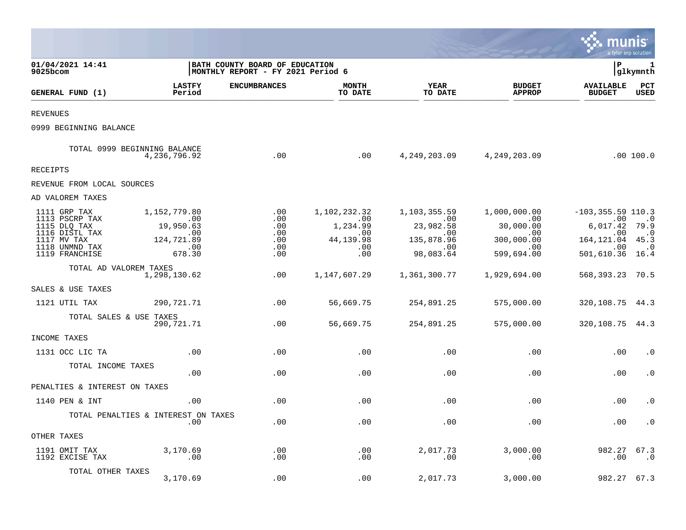|                                                                                                                     |                                                                                    |                                                                     |                                                                                |                                                                                                   |                                                                                              | munis                                                                                                                           | a tyler erp solution                |
|---------------------------------------------------------------------------------------------------------------------|------------------------------------------------------------------------------------|---------------------------------------------------------------------|--------------------------------------------------------------------------------|---------------------------------------------------------------------------------------------------|----------------------------------------------------------------------------------------------|---------------------------------------------------------------------------------------------------------------------------------|-------------------------------------|
| 01/04/2021 14:41<br>9025bcom                                                                                        |                                                                                    | BATH COUNTY BOARD OF EDUCATION<br>MONTHLY REPORT - FY 2021 Period 6 |                                                                                |                                                                                                   |                                                                                              | l P                                                                                                                             | 1<br> glkymnth                      |
| GENERAL FUND (1)                                                                                                    | <b>LASTFY</b><br>Period                                                            | <b>ENCUMBRANCES</b>                                                 | <b>MONTH</b><br>TO DATE                                                        | YEAR<br>TO DATE                                                                                   | <b>BUDGET</b><br><b>APPROP</b>                                                               | <b>AVAILABLE</b><br><b>BUDGET</b>                                                                                               | $_{\rm PCT}$<br><b>USED</b>         |
| <b>REVENUES</b>                                                                                                     |                                                                                    |                                                                     |                                                                                |                                                                                                   |                                                                                              |                                                                                                                                 |                                     |
| 0999 BEGINNING BALANCE                                                                                              |                                                                                    |                                                                     |                                                                                |                                                                                                   |                                                                                              |                                                                                                                                 |                                     |
|                                                                                                                     | TOTAL 0999 BEGINNING BALANCE<br>4,236,796.92                                       | .00                                                                 | .00                                                                            |                                                                                                   | 4, 249, 203.09 4, 249, 203.09                                                                |                                                                                                                                 | .00100.0                            |
| <b>RECEIPTS</b>                                                                                                     |                                                                                    |                                                                     |                                                                                |                                                                                                   |                                                                                              |                                                                                                                                 |                                     |
| REVENUE FROM LOCAL SOURCES                                                                                          |                                                                                    |                                                                     |                                                                                |                                                                                                   |                                                                                              |                                                                                                                                 |                                     |
| AD VALOREM TAXES                                                                                                    |                                                                                    |                                                                     |                                                                                |                                                                                                   |                                                                                              |                                                                                                                                 |                                     |
| 1111 GRP TAX<br>1113 PSCRP TAX<br>1115 DLQ TAX<br>1116 DISTL TAX<br>1117 MV TAX<br>1118 UNMND TAX<br>1119 FRANCHISE | 1,152,779.80<br>$\sim$ 00<br>19,950.63<br>$\sim 00$<br>124,721.89<br>.00<br>678.30 | .00<br>.00<br>.00<br>.00<br>$.00 \ \,$<br>$.00 \,$<br>.00           | 1,102,232.32<br>$\overline{00}$<br>1,234.99<br>.00<br>44, 139.98<br>.00<br>.00 | 1,103,355.59<br>$\sim$ 00<br>23,982.58<br>$\sim$ 00<br>135,878.96<br>$\overline{00}$<br>98,083.64 | 1,000,000.00<br>$\sim 00$<br>30,000.00<br>$\sim 00$<br>300,000.00<br>$\sim 00$<br>599,694.00 | $-103, 355.59$ 110.3<br>.00<br>6,017.42 79.9<br>$.00 \,$<br>164, 121.04 45.3<br>$\overline{\phantom{0}}$ .00<br>501,610.36 16.4 | $\ldots$<br>$\cdot$ 0<br>$\cdot$ .0 |
| TOTAL AD VALOREM TAXES                                                                                              | 1,298,130.62                                                                       | .00                                                                 | 1,147,607.29                                                                   | 1,361,300.77                                                                                      | 1,929,694.00                                                                                 | 568, 393. 23 70. 5                                                                                                              |                                     |
| SALES & USE TAXES                                                                                                   |                                                                                    |                                                                     |                                                                                |                                                                                                   |                                                                                              |                                                                                                                                 |                                     |
| 1121 UTIL TAX                                                                                                       | 290,721.71                                                                         | .00                                                                 | 56,669.75                                                                      | 254,891.25                                                                                        | 575,000.00                                                                                   | 320, 108. 75 44. 3                                                                                                              |                                     |
| TOTAL SALES & USE TAXES                                                                                             | 290,721.71                                                                         | .00                                                                 | 56,669.75                                                                      | 254,891.25                                                                                        | 575,000.00                                                                                   | 320, 108. 75 44. 3                                                                                                              |                                     |
| INCOME TAXES                                                                                                        |                                                                                    |                                                                     |                                                                                |                                                                                                   |                                                                                              |                                                                                                                                 |                                     |
| 1131 OCC LIC TA                                                                                                     | .00                                                                                | .00                                                                 | .00                                                                            | .00                                                                                               | .00                                                                                          | .00                                                                                                                             | $\cdot$ 0                           |
| TOTAL INCOME TAXES                                                                                                  | .00                                                                                | $.00 \,$                                                            | .00                                                                            | .00                                                                                               | .00                                                                                          | .00                                                                                                                             | $\cdot$ 0                           |
| PENALTIES & INTEREST ON TAXES                                                                                       |                                                                                    |                                                                     |                                                                                |                                                                                                   |                                                                                              |                                                                                                                                 |                                     |
| 1140 PEN & INT                                                                                                      | .00                                                                                | .00                                                                 | .00                                                                            | .00                                                                                               | .00                                                                                          | .00                                                                                                                             | $\cdot$ 0                           |
|                                                                                                                     | TOTAL PENALTIES & INTEREST ON TAXES<br>.00                                         | .00                                                                 | .00                                                                            | .00                                                                                               | .00                                                                                          | .00                                                                                                                             | $\cdot$ 0                           |
| OTHER TAXES                                                                                                         |                                                                                    |                                                                     |                                                                                |                                                                                                   |                                                                                              |                                                                                                                                 |                                     |
| 1191 OMIT TAX<br>1192 EXCISE TAX                                                                                    | 3,170.69<br>.00                                                                    | .00<br>$.00 \,$                                                     | .00<br>.00                                                                     | 2,017.73<br>$.00 \,$                                                                              | 3,000.00<br>.00                                                                              | 982.27<br>.00                                                                                                                   | 67.3<br>. 0                         |
| TOTAL OTHER TAXES                                                                                                   | 3,170.69                                                                           | .00                                                                 | .00                                                                            | 2,017.73                                                                                          | 3,000.00                                                                                     | 982.27                                                                                                                          | 67.3                                |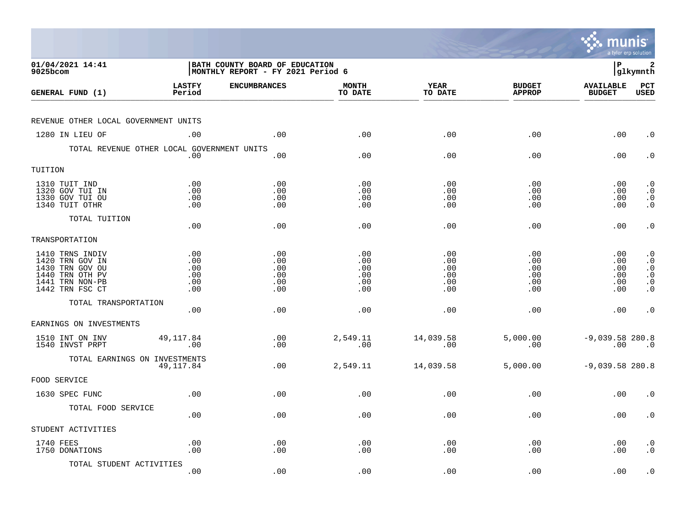|                                                                                                                |                                        |                                                                      |                                        |                                        |                                        | munis                                   | a tyler erp solution                                                                    |
|----------------------------------------------------------------------------------------------------------------|----------------------------------------|----------------------------------------------------------------------|----------------------------------------|----------------------------------------|----------------------------------------|-----------------------------------------|-----------------------------------------------------------------------------------------|
| 01/04/2021 14:41<br>9025bcom                                                                                   |                                        | BATH COUNTY BOARD OF EDUCATION<br> MONTHLY REPORT - FY 2021 Period 6 |                                        |                                        |                                        | l P                                     | 2<br> glkymnth                                                                          |
| GENERAL FUND (1)                                                                                               | <b>LASTFY</b><br>Period                | <b>ENCUMBRANCES</b>                                                  | <b>MONTH</b><br>TO DATE                | <b>YEAR</b><br>TO DATE                 | <b>BUDGET</b><br><b>APPROP</b>         | <b>AVAILABLE</b><br><b>BUDGET</b>       | PCT<br><b>USED</b>                                                                      |
| REVENUE OTHER LOCAL GOVERNMENT UNITS                                                                           |                                        |                                                                      |                                        |                                        |                                        |                                         |                                                                                         |
| 1280 IN LIEU OF                                                                                                | .00                                    | .00                                                                  | .00                                    | .00                                    | .00                                    | .00                                     | $\cdot$ 0                                                                               |
| TOTAL REVENUE OTHER LOCAL GOVERNMENT UNITS                                                                     | .00                                    | .00                                                                  | .00                                    | .00                                    | .00                                    | .00                                     | $\cdot$ 0                                                                               |
| TUITION                                                                                                        |                                        |                                                                      |                                        |                                        |                                        |                                         |                                                                                         |
| 1310 TUIT IND<br>1320 GOV TUI IN<br>1330 GOV TUI OU<br>1340 TUIT OTHR                                          | .00<br>.00<br>.00<br>.00               | .00<br>.00<br>.00<br>.00                                             | .00<br>.00<br>.00<br>.00               | .00<br>.00<br>.00<br>.00               | .00<br>.00<br>.00<br>.00               | $.00 \,$<br>$.00 \,$<br>.00<br>$.00 \,$ | $\cdot$ 0<br>$\cdot$ 0<br>$\begin{smallmatrix} 0 \\ 0 \\ 0 \end{smallmatrix}$           |
| TOTAL TUITION                                                                                                  | .00                                    | .00                                                                  | .00                                    | .00                                    | .00                                    | .00                                     | $\cdot$ 0                                                                               |
| TRANSPORTATION                                                                                                 |                                        |                                                                      |                                        |                                        |                                        |                                         |                                                                                         |
| 1410 TRNS INDIV<br>1420 TRN GOV IN<br>1430 TRN GOV OU<br>1440 TRN OTH PV<br>1441 TRN NON-PB<br>1442 TRN FSC CT | .00<br>.00<br>.00<br>.00<br>.00<br>.00 | .00<br>.00<br>.00<br>.00<br>.00<br>.00                               | .00<br>.00<br>.00<br>.00<br>.00<br>.00 | .00<br>.00<br>.00<br>.00<br>.00<br>.00 | .00<br>.00<br>.00<br>.00<br>.00<br>.00 | .00<br>.00<br>.00<br>.00<br>.00<br>.00  | $\cdot$ 0<br>$\cdot$ 0<br>$\cdot$ 0<br>$\boldsymbol{\cdot}$ 0<br>$\cdot$ 0<br>$\cdot$ 0 |
| TOTAL TRANSPORTATION                                                                                           | .00                                    | .00                                                                  | .00                                    | .00                                    | .00                                    | .00                                     | $\cdot$ 0                                                                               |
| EARNINGS ON INVESTMENTS                                                                                        |                                        |                                                                      |                                        |                                        |                                        |                                         |                                                                                         |
| 1510 INT ON INV<br>1540 INVST PRPT                                                                             | 49, 117.84<br>.00                      | .00<br>.00                                                           | 2,549.11<br>.00                        | 14,039.58<br>.00                       | 5,000.00<br>.00                        | $-9,039.58$ 280.8<br>.00                | $\overline{\phantom{0}}$ .0                                                             |
| TOTAL EARNINGS ON INVESTMENTS                                                                                  | 49,117.84                              | .00                                                                  | 2,549.11                               | 14,039.58                              | 5,000.00                               | $-9,039.58$ 280.8                       |                                                                                         |
| FOOD SERVICE                                                                                                   |                                        |                                                                      |                                        |                                        |                                        |                                         |                                                                                         |
| 1630 SPEC FUNC                                                                                                 | .00                                    | .00                                                                  | .00                                    | .00                                    | .00                                    | .00                                     | $\cdot$ 0                                                                               |
| TOTAL FOOD SERVICE                                                                                             | .00                                    | .00                                                                  | .00                                    | .00                                    | .00                                    | $.00 \,$                                | $\cdot$ 0                                                                               |
| STUDENT ACTIVITIES                                                                                             |                                        |                                                                      |                                        |                                        |                                        |                                         |                                                                                         |
| 1740 FEES<br>1750 DONATIONS                                                                                    | .00<br>.00                             | .00<br>.00                                                           | .00<br>.00                             | .00<br>.00                             | .00<br>.00                             | $.00 \,$<br>.00                         | $\cdot$ 0<br>$\cdot$ 0                                                                  |
| TOTAL STUDENT ACTIVITIES                                                                                       | .00                                    | .00                                                                  | .00                                    | .00                                    | .00                                    | .00                                     | $\cdot$ 0                                                                               |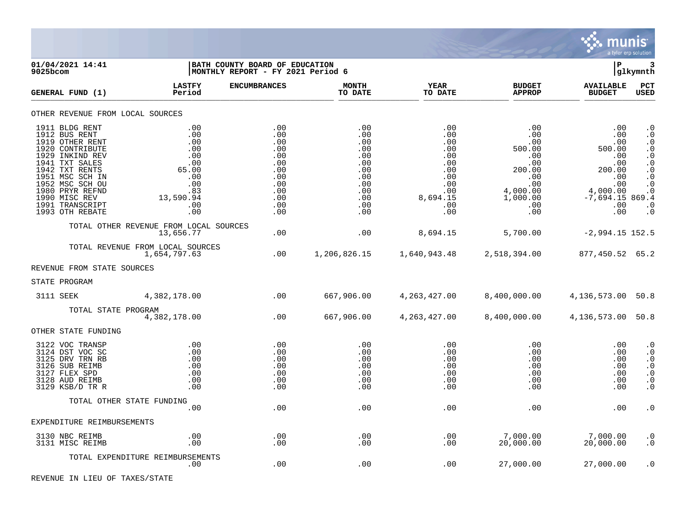

| 01/04/2021 14:41<br>9025bcom                                                                                                                                                                                                                 |                                                                                                 | <b>BATH COUNTY BOARD OF EDUCATION</b><br>MONTHLY REPORT - FY 2021 Period 6              |                                                                                         |                                                                                              |                                                                                                                   | lР                                                                                                              | 3<br> glkymnth                                                                                                                                                                                  |
|----------------------------------------------------------------------------------------------------------------------------------------------------------------------------------------------------------------------------------------------|-------------------------------------------------------------------------------------------------|-----------------------------------------------------------------------------------------|-----------------------------------------------------------------------------------------|----------------------------------------------------------------------------------------------|-------------------------------------------------------------------------------------------------------------------|-----------------------------------------------------------------------------------------------------------------|-------------------------------------------------------------------------------------------------------------------------------------------------------------------------------------------------|
| GENERAL FUND (1)                                                                                                                                                                                                                             | <b>LASTFY</b><br>Period                                                                         | <b>ENCUMBRANCES</b>                                                                     | <b>MONTH</b><br>TO DATE                                                                 | <b>YEAR</b><br>TO DATE                                                                       | <b>BUDGET</b><br><b>APPROP</b>                                                                                    | <b>AVAILABLE</b><br><b>BUDGET</b>                                                                               | PCT<br><b>USED</b>                                                                                                                                                                              |
| OTHER REVENUE FROM LOCAL SOURCES                                                                                                                                                                                                             |                                                                                                 |                                                                                         |                                                                                         |                                                                                              |                                                                                                                   |                                                                                                                 |                                                                                                                                                                                                 |
| 1911 BLDG RENT<br>1912 BUS RENT<br>1919 OTHER RENT<br>1920 CONTRIBUTE<br>1929 INKIND REV<br>1941 TXT SALES<br>1942 TXT RENTS<br>1951 MSC SCH IN<br>1952 MSC SCH OU<br>1980 PRYR REFND<br>1990 MISC REV<br>1991 TRANSCRIPT<br>1993 OTH REBATE | .00<br>.00<br>.00<br>.00<br>.00<br>.00<br>65.00<br>.00<br>.00<br>.83<br>13,590.94<br>.00<br>.00 | .00<br>.00<br>.00<br>.00<br>.00<br>.00<br>.00<br>.00<br>.00<br>.00<br>.00<br>.00<br>.00 | .00<br>.00<br>.00<br>.00<br>.00<br>.00<br>.00<br>.00<br>.00<br>.00<br>.00<br>.00<br>.00 | .00<br>.00<br>.00<br>.00<br>.00<br>.00<br>.00<br>.00<br>.00<br>.00<br>8,694.15<br>.00<br>.00 | .00<br>$.00 \,$<br>.00<br>500.00<br>.00<br>.00<br>200.00<br>.00<br>.00<br>4,000.00<br>1,000.00<br>.00<br>$.00 \,$ | .00<br>.00<br>.00<br>500.00<br>.00<br>.00<br>200.00<br>.00<br>.00<br>4,000.00<br>$-7,694.15869.4$<br>.00<br>.00 | $\cdot$ 0<br>$\cdot$ 0<br>$\cdot$ 0<br>$\cdot$ 0<br>$\boldsymbol{\cdot}$ 0<br>$\cdot$ 0<br>$\boldsymbol{\cdot}$ 0<br>$\cdot$ 0<br>$\boldsymbol{\cdot}$ 0<br>$\cdot$ 0<br>$\cdot$ 0<br>$\cdot$ 0 |
|                                                                                                                                                                                                                                              | TOTAL OTHER REVENUE FROM LOCAL SOURCES<br>13,656.77                                             | .00                                                                                     | .00                                                                                     | 8,694.15                                                                                     | 5,700.00                                                                                                          | $-2,994.15$ 152.5                                                                                               |                                                                                                                                                                                                 |
|                                                                                                                                                                                                                                              | TOTAL REVENUE FROM LOCAL SOURCES<br>1,654,797.63                                                | .00                                                                                     |                                                                                         | 1,206,826.15 1,640,943.48 2,518,394.00                                                       |                                                                                                                   | 877,450.52 65.2                                                                                                 |                                                                                                                                                                                                 |
| REVENUE FROM STATE SOURCES                                                                                                                                                                                                                   |                                                                                                 |                                                                                         |                                                                                         |                                                                                              |                                                                                                                   |                                                                                                                 |                                                                                                                                                                                                 |
| STATE PROGRAM                                                                                                                                                                                                                                |                                                                                                 |                                                                                         |                                                                                         |                                                                                              |                                                                                                                   |                                                                                                                 |                                                                                                                                                                                                 |
| 3111 SEEK                                                                                                                                                                                                                                    | 4,382,178.00                                                                                    | $\sim$ 00                                                                               | 667,906.00                                                                              |                                                                                              | 4,263,427.00 8,400,000.00 4,136,573.00 50.8                                                                       |                                                                                                                 |                                                                                                                                                                                                 |
| TOTAL STATE PROGRAM                                                                                                                                                                                                                          | 4,382,178.00                                                                                    | .00                                                                                     | 667,906.00                                                                              | 4, 263, 427.00                                                                               | 8,400,000.00                                                                                                      | 4, 136, 573.00 50.8                                                                                             |                                                                                                                                                                                                 |
| OTHER STATE FUNDING                                                                                                                                                                                                                          |                                                                                                 |                                                                                         |                                                                                         |                                                                                              |                                                                                                                   |                                                                                                                 |                                                                                                                                                                                                 |
| 3122 VOC TRANSP<br>3124 DST VOC SC<br>3125 DRV TRN RB<br>3126 SUB REIMB<br>3127 FLEX SPD<br>3128 AUD REIMB<br>3129 KSB/D TR R                                                                                                                | .00<br>.00<br>.00<br>.00<br>.00<br>.00<br>.00                                                   | .00<br>.00<br>.00<br>.00<br>.00<br>.00<br>.00                                           | .00<br>.00<br>.00<br>.00<br>.00<br>.00<br>.00                                           | .00<br>.00<br>.00<br>.00<br>.00<br>.00<br>.00                                                | .00<br>$.00 \,$<br>$.00 \,$<br>$.00 \,$<br>$.00 \ \,$<br>$.00 \ \,$<br>$.00 \,$                                   | .00<br>.00<br>.00<br>.00<br>.00<br>.00<br>.00                                                                   | $\cdot$ 0<br>$\boldsymbol{\cdot}$ 0<br>$\cdot$ 0<br>$\cdot$ 0<br>$\cdot$ 0<br>$\cdot$ 0<br>$\cdot$ 0                                                                                            |
|                                                                                                                                                                                                                                              | TOTAL OTHER STATE FUNDING                                                                       |                                                                                         |                                                                                         |                                                                                              |                                                                                                                   |                                                                                                                 |                                                                                                                                                                                                 |
|                                                                                                                                                                                                                                              | .00                                                                                             | .00                                                                                     | .00                                                                                     | .00                                                                                          | .00                                                                                                               | .00                                                                                                             | . $\boldsymbol{0}$                                                                                                                                                                              |
| EXPENDITURE REIMBURSEMENTS                                                                                                                                                                                                                   |                                                                                                 |                                                                                         |                                                                                         |                                                                                              |                                                                                                                   |                                                                                                                 |                                                                                                                                                                                                 |
| 3130 NBC REIMB<br>3131 MISC REIMB                                                                                                                                                                                                            | .00<br>.00                                                                                      | .00<br>.00                                                                              | .00<br>.00                                                                              | .00<br>.00                                                                                   | 7,000.00<br>20,000.00                                                                                             | 7,000.00<br>20,000.00                                                                                           | $\cdot$ 0<br>$\cdot$ 0                                                                                                                                                                          |
|                                                                                                                                                                                                                                              | TOTAL EXPENDITURE REIMBURSEMENTS<br>.00                                                         | .00                                                                                     | .00                                                                                     | .00                                                                                          | 27,000.00                                                                                                         | 27,000.00                                                                                                       | $\cdot$ 0                                                                                                                                                                                       |

REVENUE IN LIEU OF TAXES/STATE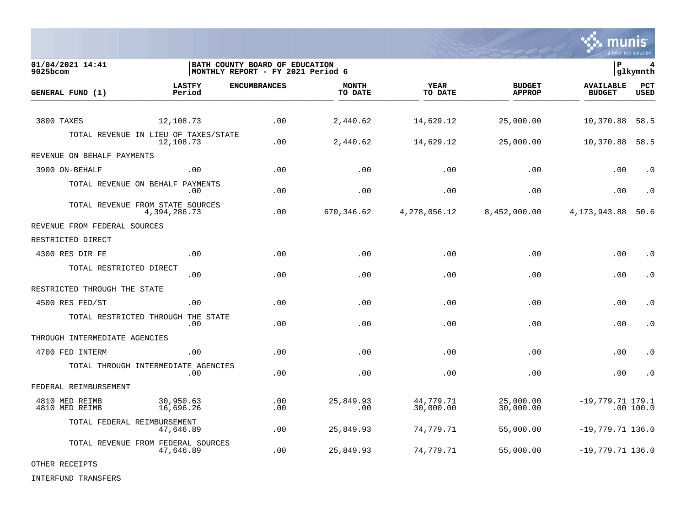

| 01/04/2021 14:41<br>9025bcom     |                                                   | BATH COUNTY BOARD OF EDUCATION<br> MONTHLY REPORT - FY 2021 Period 6 |                         |                        |                                | lР                                | 4<br> glkymnth     |
|----------------------------------|---------------------------------------------------|----------------------------------------------------------------------|-------------------------|------------------------|--------------------------------|-----------------------------------|--------------------|
| GENERAL FUND (1)                 | <b>LASTFY</b><br>Period                           | <b>ENCUMBRANCES</b>                                                  | <b>MONTH</b><br>TO DATE | <b>YEAR</b><br>TO DATE | <b>BUDGET</b><br><b>APPROP</b> | <b>AVAILABLE</b><br><b>BUDGET</b> | PCT<br><b>USED</b> |
|                                  |                                                   |                                                                      |                         |                        |                                |                                   |                    |
| 3800 TAXES                       | 12,108.73                                         | .00                                                                  | 2,440.62                | 14,629.12              | 25,000.00                      | 10,370.88                         | 58.5               |
|                                  | TOTAL REVENUE IN LIEU OF TAXES/STATE<br>12,108.73 | .00                                                                  | 2,440.62                | 14,629.12              | 25,000.00                      | 10,370.88                         | 58.5               |
| REVENUE ON BEHALF PAYMENTS       |                                                   |                                                                      |                         |                        |                                |                                   |                    |
| 3900 ON-BEHALF                   | .00                                               | .00                                                                  | .00                     | .00                    | .00                            | .00                               | $\cdot$ 0          |
|                                  | TOTAL REVENUE ON BEHALF PAYMENTS<br>.00           | .00                                                                  | .00                     | .00                    | .00                            | .00                               | $\cdot$ 0          |
|                                  | TOTAL REVENUE FROM STATE SOURCES<br>4,394,286.73  | .00                                                                  | 670,346.62              | 4,278,056.12           | 8,452,000.00                   | 4, 173, 943.88                    | 50.6               |
| REVENUE FROM FEDERAL SOURCES     |                                                   |                                                                      |                         |                        |                                |                                   |                    |
| RESTRICTED DIRECT                |                                                   |                                                                      |                         |                        |                                |                                   |                    |
| 4300 RES DIR FE                  | .00                                               | .00                                                                  | .00                     | .00                    | .00                            | .00                               | . 0                |
| TOTAL RESTRICTED DIRECT          | .00                                               | .00                                                                  | .00                     | .00                    | .00                            | .00                               | $\cdot$ 0          |
| RESTRICTED THROUGH THE STATE     |                                                   |                                                                      |                         |                        |                                |                                   |                    |
| 4500 RES FED/ST                  | .00                                               | .00                                                                  | .00                     | .00                    | .00                            | .00                               | $\cdot$ 0          |
|                                  | TOTAL RESTRICTED THROUGH THE<br>STATE<br>.00      | .00                                                                  | .00                     | .00                    | .00                            | .00                               | . 0                |
| THROUGH INTERMEDIATE AGENCIES    |                                                   |                                                                      |                         |                        |                                |                                   |                    |
| 4700 FED INTERM                  | .00                                               | .00                                                                  | .00                     | .00                    | .00                            | .00                               | . 0                |
|                                  | TOTAL THROUGH INTERMEDIATE AGENCIES<br>.00        | .00                                                                  | .00                     | .00                    | .00                            | .00                               | $\cdot$ 0          |
| FEDERAL REIMBURSEMENT            |                                                   |                                                                      |                         |                        |                                |                                   |                    |
| 4810 MED REIMB<br>4810 MED REIMB | 30,950.63<br>16,696.26                            | .00<br>.00                                                           | 25,849.93<br>.00        | 44,779.71<br>30,000.00 | 25,000.00<br>30,000.00         | $-19,779.71$ 179.1                | .00 100.0          |
|                                  | TOTAL FEDERAL REIMBURSEMENT<br>47,646.89          | .00                                                                  | 25,849.93               | 74,779.71              | 55,000.00                      | $-19,779.71$ 136.0                |                    |
|                                  | TOTAL REVENUE FROM FEDERAL SOURCES<br>47,646.89   | .00                                                                  | 25,849.93               | 74,779.71              | 55,000.00                      | $-19,779.71$ 136.0                |                    |

OTHER RECEIPTS

INTERFUND TRANSFERS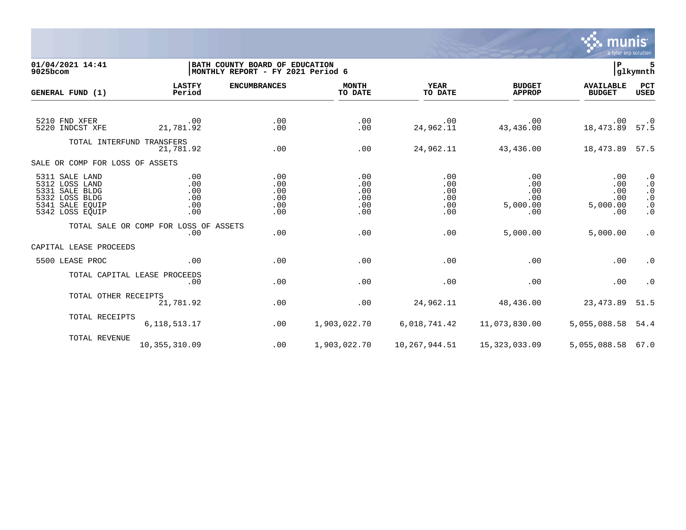

01/04/2021 14:41 **| BATH COUNTY BOARD OF EDUCATION**<br>9025bcom **| BATH COUNTY BOARD OF EDUCATION 6**<br>9025bcom **| BATH COUNTHLY REPORT** - FY 2021 Period 6  $MONTHLY REPORT - FY 2021 Period 6$ **LASTFY ENCUMBRANCES MONTH YEAR BUDGET AVAILABLE PCT GENERAL FUND (1)** TO DATE THE RELIGION CONDUCT TO DATE THE RELIGION CONDUCT TO DATE THE RELIGION OF THE RELIGION OF THE RELIGION OF THE RELIGION OF THE RELIGION OF THE RELIGION OF THE RELIGION OF THE RELIGION OF THE RELIGION OF THE RELIGION 5210 FND XFER .00 .00 .00 .00 .00 .00 .0 5220 INDCST XFE 21,781.92 .00 .00 24,962.11 43,436.00 18,473.89 57.5 TOTAL INTERFUND TRANSFERS 21,781.92 .00 .00 24,962.11 43,436.00 18,473.89 57.5 SALE OR COMP FOR LOSS OF ASSETS 5311 SALE LAND .00 .00 .00 .00 .00 .00 .0 5312 LOSS LAND .00 .00 .00 .00 .00 .00 .0 5331 SALE BLDG .00 .00 .00 .00 .00 .00 .0 5332 LOSS BLDG .00 .00 .00 .00 .00 .00 .0 5341 SALE EQUIP .00 .00 .00 .00 5,000.00 5,000.00 .0 5342 LOSS EQUIP .00 .00 .00 .00 .00 .00 .0 TOTAL SALE OR COMP FOR LOSS OF ASSETS .00 .00 .00 .00 5,000.00 5,000.00 .0 CAPITAL LEASE PROCEEDS 5500 LEASE PROC .00 .00 .00 .00 .00 .00 .0 TOTAL CAPITAL LEASE PROCEEDS .00 .00 .00 .00 .00 .00 .0 TOTAL OTHER RECEIPTS<br>21.781.92 21,781.92 .00 .00 24,962.11 48,436.00 23,473.89 51.5 TOTAL RECEIPTS 6,118,513.17 .00 1,903,022.70 6,018,741.42 11,073,830.00 5,055,088.58 54.4 TOTAL REVENUE 10,355,310.09 .00 1,903,022.70 10,267,944.51 15,323,033.09 5,055,088.58 67.0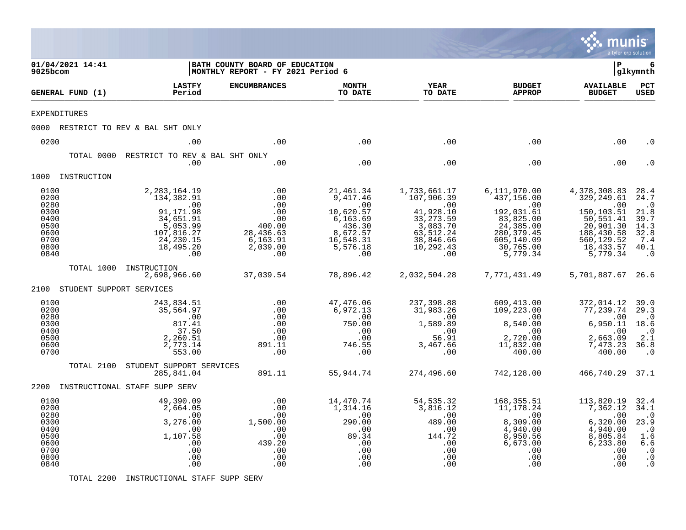|                                                                              |                          |                                                                                                                             |                                                                                       |                                                                                                             |                                                                                                                        |                                                                                                                                  | munis<br>a tyler erp solution                                                                                                        |                                                                                                     |
|------------------------------------------------------------------------------|--------------------------|-----------------------------------------------------------------------------------------------------------------------------|---------------------------------------------------------------------------------------|-------------------------------------------------------------------------------------------------------------|------------------------------------------------------------------------------------------------------------------------|----------------------------------------------------------------------------------------------------------------------------------|--------------------------------------------------------------------------------------------------------------------------------------|-----------------------------------------------------------------------------------------------------|
| 9025bcom                                                                     | 01/04/2021 14:41         |                                                                                                                             | BATH COUNTY BOARD OF EDUCATION<br>MONTHLY REPORT - FY 2021 Period 6                   |                                                                                                             |                                                                                                                        |                                                                                                                                  | l P                                                                                                                                  | 6<br> glkymnth                                                                                      |
|                                                                              | GENERAL FUND (1)         | <b>LASTFY</b><br>Period                                                                                                     | <b>ENCUMBRANCES</b>                                                                   | <b>MONTH</b><br>TO DATE                                                                                     | <b>YEAR</b><br>TO DATE                                                                                                 | <b>BUDGET</b><br><b>APPROP</b>                                                                                                   | <b>AVAILABLE</b><br><b>BUDGET</b>                                                                                                    | PCT<br>USED                                                                                         |
|                                                                              | <b>EXPENDITURES</b>      |                                                                                                                             |                                                                                       |                                                                                                             |                                                                                                                        |                                                                                                                                  |                                                                                                                                      |                                                                                                     |
|                                                                              |                          | 0000 RESTRICT TO REV & BAL SHT ONLY                                                                                         |                                                                                       |                                                                                                             |                                                                                                                        |                                                                                                                                  |                                                                                                                                      |                                                                                                     |
| 0200                                                                         |                          | .00                                                                                                                         | .00                                                                                   | .00                                                                                                         | .00                                                                                                                    | .00                                                                                                                              | .00                                                                                                                                  | . ດ                                                                                                 |
|                                                                              | TOTAL 0000               | RESTRICT TO REV & BAL SHT ONLY<br>.00                                                                                       | .00                                                                                   | .00                                                                                                         | .00                                                                                                                    | .00                                                                                                                              | .00                                                                                                                                  |                                                                                                     |
|                                                                              | 1000 INSTRUCTION         |                                                                                                                             |                                                                                       |                                                                                                             |                                                                                                                        |                                                                                                                                  |                                                                                                                                      |                                                                                                     |
| 0100<br>0200<br>0280<br>0300<br>0400<br>0500<br>0600<br>0700<br>0800<br>0840 |                          | 2, 283, 164. 19<br>134,382.91<br>.00<br>91,171.98<br>34,651.91<br>5,053.99<br>107,816.27<br>24, 230. 15<br>18,495.20<br>.00 | .00<br>.00<br>.00<br>.00<br>.00<br>400.00<br>28,436.63<br>6,163.91<br>2,039.00<br>.00 | 21,461.34<br>9,417.46<br>.00<br>10,620.57<br>6,163.69<br>436.30<br>8,672.57<br>16,548.31<br>5,576.18<br>.00 | 1,733,661.17<br>107,906.39<br>.00<br>41,928.10<br>33, 273.59<br>3,083.70<br>63,512.24<br>38,846.66<br>10,292.43<br>.00 | 6,111,970.00<br>437,156.00<br>.00<br>192,031.61<br>83,825.00<br>24, 385.00<br>280, 379.45<br>605,140.09<br>30,765.00<br>5,779.34 | 4,378,308.83<br>329, 249.61<br>.00<br>$150, 103.51\,$<br>50,551.41<br>20,901.30<br>188,430.58<br>560,129.52<br>18,433.57<br>5,779.34 | 28.4<br>24.7<br>$\cdot$ <sup>0</sup><br>21.8<br>39.7<br>14.3<br>32.8<br>7.4<br>40.1<br>$\cdot$ 0    |
|                                                                              | TOTAL 1000               | INSTRUCTION<br>2,698,966.60                                                                                                 | 37,039.54                                                                             | 78,896.42                                                                                                   | 2,032,504.28                                                                                                           | 7,771,431.49                                                                                                                     | 5,701,887.67 26.6                                                                                                                    |                                                                                                     |
| 2100                                                                         | STUDENT SUPPORT SERVICES |                                                                                                                             |                                                                                       |                                                                                                             |                                                                                                                        |                                                                                                                                  |                                                                                                                                      |                                                                                                     |
| 0100<br>0200<br>0280<br>0300<br>0400<br>0500<br>0600<br>0700                 |                          | 243,834.51<br>35,564.97<br>.00<br>817.41<br>37.50<br>2,260.51<br>2,773.14<br>553.00                                         | .00<br>.00<br>.00<br>.00<br>.00<br>.00<br>891.11<br>.00                               | 47,476.06<br>6,972.13<br>.00<br>750.00<br>.00<br>.00<br>746.55<br>.00                                       | 237,398.88<br>31,983.26<br>.00<br>1,589.89<br>.00<br>56.91<br>3,467.66<br>.00                                          | 609,413.00<br>109,223.00<br>$\sim 00$<br>8,540.00<br>.00<br>2,720.00<br>11,832.00<br>400.00                                      | 372,014.12<br>77,239.74<br>$\cdot$ 00<br>6,950.11<br>.00<br>2,663.09<br>7,473.23<br>400.00                                           | 39.0<br>29.3<br>$\cdot$ 0<br>18.6<br>$\cdot$ 0<br>2.1<br>36.8<br>$\cdot$ 0                          |
|                                                                              | TOTAL 2100               | STUDENT SUPPORT SERVICES<br>285,841.04                                                                                      | 891.11                                                                                | 55,944.74                                                                                                   | 274,496.60                                                                                                             | 742,128.00                                                                                                                       | 466,740.29 37.1                                                                                                                      |                                                                                                     |
|                                                                              |                          | 2200 INSTRUCTIONAL STAFF SUPP SERV                                                                                          |                                                                                       |                                                                                                             |                                                                                                                        |                                                                                                                                  |                                                                                                                                      |                                                                                                     |
| 0100<br>0200<br>0280<br>0300<br>0400<br>0500<br>0600<br>0700<br>0800<br>0840 |                          | 49,390.09<br>2,664.05<br>.00<br>3,276.00<br>.00<br>1,107.58<br>.00<br>.00<br>.00<br>.00                                     | .00<br>.00<br>.00<br>1,500.00<br>.00<br>.00<br>439.20<br>.00<br>.00<br>.00            | 14,470.74<br>1,314.16<br>.00<br>290.00<br>.00<br>89.34<br>.00<br>.00<br>.00<br>.00                          | 54, 535.32<br>3,816.12<br>.00<br>489.00<br>.00<br>144.72<br>.00<br>.00<br>.00<br>.00                                   | 168,355.51<br>11,178.24<br>$.00 \,$<br>8,309.00<br>4,940.00<br>8,950.56<br>6,673.00<br>.00<br>.00<br>.00                         | 113,820.19<br>7,362.12<br>.00<br>6,320.00<br>4,940.00<br>8,805.84<br>6,233.80<br>.00<br>.00<br>.00                                   | 32.4<br>34.1<br>$\cdot$ 0<br>23.9<br>$\cdot$ 0<br>1.6<br>6.6<br>$\cdot$ 0<br>$\cdot$ 0<br>$\cdot$ 0 |

TOTAL 2200 INSTRUCTIONAL STAFF SUPP SERV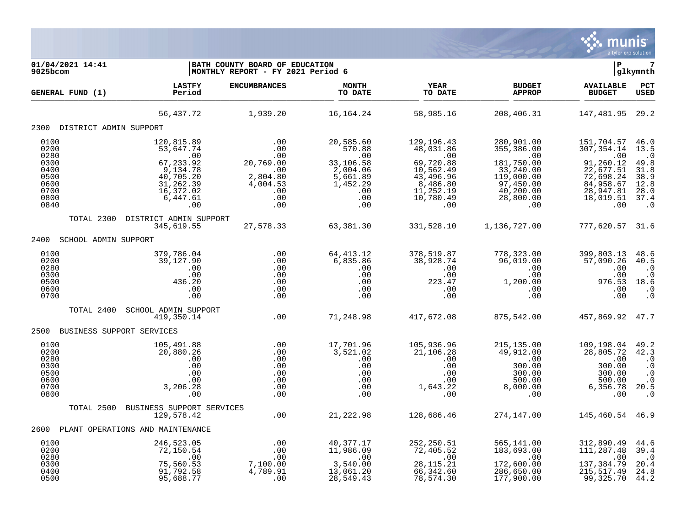

| 01/04/2021 14:41<br>9025bcom                                 |                                                                                    | BATH COUNTY BOARD OF EDUCATION<br>MONTHLY REPORT - FY 2021 Period 6                 |                                                                             |                                                                                         |                                                                                                                                                                                                                                   | l P                                                                                                    | 7<br> glkymnth                                                                                     |
|--------------------------------------------------------------|------------------------------------------------------------------------------------|-------------------------------------------------------------------------------------|-----------------------------------------------------------------------------|-----------------------------------------------------------------------------------------|-----------------------------------------------------------------------------------------------------------------------------------------------------------------------------------------------------------------------------------|--------------------------------------------------------------------------------------------------------|----------------------------------------------------------------------------------------------------|
| GENERAL FUND (1)                                             | <b>LASTFY</b><br>Period                                                            | <b>ENCUMBRANCES</b>                                                                 | <b>MONTH</b><br>TO DATE                                                     | <b>YEAR</b><br>TO DATE                                                                  | <b>BUDGET</b><br><b>APPROP</b>                                                                                                                                                                                                    | <b>AVAILABLE</b><br><b>BUDGET</b>                                                                      | PCT<br><b>USED</b>                                                                                 |
|                                                              | 56,437.72                                                                          | 1,939.20                                                                            | 16,164.24                                                                   | 58,985.16                                                                               | 208,406.31                                                                                                                                                                                                                        | 147,481.95 29.2                                                                                        |                                                                                                    |
| 2300 DISTRICT ADMIN SUPPORT                                  |                                                                                    |                                                                                     |                                                                             |                                                                                         |                                                                                                                                                                                                                                   |                                                                                                        |                                                                                                    |
| 0100<br>0200<br>0280<br>0300<br>0400<br>0500<br>0600         | 120,815.89<br>53,647.74<br>.00<br>67, 233.92<br>9,134.78<br>40,705.20<br>31,262.39 | .00<br>.00<br>.00<br>20,769.00<br>.00<br>2,804.80<br>4,004.53                       | 20,585.60<br>570.88<br>.00<br>33,106.58<br>2,004.06<br>5,661.89<br>1,452.29 | 129,196.43<br>48,031.86<br>$\sim 00$<br>69,720.88<br>10,562.49<br>43,496.96<br>8,486.80 | 280,901.00<br>355,386.00<br>00.<br>33,240.00<br>119,000.00<br>97,450.00                                                                                                                                                           | 151,704.57<br>307, 354.14<br>.00<br>91,260.12<br>22,677.51<br>72,698.24<br>84,958.67                   | 46.0<br>13.5<br>$\cdot$ 0<br>49.8<br>31.8<br>38.9<br>12.8                                          |
| 0700<br>0800<br>0840                                         | 16,372.02<br>6,447.61<br>.00                                                       | $\frac{0}{2}$ .<br>.00                                                              | .00<br>.00<br>.00                                                           | 11,252.19<br>10,780.49<br>.00                                                           | 40,200.00<br>28,800.00<br>.00                                                                                                                                                                                                     | 28,947.81<br>18,019.51<br>.00                                                                          | 28.0<br>37.4<br>$\cdot$ 0                                                                          |
|                                                              | TOTAL 2300 DISTRICT ADMIN SUPPORT<br>345,619.55                                    | 27,578.33                                                                           | 63,381.30                                                                   |                                                                                         | 331,528.10 1,136,727.00                                                                                                                                                                                                           | 777,620.57 31.6                                                                                        |                                                                                                    |
| 2400 SCHOOL ADMIN SUPPORT                                    |                                                                                    |                                                                                     |                                                                             |                                                                                         |                                                                                                                                                                                                                                   |                                                                                                        |                                                                                                    |
| 0100<br>0200<br>0280<br>0300<br>0500<br>0600<br>0700         | 379,786.04<br>39,127.90<br>.00<br>.00<br>436.20<br>.00<br>.00                      | .00<br>.00<br>.00<br>.00<br>.00<br>.00<br>.00                                       | 64,413.12<br>6,835.86<br>.00<br>.00<br>.00<br>.00<br>.00                    | 38,928.74                                                                               | $\begin{array}{cccc} 378\,,519\,.\,87 & 778\,,\,323\,.\,00\,\\ 38\,,928\,.\,74 & 96\,,\,019\,.\,00\,\\ .\,00 & 0 & .00\,\\ 223\,.\,47 & 1\,,\,200\,.\,00\,\\ .\,00 & 0 & .00\,\\ 0 & 0 & .00\,\\ .\,00 & 0 & .00\,\\ \end{array}$ | 399,803.13<br>57,090.26<br>.00<br>$\begin{array}{cc} .00 & .0 \\ .00 & 18.6 \end{array}$<br>.00<br>.00 | 48.6<br>40.5<br>$\cdot$ 0<br>$\cdot$ 0<br>$\cdot$ 0                                                |
| TOTAL 2400                                                   | SCHOOL ADMIN SUPPORT<br>419,350.14                                                 | .00                                                                                 | 71,248.98                                                                   | 417,672.08                                                                              | 875,542.00                                                                                                                                                                                                                        | 457,869.92 47.7                                                                                        |                                                                                                    |
| 2500 BUSINESS SUPPORT SERVICES                               |                                                                                    |                                                                                     |                                                                             |                                                                                         |                                                                                                                                                                                                                                   |                                                                                                        |                                                                                                    |
| 0100<br>0200<br>0280<br>0300<br>0500<br>0600<br>0700<br>0800 | 105,491.88<br>20,880.26<br>.00<br>.00<br>.00<br>.00<br>3,206.28<br>.00             | $\begin{array}{c} .00 \\ .00 \end{array}$<br>.00<br>.00<br>.00<br>.00<br>.00<br>.00 | 17,701.96<br>3,521.02<br>.00                                                | 105,936.96<br>21,106.28                                                                 | 215,135.00<br>49,912.00<br>00                                                                                                                                                                                                     | 109,198.04<br>28,805.72<br>.00<br>300.00<br>300.00<br>500.00<br>6, 356.78<br>.00                       | 49.2<br>42.3<br>$\cdot$ 0<br>$\cdot$ 0<br>$\cdot$ 0<br>$\boldsymbol{\cdot}$ 0<br>20.5<br>$\cdot$ 0 |
| TOTAL 2500                                                   | BUSINESS SUPPORT SERVICES<br>129,578.42                                            | .00                                                                                 |                                                                             | 21, 222.98 128, 686.46                                                                  | 274,147.00                                                                                                                                                                                                                        | 145,460.54 46.9                                                                                        |                                                                                                    |
| 2600 PLANT OPERATIONS AND MAINTENANCE                        |                                                                                    |                                                                                     |                                                                             |                                                                                         |                                                                                                                                                                                                                                   |                                                                                                        |                                                                                                    |
| 0100<br>0200<br>0280<br>0300<br>0400<br>0500                 | 246,523.05<br>72,150.54<br>.00<br>75,560.53<br>91,792.58<br>95,688.77              | .00<br>.00<br>.00<br>7,100.00<br>4,789.91<br>.00                                    | 40,377.17<br>11,986.09<br>$\sim$ 00<br>3,540.00<br>13,061.20<br>28,549.43   | 252,250.51<br>72,405.52<br>$\sim 00$<br>28, 115. 21<br>66, 342.60<br>78,574.30          | 565,141.00<br>183,693.00<br>.00<br>172,600.00<br>286,650.00<br>177,900.00                                                                                                                                                         | 312,890.49<br>111,287.48<br>.00<br>137,384.79<br>215, 517.49<br>99,325.70                              | 44.6<br>39.4<br>$\cdot$ 0<br>20.4<br>24.8<br>44.2                                                  |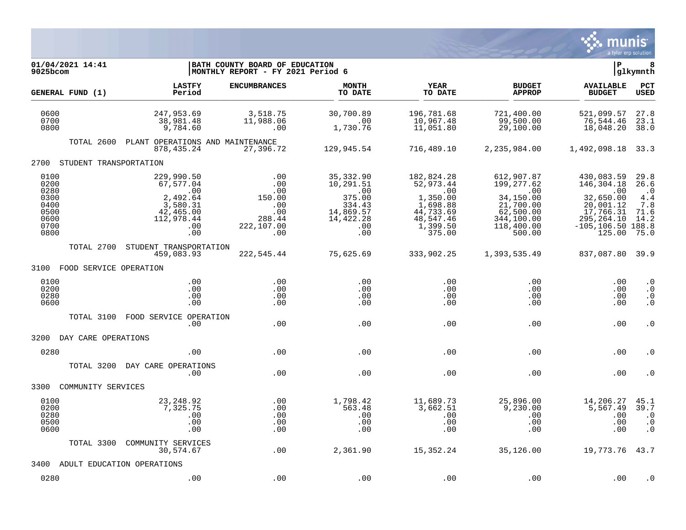

| 01/04/2021 14:41<br>9025bcom                                         |                                                                                                 | BATH COUNTY BOARD OF EDUCATION<br> MONTHLY REPORT - FY 2021 Period 6     |                                                                                           |                                                                                                        |                                                                                                              | ΙP                                                                                                                       | 8<br>glkymnth                                                    |
|----------------------------------------------------------------------|-------------------------------------------------------------------------------------------------|--------------------------------------------------------------------------|-------------------------------------------------------------------------------------------|--------------------------------------------------------------------------------------------------------|--------------------------------------------------------------------------------------------------------------|--------------------------------------------------------------------------------------------------------------------------|------------------------------------------------------------------|
| GENERAL FUND (1)                                                     | <b>LASTFY</b><br>Period                                                                         | <b>ENCUMBRANCES</b>                                                      | <b>MONTH</b><br>TO DATE                                                                   | YEAR<br>TO DATE                                                                                        | <b>BUDGET</b><br><b>APPROP</b>                                                                               | <b>AVAILABLE</b><br><b>BUDGET</b>                                                                                        | PCT<br><b>USED</b>                                               |
| 0600<br>0700<br>0800                                                 | 247,953.69<br>38,981.48<br>9,784.60                                                             | 3,518.75<br>11,988.06<br>.00                                             | 30,700.89<br>.00<br>1,730.76                                                              | 196,781.68<br>10,967.48<br>11,051.80                                                                   | 721,400.00<br>99,500.00<br>29,100.00                                                                         | 521,099.57<br>76,544.46<br>18,048.20                                                                                     | 27.8<br>23.1<br>38.0                                             |
| TOTAL 2600                                                           | PLANT OPERATIONS AND MAINTENANCE<br>878, 435, 24                                                | 27,396.72                                                                | 129,945.54                                                                                | 716,489.10                                                                                             | 2,235,984.00                                                                                                 | 1,492,098.18                                                                                                             | 33.3                                                             |
| STUDENT TRANSPORTATION<br>2700                                       |                                                                                                 |                                                                          |                                                                                           |                                                                                                        |                                                                                                              |                                                                                                                          |                                                                  |
| 0100<br>0200<br>0280<br>0300<br>0400<br>0500<br>0600<br>0700<br>0800 | 229,990.50<br>67,577.04<br>.00<br>2,492.64<br>3,580.31<br>42,465.00<br>112,978.44<br>.00<br>.00 | .00<br>.00<br>.00<br>150.00<br>.00<br>.00<br>288.44<br>222,107.00<br>.00 | 35,332.90<br>10,291.51<br>.00<br>375.00<br>334.43<br>14,869.57<br>14,422.28<br>.00<br>.00 | 182,824.28<br>52,973.44<br>.00<br>1,350.00<br>1,698.88<br>44,733.69<br>48,547.46<br>1,399.50<br>375.00 | 612,907.87<br>199,277.62<br>.00<br>34,150.00<br>21,700.00<br>62,500.00<br>344,100.00<br>118,400.00<br>500.00 | 430,083.59<br>146,304.18<br>.00<br>32,650.00<br>20,001.12<br>17,766.31<br>295, 264. 10<br>$-105, 106.50$ 188.8<br>125.00 | 29.8<br>26.6<br>$\cdot$ .0<br>4.4<br>7.8<br>71.6<br>14.2<br>75.0 |
| TOTAL 2700                                                           | STUDENT TRANSPORTATION<br>459,083.93                                                            | 222,545.44                                                               | 75,625.69                                                                                 | 333,902.25                                                                                             | 1,393,535.49                                                                                                 | 837,087.80 39.9                                                                                                          |                                                                  |
| 3100 FOOD SERVICE OPERATION                                          |                                                                                                 |                                                                          |                                                                                           |                                                                                                        |                                                                                                              |                                                                                                                          |                                                                  |
| 0100<br>0200<br>0280<br>0600                                         | .00<br>.00<br>.00<br>.00                                                                        | .00<br>.00<br>.00<br>.00                                                 | .00<br>.00<br>.00<br>.00                                                                  | .00<br>.00<br>.00<br>$.00 \,$                                                                          | .00<br>.00<br>.00<br>.00                                                                                     | .00<br>.00<br>.00<br>.00                                                                                                 | $\cdot$ 0<br>$\cdot$ 0<br>$\cdot$ 0<br>$\cdot$ 0                 |
| TOTAL 3100                                                           | FOOD SERVICE OPERATION<br>.00.                                                                  | .00                                                                      | .00                                                                                       | .00                                                                                                    | .00                                                                                                          | .00                                                                                                                      | $\cdot$ 0                                                        |
| 3200<br>DAY CARE OPERATIONS                                          |                                                                                                 |                                                                          |                                                                                           |                                                                                                        |                                                                                                              |                                                                                                                          |                                                                  |
| 0280                                                                 | .00.                                                                                            | .00                                                                      | .00                                                                                       | .00                                                                                                    | .00                                                                                                          | .00                                                                                                                      | . 0                                                              |
| TOTAL 3200                                                           | DAY CARE OPERATIONS<br>.00                                                                      | .00                                                                      | .00                                                                                       | .00                                                                                                    | .00                                                                                                          | .00                                                                                                                      | . 0                                                              |
| 3300<br>COMMUNITY SERVICES                                           |                                                                                                 |                                                                          |                                                                                           |                                                                                                        |                                                                                                              |                                                                                                                          |                                                                  |
| 0100<br>0200<br>0280<br>0500<br>0600                                 | 23, 248.92<br>7,325.75<br>.00<br>.00<br>.00                                                     | .00<br>.00<br>.00<br>.00<br>.00                                          | 1,798.42<br>563.48<br>.00<br>.00<br>.00                                                   | 11,689.73<br>3,662.51<br>.00<br>.00<br>.00                                                             | 25,896.00<br>9,230.00<br>.00<br>.00<br>.00                                                                   | 14,206.27<br>5,567.49<br>.00<br>.00<br>.00                                                                               | 45.1<br>39.7<br>$\cdot$ 0<br>$\cdot$ 0<br>$\cdot$ 0              |
| TOTAL 3300                                                           | COMMUNITY SERVICES<br>30,574.67                                                                 | .00                                                                      | 2,361.90                                                                                  | 15,352.24                                                                                              | 35,126.00                                                                                                    | 19, 773. 76 43. 7                                                                                                        |                                                                  |
| 3400                                                                 | ADULT EDUCATION OPERATIONS                                                                      |                                                                          |                                                                                           |                                                                                                        |                                                                                                              |                                                                                                                          |                                                                  |
| 0280                                                                 | .00                                                                                             | .00                                                                      | .00                                                                                       | .00                                                                                                    | .00                                                                                                          | .00                                                                                                                      | . 0                                                              |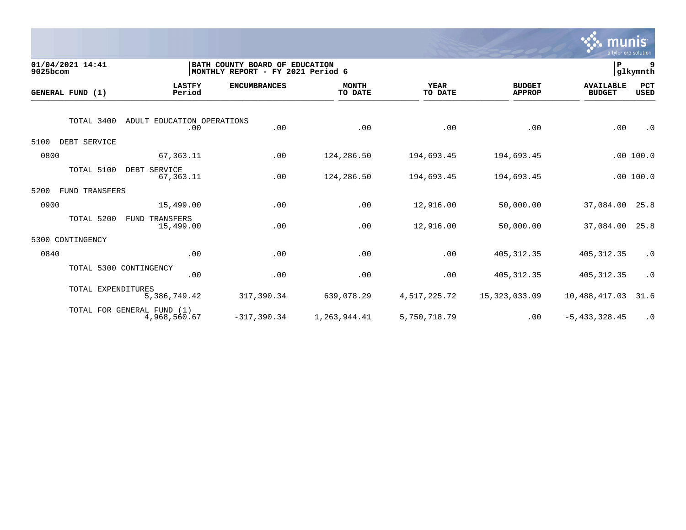

| 9025bcom | 01/04/2021 14:41       |                                            | BATH COUNTY BOARD OF EDUCATION<br> MONTHLY REPORT - FY 2021 Period 6 |                         |                        |                                | ∣P                                | 9<br>glkymnth |
|----------|------------------------|--------------------------------------------|----------------------------------------------------------------------|-------------------------|------------------------|--------------------------------|-----------------------------------|---------------|
|          | GENERAL FUND (1)       | <b>LASTFY</b><br>Period                    | <b>ENCUMBRANCES</b>                                                  | <b>MONTH</b><br>TO DATE | <b>YEAR</b><br>TO DATE | <b>BUDGET</b><br><b>APPROP</b> | <b>AVAILABLE</b><br><b>BUDGET</b> | PCT<br>USED   |
|          | TOTAL 3400             | ADULT EDUCATION OPERATIONS<br>.00          | .00                                                                  | .00                     | .00                    | .00                            | .00                               | $\cdot$ 0     |
| 5100     | DEBT SERVICE           |                                            |                                                                      |                         |                        |                                |                                   |               |
| 0800     |                        | 67,363.11                                  | .00                                                                  | 124,286.50              | 194,693.45             | 194,693.45                     |                                   | .00 100.0     |
|          | TOTAL 5100             | DEBT SERVICE<br>67,363.11                  | .00                                                                  | 124,286.50              | 194,693.45             | 194,693.45                     |                                   | .00 100.0     |
| 5200     | FUND TRANSFERS         |                                            |                                                                      |                         |                        |                                |                                   |               |
| 0900     |                        | 15,499.00                                  | .00                                                                  | .00                     | 12,916.00              | 50,000.00                      | 37,084.00                         | 25.8          |
|          | TOTAL 5200             | FUND TRANSFERS<br>15,499.00                | .00                                                                  | .00                     | 12,916.00              | 50,000.00                      | 37,084.00                         | 25.8          |
| 5300     | CONTINGENCY            |                                            |                                                                      |                         |                        |                                |                                   |               |
| 0840     |                        | .00                                        | .00                                                                  | .00                     | .00                    | 405, 312.35                    | 405, 312.35                       | $\cdot$ 0     |
|          | TOTAL 5300 CONTINGENCY | .00                                        | .00                                                                  | .00                     | .00                    | 405, 312.35                    | 405, 312.35                       | $\cdot$ 0     |
|          | TOTAL EXPENDITURES     | 5,386,749.42                               | 317,390.34                                                           | 639,078.29              | 4,517,225.72           | 15,323,033.09                  | 10,488,417.03                     | 31.6          |
|          |                        | TOTAL FOR GENERAL FUND (1)<br>4,968,560.67 | $-317, 390.34$                                                       | 1,263,944.41            | 5,750,718.79           | .00                            | $-5, 433, 328.45$                 | $\cdot$ 0     |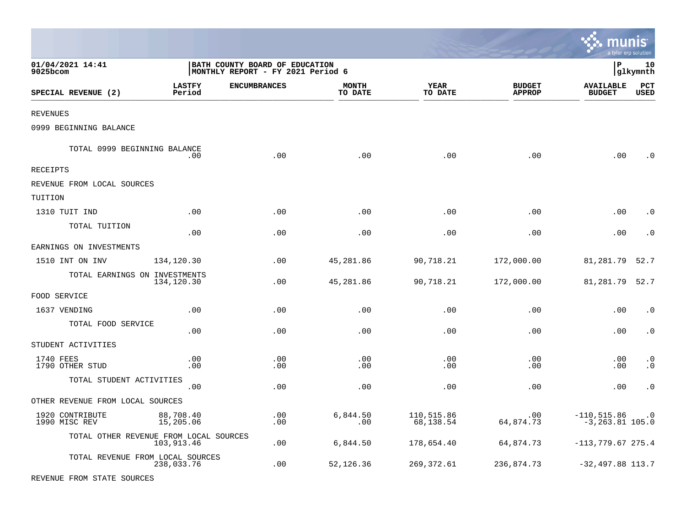|                                        |                         |                                                                     |                         |                         |                                | munis                               | a tyler erp solution |
|----------------------------------------|-------------------------|---------------------------------------------------------------------|-------------------------|-------------------------|--------------------------------|-------------------------------------|----------------------|
| 01/04/2021 14:41<br>9025bcom           |                         | BATH COUNTY BOARD OF EDUCATION<br>MONTHLY REPORT - FY 2021 Period 6 |                         |                         |                                | l P                                 | 10<br> glkymnth      |
| SPECIAL REVENUE (2)                    | <b>LASTFY</b><br>Period | <b>ENCUMBRANCES</b>                                                 | <b>MONTH</b><br>TO DATE | <b>YEAR</b><br>TO DATE  | <b>BUDGET</b><br><b>APPROP</b> | <b>AVAILABLE</b><br><b>BUDGET</b>   | PCT<br><b>USED</b>   |
| REVENUES                               |                         |                                                                     |                         |                         |                                |                                     |                      |
| 0999 BEGINNING BALANCE                 |                         |                                                                     |                         |                         |                                |                                     |                      |
| TOTAL 0999 BEGINNING BALANCE           | .00                     | .00                                                                 | .00                     | .00                     | .00                            | .00                                 | $\Omega$             |
| RECEIPTS                               |                         |                                                                     |                         |                         |                                |                                     |                      |
| REVENUE FROM LOCAL SOURCES             |                         |                                                                     |                         |                         |                                |                                     |                      |
| TUITION                                |                         |                                                                     |                         |                         |                                |                                     |                      |
| 1310 TUIT IND                          | .00                     | .00                                                                 | .00                     | .00                     | .00                            | .00                                 | . 0                  |
| TOTAL TUITION                          | .00                     | .00                                                                 | .00                     | .00                     | .00                            | .00                                 | $\cdot$ 0            |
| EARNINGS ON INVESTMENTS                |                         |                                                                     |                         |                         |                                |                                     |                      |
| 1510 INT ON INV                        | 134,120.30              | .00                                                                 | 45,281.86               | 90,718.21               | 172,000.00                     | 81,281.79                           | 52.7                 |
| TOTAL EARNINGS ON INVESTMENTS          | 134,120.30              | .00                                                                 | 45,281.86               | 90,718.21               | 172,000.00                     | 81,281.79                           | 52.7                 |
| FOOD SERVICE                           |                         |                                                                     |                         |                         |                                |                                     |                      |
| 1637 VENDING                           | .00                     | .00                                                                 | .00                     | .00                     | .00                            | .00                                 | $\cdot$ 0            |
| TOTAL FOOD SERVICE                     | .00                     | .00                                                                 | .00                     | .00                     | .00                            | .00                                 | $\cdot$ 0            |
| STUDENT ACTIVITIES                     |                         |                                                                     |                         |                         |                                |                                     |                      |
| 1740 FEES<br>1790 OTHER STUD           | .00<br>.00              | .00<br>.00                                                          | .00<br>.00              | .00<br>.00              | .00<br>.00                     | .00<br>.00                          | $\cdot$ 0<br>. 0     |
| TOTAL STUDENT ACTIVITIES               | .00                     | .00                                                                 | .00                     | .00                     | .00                            | .00                                 | $\cdot$ 0            |
| OTHER REVENUE FROM LOCAL SOURCES       |                         |                                                                     |                         |                         |                                |                                     |                      |
| 1920 CONTRIBUTE<br>1990 MISC REV       | 88,708.40<br>15,205.06  | .00<br>.00                                                          | 6,844.50<br>.00         | 110,515.86<br>68,138.54 | .00<br>64,874.73               | $-110,515.86$<br>$-3, 263.81$ 105.0 | $\cdot$ 0            |
| TOTAL OTHER REVENUE FROM LOCAL SOURCES | 103,913.46              | .00                                                                 | 6,844.50                | 178,654.40              | 64,874.73                      | $-113,779.67275.4$                  |                      |
| TOTAL REVENUE FROM LOCAL SOURCES       | 238,033.76              | .00                                                                 | 52,126.36               | 269,372.61              | 236,874.73                     | $-32,497.88$ 113.7                  |                      |
| REVENUE FROM STATE SOURCES             |                         |                                                                     |                         |                         |                                |                                     |                      |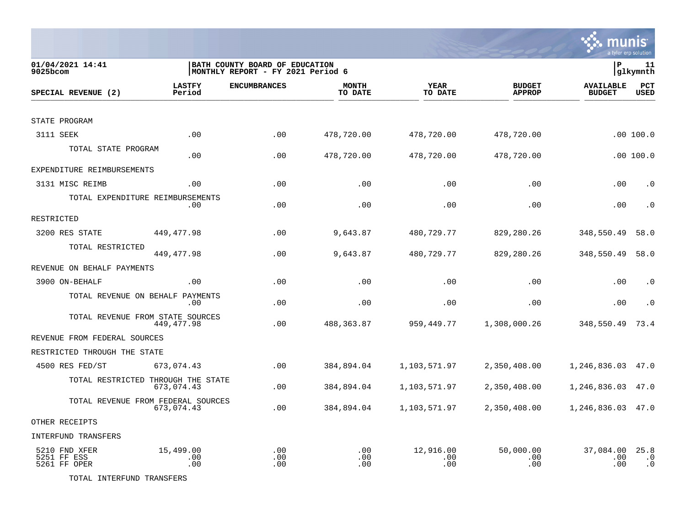

| 01/04/2021 14:41<br>9025bcom                 |                         | BATH COUNTY BOARD OF EDUCATION<br> MONTHLY REPORT - FY 2021 Period 6 |                   |                         |                                | lР                                | 11<br> glkymnth                |
|----------------------------------------------|-------------------------|----------------------------------------------------------------------|-------------------|-------------------------|--------------------------------|-----------------------------------|--------------------------------|
| SPECIAL REVENUE (2)                          | <b>LASTFY</b><br>Period | <b>ENCUMBRANCES</b>                                                  | MONTH<br>TO DATE  | <b>YEAR</b><br>TO DATE  | <b>BUDGET</b><br><b>APPROP</b> | <b>AVAILABLE</b><br><b>BUDGET</b> | PCT<br><b>USED</b>             |
|                                              |                         |                                                                      |                   |                         |                                |                                   |                                |
| STATE PROGRAM                                |                         |                                                                      |                   |                         |                                |                                   |                                |
| 3111 SEEK                                    | .00                     | .00                                                                  | 478,720.00        | 478,720.00              | 478,720.00                     |                                   | .00 100.0                      |
| TOTAL STATE PROGRAM                          | .00                     | .00                                                                  | 478,720.00        | 478,720.00              | 478,720.00                     |                                   | .00 100.0                      |
| EXPENDITURE REIMBURSEMENTS                   |                         |                                                                      |                   |                         |                                |                                   |                                |
| 3131 MISC REIMB                              | .00                     | .00                                                                  | .00               | .00                     | .00                            | .00                               | $\cdot$ 0                      |
| TOTAL EXPENDITURE REIMBURSEMENTS             | .00.                    | .00                                                                  | .00               | .00                     | .00                            | .00                               | $\cdot$ 0                      |
| RESTRICTED                                   |                         |                                                                      |                   |                         |                                |                                   |                                |
| 3200 RES STATE                               | 449,477.98              | .00                                                                  | 9,643.87          | 480,729.77              | 829,280.26                     | 348,550.49                        | 58.0                           |
| TOTAL RESTRICTED                             | 449, 477.98             | .00                                                                  | 9,643.87          | 480,729.77              | 829,280.26                     | 348,550.49                        | 58.0                           |
| REVENUE ON BEHALF PAYMENTS                   |                         |                                                                      |                   |                         |                                |                                   |                                |
| 3900 ON-BEHALF                               | .00                     | .00                                                                  | .00               | .00                     | .00                            | .00                               | $\cdot$ 0                      |
| TOTAL REVENUE ON BEHALF PAYMENTS             | .00                     | .00                                                                  | .00               | .00                     | .00                            | .00                               | $\cdot$ 0                      |
| TOTAL REVENUE FROM STATE SOURCES             | 449,477.98              | .00                                                                  | 488,363.87        | 959,449.77              | 1,308,000.26                   | 348,550.49                        | 73.4                           |
| REVENUE FROM FEDERAL SOURCES                 |                         |                                                                      |                   |                         |                                |                                   |                                |
| RESTRICTED THROUGH THE STATE                 |                         |                                                                      |                   |                         |                                |                                   |                                |
| 4500 RES FED/ST                              | 673,074.43              | .00                                                                  | 384,894.04        | 1,103,571.97            | 2,350,408.00                   | 1,246,836.03                      | 47.0                           |
| TOTAL RESTRICTED THROUGH THE STATE           | 673,074.43              | .00                                                                  | 384,894.04        | 1,103,571.97            | 2,350,408.00                   | 1,246,836.03                      | 47.0                           |
| TOTAL REVENUE FROM FEDERAL SOURCES           | 673,074.43              | .00                                                                  | 384,894.04        | 1,103,571.97            | 2,350,408.00                   | 1,246,836.03 47.0                 |                                |
| OTHER RECEIPTS                               |                         |                                                                      |                   |                         |                                |                                   |                                |
| <b>INTERFUND TRANSFERS</b>                   |                         |                                                                      |                   |                         |                                |                                   |                                |
| 5210 FND XFER<br>5251 FF ESS<br>5261 FF OPER | 15,499.00<br>.00<br>.00 | .00<br>.00<br>.00                                                    | .00<br>.00<br>.00 | 12,916.00<br>.00<br>.00 | 50,000.00<br>.00<br>.00        | 37,084.00<br>.00<br>.00           | 25.8<br>$\cdot$ 0<br>$\cdot$ 0 |

TOTAL INTERFUND TRANSFERS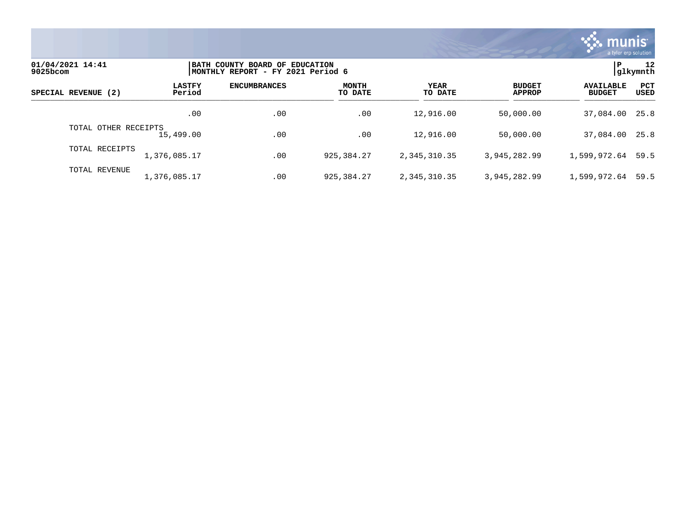

| 01/04/2021 14:41<br>9025bcom |                         | BATH COUNTY BOARD OF EDUCATION<br> MONTHLY REPORT - FY 2021 Period 6 |                         |                        |                                |                                   |                           |  |
|------------------------------|-------------------------|----------------------------------------------------------------------|-------------------------|------------------------|--------------------------------|-----------------------------------|---------------------------|--|
| SPECIAL REVENUE (2)          | <b>LASTFY</b><br>Period | <b>ENCUMBRANCES</b>                                                  | <b>MONTH</b><br>TO DATE | <b>YEAR</b><br>TO DATE | <b>BUDGET</b><br><b>APPROP</b> | <b>AVAILABLE</b><br><b>BUDGET</b> | <b>PCT</b><br><b>USED</b> |  |
|                              | .00                     | .00                                                                  | .00                     | 12,916.00              | 50,000.00                      | 37,084.00 25.8                    |                           |  |
| TOTAL OTHER RECEIPTS         | 15,499.00               | .00                                                                  | .00                     | 12,916.00              | 50,000.00                      | 37,084.00 25.8                    |                           |  |
| TOTAL RECEIPTS               | 1,376,085.17            | .00                                                                  | 925, 384, 27            | 2, 345, 310, 35        | 3,945,282.99                   | 1,599,972.64 59.5                 |                           |  |
| TOTAL REVENUE                | 1,376,085.17            | .00                                                                  | 925, 384, 27            | 2, 345, 310, 35        | 3,945,282.99                   | 1,599,972.64                      | 59.5                      |  |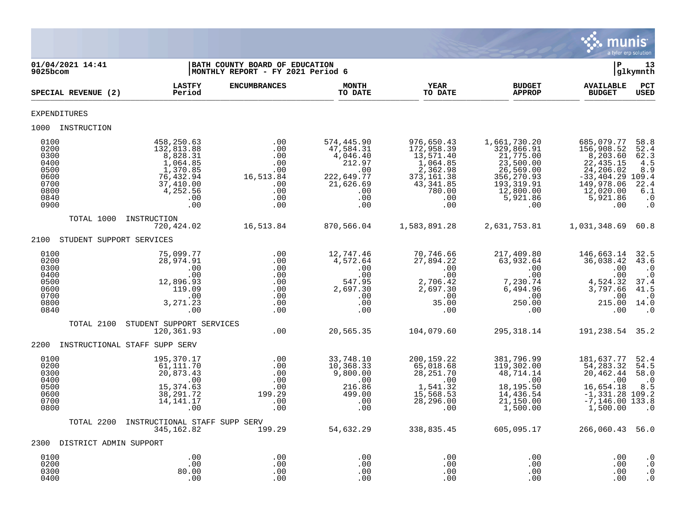

| 01/04/2021 14:41<br>$9025$ bcom                                              |                                                                                                                  | BATH COUNTY BOARD OF EDUCATION<br>MONTHLY REPORT - FY 2021 Period 6      |                                                                                                      |                                                                                                                   |                                                                                                                                 | ΙP                                                                                                                                  | 13<br> glkymnth                                                                                    |
|------------------------------------------------------------------------------|------------------------------------------------------------------------------------------------------------------|--------------------------------------------------------------------------|------------------------------------------------------------------------------------------------------|-------------------------------------------------------------------------------------------------------------------|---------------------------------------------------------------------------------------------------------------------------------|-------------------------------------------------------------------------------------------------------------------------------------|----------------------------------------------------------------------------------------------------|
| SPECIAL REVENUE (2)                                                          | <b>LASTFY</b><br>Period                                                                                          | <b>ENCUMBRANCES</b>                                                      | <b>MONTH</b><br>TO DATE                                                                              | <b>YEAR</b><br>TO DATE                                                                                            | <b>BUDGET</b><br><b>APPROP</b>                                                                                                  | <b>AVAILABLE</b><br><b>BUDGET</b>                                                                                                   | PCT<br><b>USED</b>                                                                                 |
| <b>EXPENDITURES</b>                                                          |                                                                                                                  |                                                                          |                                                                                                      |                                                                                                                   |                                                                                                                                 |                                                                                                                                     |                                                                                                    |
| 1000 INSTRUCTION                                                             |                                                                                                                  |                                                                          |                                                                                                      |                                                                                                                   |                                                                                                                                 |                                                                                                                                     |                                                                                                    |
| 0100<br>0200<br>0300<br>0400<br>0500<br>0600<br>0700<br>0800<br>0840<br>0900 | 458,250.63<br>132,813.88<br>8,828.31<br>1,064.85<br>1,370.85<br>76,432.94<br>37,410.00<br>4,252.56<br>.00<br>.00 | .00<br>.00<br>.00<br>.00<br>.00<br>16,513.84<br>.00<br>.00<br>.00<br>.00 | 574,445.90<br>47,584.31<br>4,046.40<br>212.97<br>.00<br>222,649.77<br>21,626.69<br>.00<br>.00<br>.00 | 976,650.43<br>172,958.39<br>13,571.40<br>1,064.85<br>2,362.98<br>373, 161.38<br>43,341.85<br>780.00<br>.00<br>.00 | 1,661,730.20<br>329,866.91<br>21,775.00<br>23,500.00<br>26,569.00<br>356, 270.93<br>193, 319.91<br>12,800.00<br>5,921.86<br>.00 | 685,079.77<br>156,908.52<br>8,203.60<br>22, 435.15<br>24,206.02<br>$-33,404.29$ 109.4<br>149,978.06<br>12,020.00<br>5,921.86<br>.00 | 58.8<br>52.4<br>62.3<br>4.5<br>8.9<br>22.4<br>6.1<br>$\cdot$ 0<br>$\cdot$ 0                        |
| TOTAL 1000                                                                   | INSTRUCTION<br>720,424.02                                                                                        | 16,513.84                                                                | 870,566.04                                                                                           | 1,583,891.28                                                                                                      | 2,631,753.81                                                                                                                    | 1,031,348.69 60.8                                                                                                                   |                                                                                                    |
| STUDENT SUPPORT SERVICES<br>2100                                             |                                                                                                                  |                                                                          |                                                                                                      |                                                                                                                   |                                                                                                                                 |                                                                                                                                     |                                                                                                    |
| 0100<br>0200<br>0300<br>0400<br>0500<br>0600<br>0700<br>0800<br>0840         | 75,099.77<br>28,974.91<br>.00<br>.00<br>12,896.93<br>119.09<br>.00<br>3, 271. 23<br>.00                          | .00<br>.00<br>.00<br>.00<br>.00<br>.00<br>.00<br>.00<br>.00              | 12,747.46<br>4,572.64<br>.00<br>.00<br>547.95<br>2,697.30<br>.00<br>.00<br>.00                       | 70,746.66<br>27,894.22<br>.00<br>.00<br>2,706.42<br>2,697.30<br>$\overline{00}$<br>35.00<br>.00                   | 217,409.80<br>63,932.64<br>.00<br>$.00\,$<br>7,230.74<br>6,494.96<br>$\overline{00}$<br>250.00<br>.00                           | 146,663.14<br>36,038.42<br>.00<br>.00<br>4,524.32<br>3,797.66<br>.00<br>215.00 14.0<br>.00                                          | 32.5<br>43.6<br>$\cdot$ 0<br>$\cdot$ 0<br>37.4<br>41.5<br>$\overline{\phantom{0}}$ .0<br>$\cdot$ 0 |
| TOTAL 2100                                                                   | STUDENT SUPPORT SERVICES<br>120,361.93                                                                           | .00                                                                      | 20,565.35                                                                                            | 104,079.60                                                                                                        | 295,318.14                                                                                                                      | 191,238.54 35.2                                                                                                                     |                                                                                                    |
| 2200                                                                         | INSTRUCTIONAL STAFF SUPP SERV                                                                                    |                                                                          |                                                                                                      |                                                                                                                   |                                                                                                                                 |                                                                                                                                     |                                                                                                    |
| 0100<br>0200<br>0300<br>0400<br>0500<br>0600<br>0700<br>0800                 | 195,370.17<br>61, 111.70<br>20,873.43<br>.00<br>15,374.63<br>38, 291.72<br>14, 141.17<br>.00                     | .00<br>.00<br>.00<br>.00<br>.00<br>199.29<br>.00<br>.00                  | 33,748.10<br>10,368.33<br>9,800.00<br>.00<br>216.86<br>499.00<br>.00<br>.00                          | 200, 159. 22<br>65,018.68<br>28, 251.70<br>.00<br>1,541.32<br>15,568.53<br>28,296.00<br>.00                       | 381,796.99<br>119,302.00<br>48,714.14<br>.00<br>18,195.50<br>14,436.54<br>21,150.00<br>1,500.00                                 | 181,637.77<br>54, 283. 32<br>20,462.44<br>.00<br>16,654.18<br>$-1,331.28$ 109.2<br>$-7, 146.00$ 133.8<br>1,500.00                   | 52.4<br>54.5<br>58.0<br>$\cdot$ 0<br>8.5<br>$\cdot$ 0                                              |
| TOTAL 2200                                                                   | INSTRUCTIONAL STAFF SUPP SERV<br>345, 162.82                                                                     | 199.29                                                                   | 54,632.29                                                                                            | 338,835.45                                                                                                        | 605,095.17                                                                                                                      | 266,060.43 56.0                                                                                                                     |                                                                                                    |
| 2300 DISTRICT ADMIN SUPPORT                                                  |                                                                                                                  |                                                                          |                                                                                                      |                                                                                                                   |                                                                                                                                 |                                                                                                                                     |                                                                                                    |
| 0100<br>0200<br>0300<br>0400                                                 | .00<br>.00<br>80.00<br>.00                                                                                       | .00<br>.00<br>.00<br>.00                                                 | .00<br>.00<br>.00<br>.00                                                                             | .00<br>.00<br>.00<br>.00                                                                                          | .00<br>.00<br>.00<br>.00                                                                                                        | .00<br>.00<br>.00<br>.00                                                                                                            | $\cdot$ 0<br>$\cdot$ 0<br>$\cdot$ 0<br>$\cdot$ 0                                                   |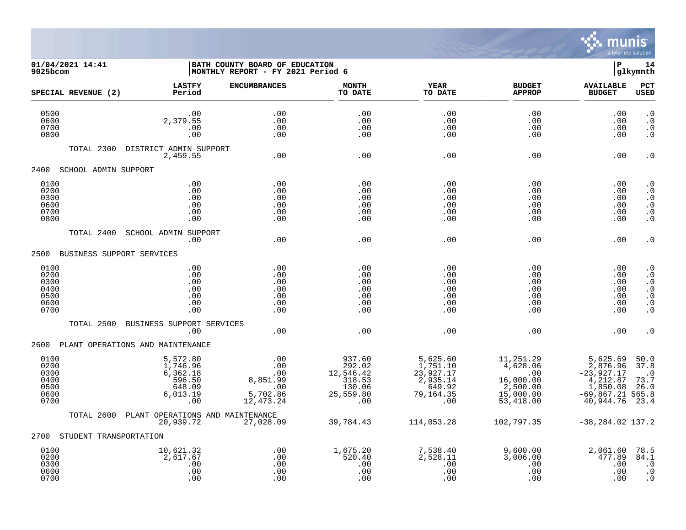

01/04/2021 14:41 **| BATH COUNTY BOARD OF EDUCATION**<br> **01/04/2021 14:41 | P 14**<br> **D P I MONTHLY REPORT** - FY 2021 Period 6 MONTHLY REPORT - FY 2021 Period 6 **LASTFY ENCUMBRANCES MONTH YEAR BUDGET AVAILABLE PCT SPECIAL REVENUE (2) Period TO DATE TO DATE APPROP BUDGET USED** \_\_\_\_\_\_\_\_\_\_\_\_\_\_\_\_\_\_\_\_\_\_\_\_\_\_\_\_\_\_\_\_\_\_\_\_\_\_\_\_\_\_\_\_\_\_\_\_\_\_\_\_\_\_\_\_\_\_\_\_\_\_\_\_ \_\_\_\_\_\_\_\_\_\_\_\_\_\_\_\_\_ \_\_\_\_\_\_\_\_\_\_\_\_\_\_\_\_\_\_ \_\_\_\_\_\_\_\_\_\_\_\_\_\_ \_\_\_\_\_\_\_\_\_\_\_\_\_\_\_ 0500 .00 .00 .00 .00 .00 .00 .0 0600 2,379.55 .00 .00 .00 .00 .00 .0 0700 .00 .00 .00 .00 .00 .00 .0 0800 .00 .00 .00 .00 .00 .00 .0 TOTAL 2300 DISTRICT ADMIN SUPPORT 2,459.55 .00 .00 .00 .00 .00 .0 2400 SCHOOL ADMIN SUPPORT 0100 .00 .00 .00 .00 .00 .00 .0 0200 .00 .00 .00 .00 .00 .00 .0 0300 .00 .00 .00 .00 .00 .00 .0 0600 .00 .00 .00 .00 .00 .00 .0 0700 .00 .00 .00 .00 .00 .00 .0 0800 .00 .00 .00 .00 .00 .00 .0 TOTAL 2400 SCHOOL ADMIN SUPPORT .00 .00 .00 .00 .00 .00 .0 2500 BUSINESS SUPPORT SERVICES 0100 .00 .00 .00 .00 .00 .00 .0 0200 .00 .00 .00 .00 .00 .00 .0 0300 .00 .00 .00 .00 .00 .00 .0 0400 .00 .00 .00 .00 .00 .00 .0 0500 .00 .00 .00 .00 .00 .00 .0 0600 .00 .00 .00 .00 .00 .00 .0 0700 .00 .00 .00 .00 .00 .00 .0 TOTAL 2500 BUSINESS SUPPORT SERVICES .00 .00 .00 .00 .00 .00 .0 2600 PLANT OPERATIONS AND MAINTENANCE 0100 5,572.80 .00 937.60 5,625.60 11,251.29 5,625.69 50.0  $0.200$   $1,746.96$   $1,00$   $292.02$   $1,751.10$   $4,628.06$   $2,876.96$   $37.8$  0300 6,362.18 .00 12,546.42 23,927.17 .00 -23,927.17 .0 0400 596.50 8,851.99 318.53 2,935.14 16,000.00 4,212.87 73.7 0500 648.09 .00 130.06 649.92 2,500.00 1,850.08 26.0 0600 6,013.19 5,702.86 25,559.80 79,164.35 15,000.00 -69,867.21 565.8 0700 .00 12,473.24 .00 .00 53,418.00 40,944.76 23.4 TOTAL 2600 PLANT OPERATIONS AND MAINTENANCE 20,939.72 27,028.09 39,784.43 114,053.28 102,797.35 -38,284.02 137.2 2700 STUDENT TRANSPORTATION 0100 10,621.32 .00 1,675.20 7,538.40 9,600.00 2,061.60 78.5 0200 2,617.67 .00 520.40 2,528.11 3,006.00 477.89 84.1

 0300 .00 .00 .00 .00 .00 .00 .0 0600 .00 .00 .00 .00 .00 .00 .0 0700 .00 .00 .00 .00 .00 .00 .0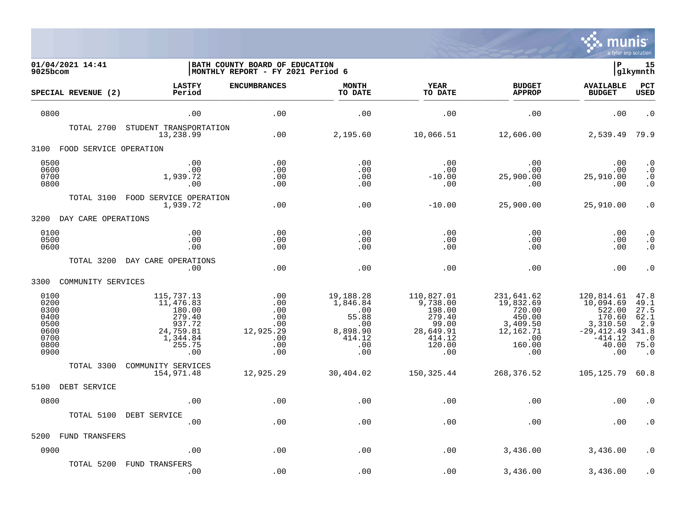

| 01/04/2021 14:41<br>9025bcom                                         |                                                                                                 | BATH COUNTY BOARD OF EDUCATION<br>MONTHLY REPORT - FY 2021 Period 6 |                                                                                  |                                                                                             |                                                                                              | ∣P                                                                                                   | 15<br> glkymnth                                                                |
|----------------------------------------------------------------------|-------------------------------------------------------------------------------------------------|---------------------------------------------------------------------|----------------------------------------------------------------------------------|---------------------------------------------------------------------------------------------|----------------------------------------------------------------------------------------------|------------------------------------------------------------------------------------------------------|--------------------------------------------------------------------------------|
| SPECIAL REVENUE (2)                                                  | <b>LASTFY</b><br>Period                                                                         | <b>ENCUMBRANCES</b>                                                 | <b>MONTH</b><br>TO DATE                                                          | <b>YEAR</b><br>TO DATE                                                                      | <b>BUDGET</b><br><b>APPROP</b>                                                               | <b>AVAILABLE</b><br><b>BUDGET</b>                                                                    | <b>PCT</b><br><b>USED</b>                                                      |
| 0800                                                                 | .00                                                                                             | .00                                                                 | .00                                                                              | .00                                                                                         | .00                                                                                          | .00                                                                                                  | $\cdot$ 0                                                                      |
| TOTAL 2700                                                           | STUDENT TRANSPORTATION<br>13,238.99                                                             | .00                                                                 | 2,195.60                                                                         | 10,066.51                                                                                   | 12,606.00                                                                                    | 2,539.49                                                                                             | 79.9                                                                           |
| 3100<br>FOOD SERVICE OPERATION                                       |                                                                                                 |                                                                     |                                                                                  |                                                                                             |                                                                                              |                                                                                                      |                                                                                |
| 0500<br>0600<br>0700<br>0800<br>TOTAL 3100                           | .00<br>.00<br>1,939.72<br>.00<br>FOOD SERVICE OPERATION                                         | .00<br>.00<br>.00<br>.00                                            | .00<br>.00<br>.00<br>.00                                                         | .00<br>.00<br>$-10.00$<br>.00                                                               | .00<br>.00<br>25,900.00<br>.00                                                               | .00<br>.00<br>25,910.00<br>.00                                                                       | $\cdot$ 0<br>$\cdot$ 0<br>$\cdot$ 0<br>$\boldsymbol{\cdot}$ 0                  |
|                                                                      | 1,939.72                                                                                        | .00                                                                 | .00                                                                              | $-10.00$                                                                                    | 25,900.00                                                                                    | 25,910.00                                                                                            | $\cdot$ 0                                                                      |
| DAY CARE OPERATIONS<br>3200                                          |                                                                                                 |                                                                     |                                                                                  |                                                                                             |                                                                                              |                                                                                                      |                                                                                |
| 0100<br>0500<br>0600                                                 | .00<br>.00<br>.00                                                                               | .00<br>.00<br>.00                                                   | .00<br>.00<br>.00                                                                | .00<br>.00<br>.00                                                                           | .00<br>.00<br>.00                                                                            | .00<br>.00<br>.00                                                                                    | $\cdot$ 0<br>$\boldsymbol{\cdot}$ 0<br>$\cdot$ 0                               |
| TOTAL 3200                                                           | DAY CARE OPERATIONS<br>.00                                                                      | .00                                                                 | .00                                                                              | .00                                                                                         | .00                                                                                          | .00                                                                                                  | $\cdot$ 0                                                                      |
| 3300<br>COMMUNITY SERVICES                                           |                                                                                                 |                                                                     |                                                                                  |                                                                                             |                                                                                              |                                                                                                      |                                                                                |
| 0100<br>0200<br>0300<br>0400<br>0500<br>0600<br>0700<br>0800<br>0900 | 115,737.13<br>11,476.83<br>180.00<br>279.40<br>937.72<br>24,759.81<br>1,344.84<br>255.75<br>.00 | .00<br>.00<br>.00<br>.00<br>.00<br>12,925.29<br>.00<br>.00<br>.00   | 19,188.28<br>1,846.84<br>.00<br>55.88<br>.00<br>8,898.90<br>414.12<br>.00<br>.00 | 110,827.01<br>9,738.00<br>198.00<br>279.40<br>99.00<br>28,649.91<br>414.12<br>120.00<br>.00 | 231,641.62<br>19,832.69<br>720.00<br>450.00<br>3,409.50<br>12,162.71<br>.00<br>160.00<br>.00 | 120,814.61<br>10,094.69<br>522.00<br>170.60<br>3,310.50<br>$-29,412.49$<br>$-414.12$<br>40.00<br>.00 | 47.8<br>49.1<br>27.5<br>62.1<br>2.9<br>341.8<br>$\cdot$ 0<br>75.0<br>$\cdot$ 0 |
| TOTAL 3300                                                           | COMMUNITY SERVICES<br>154,971.48                                                                | 12,925.29                                                           | 30,404.02                                                                        | 150, 325.44                                                                                 | 268,376.52                                                                                   | 105, 125.79                                                                                          | 60.8                                                                           |
| 5100<br>DEBT SERVICE                                                 |                                                                                                 |                                                                     |                                                                                  |                                                                                             |                                                                                              |                                                                                                      |                                                                                |
| 0800                                                                 | .00                                                                                             | .00                                                                 | .00                                                                              | .00                                                                                         | .00                                                                                          | .00                                                                                                  | . 0                                                                            |
| TOTAL 5100                                                           | DEBT SERVICE<br>.00                                                                             | .00                                                                 | .00                                                                              | .00                                                                                         | .00                                                                                          | .00                                                                                                  | $\cdot$ 0                                                                      |
| 5200<br><b>FUND TRANSFERS</b>                                        |                                                                                                 |                                                                     |                                                                                  |                                                                                             |                                                                                              |                                                                                                      |                                                                                |
| 0900                                                                 | .00                                                                                             | .00                                                                 | .00                                                                              | .00                                                                                         | 3,436.00                                                                                     | 3,436.00                                                                                             | $\cdot$ 0                                                                      |
| TOTAL 5200                                                           | FUND TRANSFERS<br>.00                                                                           | .00                                                                 | .00                                                                              | .00                                                                                         | 3,436.00                                                                                     | 3,436.00                                                                                             | $\cdot$ 0                                                                      |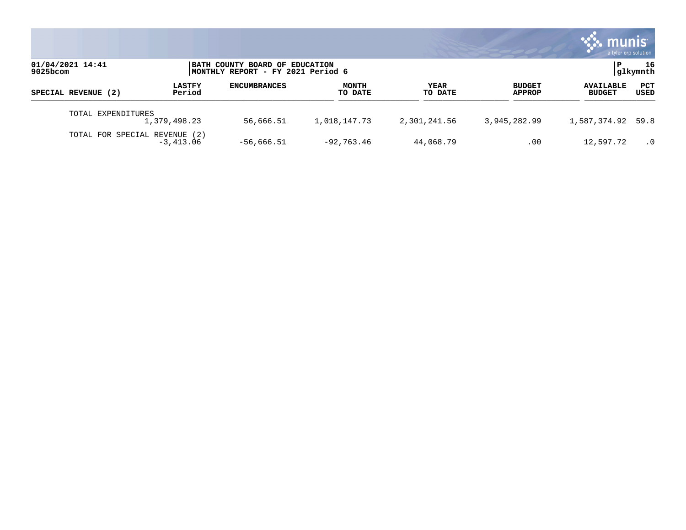|                                 |                         |                                                                     |                  |                        |                                | munis<br>a tyler erp solution     |                |
|---------------------------------|-------------------------|---------------------------------------------------------------------|------------------|------------------------|--------------------------------|-----------------------------------|----------------|
| 01/04/2021 14:41<br>$9025$ bcom |                         | BATH COUNTY BOARD OF EDUCATION<br>MONTHLY REPORT - FY 2021 Period 6 |                  |                        |                                | P                                 | 16<br>glkymnth |
| SPECIAL REVENUE (2)             | <b>LASTFY</b><br>Period | <b>ENCUMBRANCES</b>                                                 | MONTH<br>TO DATE | <b>YEAR</b><br>TO DATE | <b>BUDGET</b><br><b>APPROP</b> | <b>AVAILABLE</b><br><b>BUDGET</b> | PCT<br>USED    |
| TOTAL EXPENDITURES              | 1,379,498.23            | 56,666.51                                                           | 1,018,147.73     | 2,301,241.56           | 3,945,282.99                   | 1,587,374.92 59.8                 |                |
| TOTAL FOR SPECIAL REVENUE (2)   | $-3,413.06$             | $-56,666.51$                                                        | $-92,763.46$     | 44,068.79              | .00                            | 12,597.72                         | $\cdot$ 0      |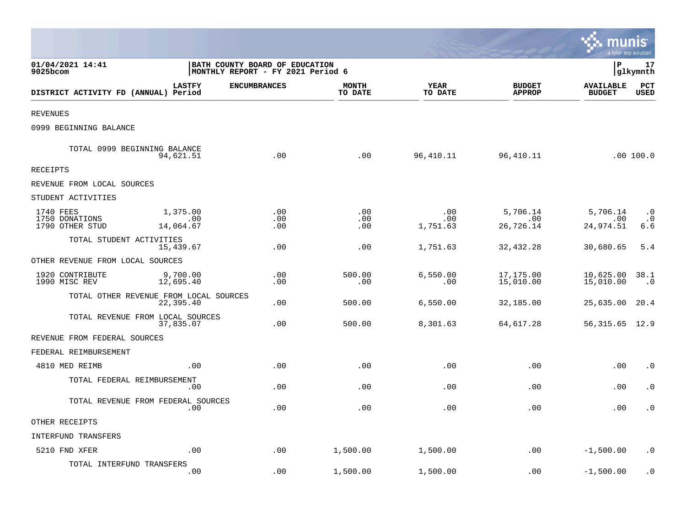|                                                |                              |                                                                             |                         |                        |                                | <b>A. MUNIS</b><br>a tyler erp solution |                               |
|------------------------------------------------|------------------------------|-----------------------------------------------------------------------------|-------------------------|------------------------|--------------------------------|-----------------------------------------|-------------------------------|
| 01/04/2021 14:41<br>9025bcom                   |                              | <b>BATH COUNTY BOARD OF EDUCATION</b><br> MONTHLY REPORT - FY 2021 Period 6 |                         |                        |                                | lР                                      | 17<br> glkymnth               |
| DISTRICT ACTIVITY FD (ANNUAL) Period           | <b>LASTFY</b>                | <b>ENCUMBRANCES</b>                                                         | <b>MONTH</b><br>TO DATE | YEAR<br>TO DATE        | <b>BUDGET</b><br><b>APPROP</b> | <b>AVAILABLE</b><br><b>BUDGET</b>       | PCT<br><b>USED</b>            |
| <b>REVENUES</b>                                |                              |                                                                             |                         |                        |                                |                                         |                               |
| 0999 BEGINNING BALANCE                         |                              |                                                                             |                         |                        |                                |                                         |                               |
| TOTAL 0999 BEGINNING BALANCE                   | 94,621.51                    | .00                                                                         | .00                     | 96,410.11              | 96,410.11                      |                                         | .00 100.0                     |
| RECEIPTS                                       |                              |                                                                             |                         |                        |                                |                                         |                               |
| REVENUE FROM LOCAL SOURCES                     |                              |                                                                             |                         |                        |                                |                                         |                               |
| STUDENT ACTIVITIES                             |                              |                                                                             |                         |                        |                                |                                         |                               |
| 1740 FEES<br>1750 DONATIONS<br>1790 OTHER STUD | 1,375.00<br>.00<br>14,064.67 | .00<br>.00<br>.00                                                           | .00<br>.00<br>.00       | .00<br>.00<br>1,751.63 | 5,706.14<br>.00<br>26,726.14   | 5,706.14<br>.00<br>24,974.51            | $\cdot$ 0<br>$\cdot$ 0<br>6.6 |
| TOTAL STUDENT ACTIVITIES                       | 15,439.67                    | .00                                                                         | .00                     | 1,751.63               | 32, 432.28                     | 30,680.65                               | 5.4                           |
| OTHER REVENUE FROM LOCAL SOURCES               |                              |                                                                             |                         |                        |                                |                                         |                               |
| 1920 CONTRIBUTE<br>1990 MISC REV               | 9,700.00<br>12,695.40        | .00<br>.00                                                                  | 500.00<br>.00           | 6,550.00<br>.00        | 17,175.00<br>15,010.00         | 10,625.00<br>15,010.00                  | 38.1<br>$\cdot$ 0             |
| TOTAL OTHER REVENUE FROM LOCAL SOURCES         | 22,395.40                    | .00                                                                         | 500.00                  | 6,550.00               | 32,185.00                      | 25,635.00                               | 20.4                          |
| TOTAL REVENUE FROM LOCAL SOURCES               | 37,835.07                    | .00                                                                         | 500.00                  | 8,301.63               | 64,617.28                      | 56, 315. 65 12. 9                       |                               |
| REVENUE FROM FEDERAL SOURCES                   |                              |                                                                             |                         |                        |                                |                                         |                               |
| FEDERAL REIMBURSEMENT                          |                              |                                                                             |                         |                        |                                |                                         |                               |
| 4810 MED REIMB                                 | .00                          | .00                                                                         | .00                     | .00                    | .00                            | .00                                     | $\cdot$ 0                     |
| TOTAL FEDERAL REIMBURSEMENT                    | .00                          | .00                                                                         | .00                     | .00                    | .00                            | .00                                     | $\cdot$ 0                     |
| TOTAL REVENUE FROM FEDERAL SOURCES             | .00                          | .00                                                                         | .00                     | .00                    | .00                            | .00                                     | $\cdot$ 0                     |
| OTHER RECEIPTS                                 |                              |                                                                             |                         |                        |                                |                                         |                               |
| INTERFUND TRANSFERS                            |                              |                                                                             |                         |                        |                                |                                         |                               |
| 5210 FND XFER                                  | .00                          | .00                                                                         | 1,500.00                | 1,500.00               | .00                            | $-1,500.00$                             | . 0                           |
| TOTAL INTERFUND TRANSFERS                      | .00                          | .00                                                                         | 1,500.00                | 1,500.00               | .00                            | $-1,500.00$                             | $\cdot$ 0                     |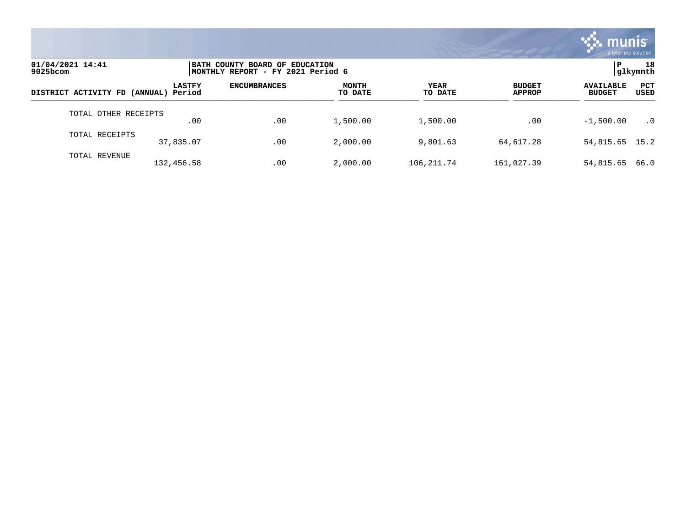

| 01/04/2021 14:41<br>9025bcom         |               | BATH COUNTY BOARD OF EDUCATION<br> MONTHLY REPORT - FY 2021 Period 6 |                         |                 |                                |                                                         |  |
|--------------------------------------|---------------|----------------------------------------------------------------------|-------------------------|-----------------|--------------------------------|---------------------------------------------------------|--|
| DISTRICT ACTIVITY FD (ANNUAL) Period | <b>LASTFY</b> | <b>ENCUMBRANCES</b>                                                  | <b>MONTH</b><br>TO DATE | YEAR<br>TO DATE | <b>BUDGET</b><br><b>APPROP</b> | <b>PCT</b><br><b>AVAILABLE</b><br><b>BUDGET</b><br>USED |  |
| TOTAL OTHER RECEIPTS                 | .00           | .00                                                                  | 1,500.00                | 1,500.00        | .00                            | $-1,500.00$<br>$\cdot$ 0                                |  |
| TOTAL RECEIPTS                       | 37,835.07     | .00                                                                  | 2,000.00                | 9,801.63        | 64,617.28                      | 54,815.65 15.2                                          |  |
| TOTAL REVENUE                        | 132,456.58    | .00                                                                  | 2,000.00                | 106, 211.74     | 161,027.39                     | 66.0<br>54,815.65                                       |  |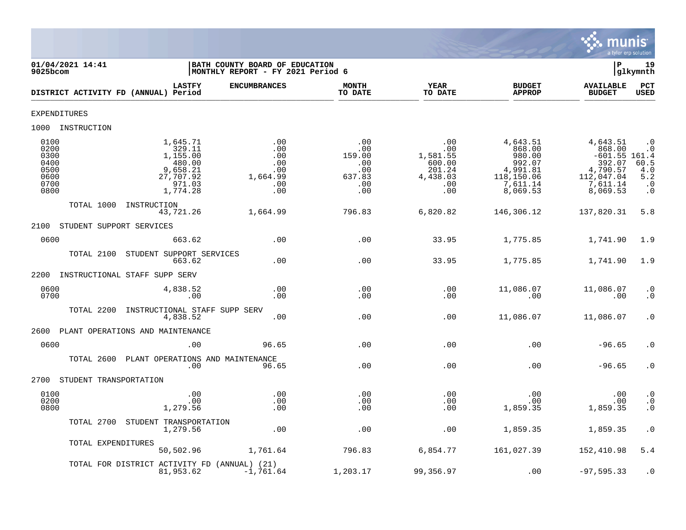

| 01/04/2021 14:41<br>$9025$ bcom                              |                                                                                         | BATH COUNTY BOARD OF EDUCATION<br>MONTHLY REPORT - FY 2021 Period 6 |                                                                 |                                                                      |                                                                                          | Þ                                                                                                 | 19<br>glkymnth                                                           |
|--------------------------------------------------------------|-----------------------------------------------------------------------------------------|---------------------------------------------------------------------|-----------------------------------------------------------------|----------------------------------------------------------------------|------------------------------------------------------------------------------------------|---------------------------------------------------------------------------------------------------|--------------------------------------------------------------------------|
|                                                              | <b>LASTFY</b><br>DISTRICT ACTIVITY FD (ANNUAL) Period                                   | <b>ENCUMBRANCES</b>                                                 | <b>MONTH</b><br>TO DATE                                         | YEAR<br>TO DATE                                                      | <b>BUDGET</b><br><b>APPROP</b>                                                           | <b>AVAILABLE</b><br><b>BUDGET</b>                                                                 | <b>PCT</b><br>USED                                                       |
| <b>EXPENDITURES</b>                                          |                                                                                         |                                                                     |                                                                 |                                                                      |                                                                                          |                                                                                                   |                                                                          |
| 1000 INSTRUCTION                                             |                                                                                         |                                                                     |                                                                 |                                                                      |                                                                                          |                                                                                                   |                                                                          |
| 0100<br>0200<br>0300<br>0400<br>0500<br>0600<br>0700<br>0800 | 1,645.71<br>329.11<br>1,155.00<br>480.00<br>9,658.21<br>27,707.92<br>971.03<br>1,774.28 | .00<br>.00<br>.00<br>.00<br>.00<br>1,664.99<br>.00<br>.00           | .00<br>$.00 \,$<br>159.00<br>.00<br>.00<br>637.83<br>.00<br>.00 | .00<br>.00<br>1,581.55<br>600.00<br>201.24<br>4,438.03<br>.00<br>.00 | 4,643.51<br>868.00<br>980.00<br>992.07<br>4,991.81<br>118,150.06<br>7,611.14<br>8,069.53 | 4,643.51<br>868.00<br>$-601.55$ 161.4<br>392.07<br>4,790.57<br>112,047.04<br>7,611.14<br>8,069.53 | $\cdot$ 0<br>$\cdot$ 0<br>$60.5$<br>4.0<br>5.2<br>$\cdot$ 0<br>$\cdot$ 0 |
| TOTAL 1000                                                   | INSTRUCTION<br>43,721.26                                                                | 1,664.99                                                            | 796.83                                                          | 6,820.82                                                             | 146,306.12                                                                               | 137,820.31                                                                                        | 5.8                                                                      |
| 2100                                                         | STUDENT SUPPORT SERVICES                                                                |                                                                     |                                                                 |                                                                      |                                                                                          |                                                                                                   |                                                                          |
| 0600                                                         | 663.62                                                                                  | .00                                                                 | .00                                                             | 33.95                                                                | 1,775.85                                                                                 | 1,741.90                                                                                          | 1.9                                                                      |
| TOTAL 2100                                                   | STUDENT SUPPORT SERVICES<br>663.62                                                      | .00                                                                 | .00                                                             | 33.95                                                                | 1,775.85                                                                                 | 1,741.90                                                                                          | 1.9                                                                      |
|                                                              | 2200 INSTRUCTIONAL STAFF SUPP SERV                                                      |                                                                     |                                                                 |                                                                      |                                                                                          |                                                                                                   |                                                                          |
| 0600<br>0700                                                 | 4,838.52<br>.00                                                                         | .00<br>.00                                                          | .00<br>.00                                                      | .00<br>.00                                                           | 11,086.07<br>.00                                                                         | 11,086.07<br>.00                                                                                  | $\cdot$ 0<br>$\cdot$ 0                                                   |
| TOTAL 2200                                                   | INSTRUCTIONAL STAFF SUPP SERV<br>4,838.52                                               | .00                                                                 | .00                                                             | .00                                                                  | 11,086.07                                                                                | 11,086.07                                                                                         | $\cdot$ 0                                                                |
| 2600                                                         | PLANT OPERATIONS AND MAINTENANCE                                                        |                                                                     |                                                                 |                                                                      |                                                                                          |                                                                                                   |                                                                          |
| 0600                                                         | .00                                                                                     | 96.65                                                               | .00                                                             | .00                                                                  | .00                                                                                      | $-96.65$                                                                                          | $\cdot$ 0                                                                |
|                                                              | TOTAL 2600 PLANT OPERATIONS AND MAINTENANCE<br>.00                                      | 96.65                                                               | .00                                                             | .00                                                                  | .00                                                                                      | $-96.65$                                                                                          | $\cdot$ 0                                                                |
| 2700                                                         | STUDENT TRANSPORTATION                                                                  |                                                                     |                                                                 |                                                                      |                                                                                          |                                                                                                   |                                                                          |
| 0100<br>0200<br>0800                                         | .00<br>.00<br>1,279.56                                                                  | .00<br>.00<br>.00                                                   | .00<br>.00<br>.00                                               | .00<br>.00<br>.00                                                    | .00<br>.00<br>1,859.35                                                                   | .00<br>.00<br>1,859.35                                                                            | $\cdot$ 0<br>$\frac{0}{0}$                                               |
|                                                              | TOTAL 2700 STUDENT TRANSPORTATION<br>1,279.56                                           | .00                                                                 | .00                                                             | .00                                                                  | 1,859.35                                                                                 | 1,859.35                                                                                          | $\cdot$ 0                                                                |
|                                                              | TOTAL EXPENDITURES<br>50,502.96                                                         | 1,761.64                                                            | 796.83                                                          | 6,854.77                                                             | 161,027.39                                                                               | 152,410.98                                                                                        | 5.4                                                                      |
|                                                              | TOTAL FOR DISTRICT ACTIVITY FD (ANNUAL) (21)<br>81,953.62                               | $-1,761.64$                                                         | 1,203.17                                                        | 99,356.97                                                            | .00                                                                                      | $-97, 595.33$                                                                                     | $\cdot$ 0                                                                |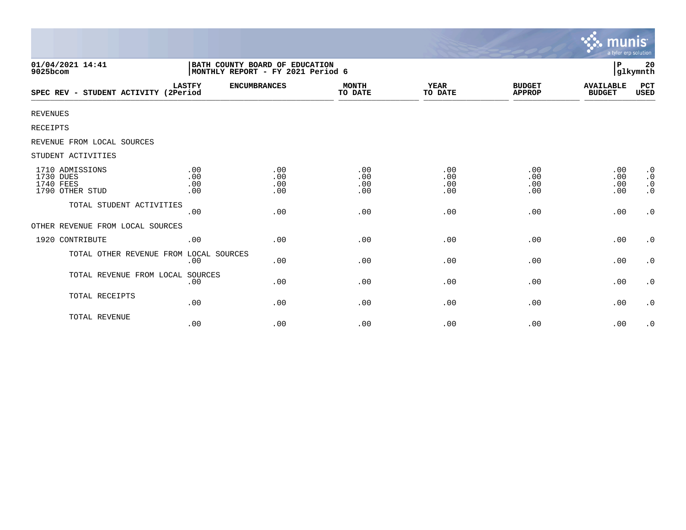|                                                              |                                                                     |                          |                          |                          |                                | <b>munis</b><br>a tyler erp solution |                                                  |
|--------------------------------------------------------------|---------------------------------------------------------------------|--------------------------|--------------------------|--------------------------|--------------------------------|--------------------------------------|--------------------------------------------------|
| 01/04/2021 14:41<br>9025bcom                                 | BATH COUNTY BOARD OF EDUCATION<br>MONTHLY REPORT - FY 2021 Period 6 |                          |                          |                          |                                | P                                    | 20<br>glkymnth                                   |
| SPEC REV - STUDENT ACTIVITY (2Period                         | <b>LASTFY</b>                                                       | <b>ENCUMBRANCES</b>      | <b>MONTH</b><br>TO DATE  | YEAR<br>TO DATE          | <b>BUDGET</b><br><b>APPROP</b> | <b>AVAILABLE</b><br><b>BUDGET</b>    | PCT<br>USED                                      |
| <b>REVENUES</b>                                              |                                                                     |                          |                          |                          |                                |                                      |                                                  |
| RECEIPTS                                                     |                                                                     |                          |                          |                          |                                |                                      |                                                  |
| REVENUE FROM LOCAL SOURCES                                   |                                                                     |                          |                          |                          |                                |                                      |                                                  |
| STUDENT ACTIVITIES                                           |                                                                     |                          |                          |                          |                                |                                      |                                                  |
| 1710 ADMISSIONS<br>1730 DUES<br>1740 FEES<br>1790 OTHER STUD | .00<br>.00<br>.00<br>.00                                            | .00<br>.00<br>.00<br>.00 | .00<br>.00<br>.00<br>.00 | .00<br>.00<br>.00<br>.00 | .00<br>.00<br>.00<br>.00       | .00<br>.00<br>.00<br>.00             | $\cdot$ 0<br>$\cdot$ 0<br>$\cdot$ 0<br>$\cdot$ 0 |
| TOTAL STUDENT ACTIVITIES                                     | .00                                                                 | .00                      | .00                      | .00                      | .00                            | .00                                  | $\boldsymbol{\cdot}$ 0                           |
| OTHER REVENUE FROM LOCAL SOURCES                             |                                                                     |                          |                          |                          |                                |                                      |                                                  |
| 1920 CONTRIBUTE                                              | .00                                                                 | .00                      | .00                      | .00                      | .00                            | .00                                  | $\cdot$ 0                                        |
| TOTAL OTHER REVENUE FROM LOCAL SOURCES                       | .00                                                                 | .00                      | .00                      | .00                      | .00                            | .00                                  | $\cdot$ 0                                        |
| TOTAL REVENUE FROM LOCAL SOURCES                             | .00                                                                 | .00                      | .00                      | .00                      | .00                            | .00                                  | $\cdot$ 0                                        |
| TOTAL RECEIPTS                                               | .00                                                                 | .00                      | .00                      | .00                      | .00                            | .00                                  | $\cdot$ 0                                        |
| TOTAL REVENUE                                                | .00                                                                 | .00                      | .00                      | .00                      | .00                            | .00                                  | $\cdot$ 0                                        |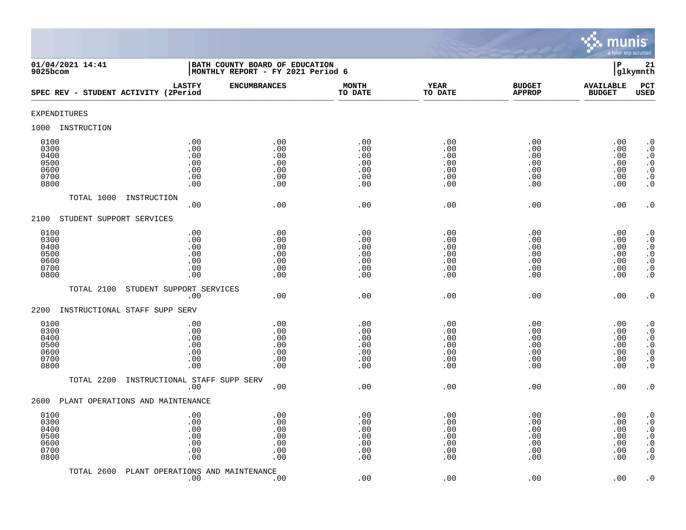

| 01/04/2021 14:41<br>$9025$ bcom                      |                                                                         | BATH COUNTY BOARD OF EDUCATION<br>MONTHLY REPORT - FY 2021 Period 6 |                                               |                                               |                                               | $\mathbf P$                                   | 21<br>glkymnth                                                                                                                                    |
|------------------------------------------------------|-------------------------------------------------------------------------|---------------------------------------------------------------------|-----------------------------------------------|-----------------------------------------------|-----------------------------------------------|-----------------------------------------------|---------------------------------------------------------------------------------------------------------------------------------------------------|
| SPEC REV - STUDENT ACTIVITY (2Period                 | <b>LASTFY</b>                                                           | <b>ENCUMBRANCES</b>                                                 | <b>MONTH</b><br>TO DATE                       | <b>YEAR</b><br>TO DATE                        | <b>BUDGET</b><br><b>APPROP</b>                | <b>AVAILABLE</b><br><b>BUDGET</b>             | PCT<br><b>USED</b>                                                                                                                                |
| <b>EXPENDITURES</b>                                  |                                                                         |                                                                     |                                               |                                               |                                               |                                               |                                                                                                                                                   |
| 1000<br>INSTRUCTION                                  |                                                                         |                                                                     |                                               |                                               |                                               |                                               |                                                                                                                                                   |
| 0100<br>0300<br>0400<br>0500<br>0600<br>0700<br>0800 | .00<br>.00<br>.00<br>$.00$<br>.00<br>.00<br>.00                         | .00<br>.00<br>.00<br>.00<br>.00<br>.00<br>.00                       | .00<br>.00<br>.00<br>.00<br>.00<br>.00<br>.00 | .00<br>.00<br>.00<br>.00<br>.00<br>.00<br>.00 | .00<br>.00<br>.00<br>.00<br>.00<br>.00<br>.00 | .00<br>.00<br>.00<br>.00<br>.00<br>.00<br>.00 | $\cdot$ 0<br>$\boldsymbol{\cdot}$ 0<br>$\cdot$ 0<br>$\begin{smallmatrix} . & 0 \\ . & 0 \end{smallmatrix}$<br>$\boldsymbol{\cdot}$ 0<br>$\cdot$ 0 |
| TOTAL 1000                                           | INSTRUCTION<br>.00                                                      | .00                                                                 | .00                                           | .00                                           | .00                                           | .00                                           | $\cdot$ 0                                                                                                                                         |
| STUDENT SUPPORT SERVICES<br>2100                     |                                                                         |                                                                     |                                               |                                               |                                               |                                               |                                                                                                                                                   |
| 0100<br>0300<br>0400<br>0500<br>0600<br>0700<br>0800 | .00<br>.00<br>.00<br>.00<br>.00<br>.00<br>.00                           | .00<br>.00<br>.00<br>.00<br>.00<br>.00<br>.00                       | .00<br>.00<br>.00<br>.00<br>.00<br>.00<br>.00 | .00<br>.00<br>.00<br>.00<br>.00<br>.00<br>.00 | .00<br>.00<br>.00<br>.00<br>.00<br>.00<br>.00 | .00<br>.00<br>.00<br>.00<br>.00<br>.00<br>.00 | $\cdot$ 0<br>$\cdot$ 0<br>$\cdot$ 0<br>$\begin{array}{c} 0 \\ 0 \\ 0 \\ 0 \end{array}$<br>$\cdot$ 0                                               |
| TOTAL 2100                                           | STUDENT SUPPORT SERVICES                                                |                                                                     |                                               |                                               |                                               |                                               |                                                                                                                                                   |
| 2200<br>INSTRUCTIONAL STAFF SUPP SERV                | .00                                                                     | .00                                                                 | .00                                           | .00                                           | .00                                           | .00                                           | $\cdot$ 0                                                                                                                                         |
| 0100<br>0300<br>0400<br>0500<br>0600<br>0700<br>0800 | .00<br>.00<br>.00<br>.00<br>.00<br>.00<br>.00                           | .00<br>.00<br>.00<br>.00<br>.00<br>.00<br>.00                       | .00<br>.00<br>.00<br>.00<br>.00<br>.00<br>.00 | .00<br>.00<br>.00<br>.00<br>.00<br>.00<br>.00 | .00<br>.00<br>.00<br>.00<br>.00<br>.00<br>.00 | .00<br>.00<br>.00<br>.00<br>.00<br>.00<br>.00 | $\cdot$ 0<br>$\cdot$ 0<br>$\begin{smallmatrix} 0.1 \\ 0.1 \end{smallmatrix}$<br>$\ddot{0}$<br>$\boldsymbol{\cdot}$ 0<br>$\overline{0}$            |
| TOTAL 2200                                           | INSTRUCTIONAL STAFF SUPP SERV<br>.00                                    | .00                                                                 | .00                                           | .00                                           | .00                                           | .00                                           | $\cdot$ 0                                                                                                                                         |
| PLANT OPERATIONS AND MAINTENANCE<br>2600             |                                                                         |                                                                     |                                               |                                               |                                               |                                               |                                                                                                                                                   |
| 0100<br>0300<br>0400<br>0500<br>0600<br>0700<br>0800 | .00<br>.00<br>.00<br>.00<br>$.00$<br>.00<br>$\boldsymbol{\mathsf{.00}}$ | .00<br>.00<br>.00<br>.00<br>.00<br>.00<br>.00                       | .00<br>.00<br>.00<br>.00<br>.00<br>.00<br>.00 | .00<br>.00<br>.00<br>.00<br>.00<br>.00<br>.00 | .00<br>.00<br>.00<br>.00<br>.00<br>.00<br>.00 | .00<br>.00<br>.00<br>.00<br>.00<br>.00<br>.00 | $\cdot$ 0<br>$\cdot$ 0<br>$\boldsymbol{\cdot}$ 0<br>$\ddot{0}$<br>$\boldsymbol{\cdot}$ 0<br>$\boldsymbol{\cdot}$ 0<br>$\cdot$ 0                   |
| TOTAL 2600                                           | PLANT OPERATIONS AND MAINTENANCE<br>.00                                 | .00                                                                 | .00                                           | .00                                           | .00                                           | .00                                           | $\cdot$ 0                                                                                                                                         |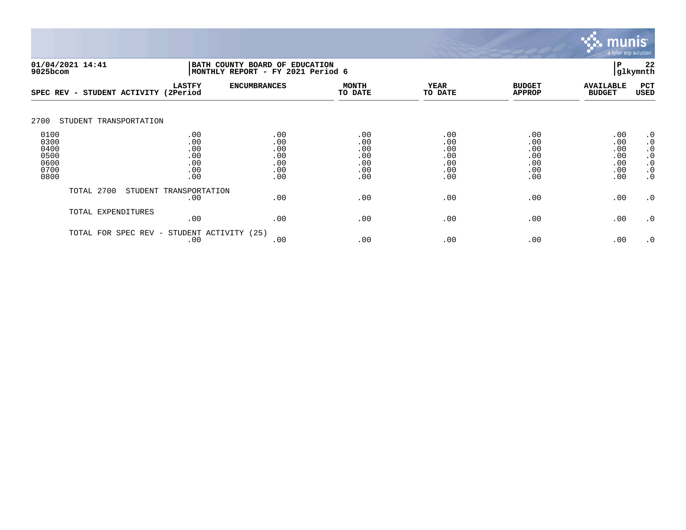

| 01/04/2021 14:41<br>9025bcom                         |                                               | BATH COUNTY BOARD OF EDUCATION<br>MONTHLY REPORT - FY 2021 Period 6 |                                               |                                               |                                               |                                               | 22<br>glkymnth                                                                          |
|------------------------------------------------------|-----------------------------------------------|---------------------------------------------------------------------|-----------------------------------------------|-----------------------------------------------|-----------------------------------------------|-----------------------------------------------|-----------------------------------------------------------------------------------------|
| SPEC REV - STUDENT ACTIVITY (2Period                 | <b>LASTFY</b>                                 | <b>ENCUMBRANCES</b>                                                 | <b>MONTH</b><br>TO DATE                       | <b>YEAR</b><br>TO DATE                        | <b>BUDGET</b><br><b>APPROP</b>                | <b>AVAILABLE</b><br><b>BUDGET</b>             | PCT<br><b>USED</b>                                                                      |
| 2700<br>STUDENT TRANSPORTATION                       |                                               |                                                                     |                                               |                                               |                                               |                                               |                                                                                         |
| 0100<br>0300<br>0400<br>0500<br>0600<br>0700<br>0800 | .00<br>.00<br>.00<br>.00<br>.00<br>.00<br>.00 | .00<br>.00<br>.00<br>.00<br>.00<br>.00<br>.00                       | .00<br>.00<br>.00<br>.00<br>.00<br>.00<br>.00 | .00<br>.00<br>.00<br>.00<br>.00<br>.00<br>.00 | .00<br>.00<br>.00<br>.00<br>.00<br>.00<br>.00 | .00<br>.00<br>.00<br>.00<br>.00<br>.00<br>.00 | $\cdot$ 0<br>$\cdot$ 0<br>$\cdot$ 0<br>$\cdot$ 0<br>$\cdot$ 0<br>$\cdot$ 0<br>$\cdot$ 0 |
| TOTAL 2700                                           | STUDENT TRANSPORTATION<br>.00                 | .00                                                                 | .00                                           | .00                                           | .00                                           | .00                                           | $\cdot$ 0                                                                               |
| TOTAL EXPENDITURES                                   | .00                                           | .00                                                                 | .00                                           | .00                                           | .00                                           | .00                                           | $\cdot$ 0                                                                               |
| TOTAL FOR                                            | STUDENT ACTIVITY<br>SPEC REV -<br>.00         | (25)<br>.00                                                         | .00                                           | .00                                           | .00                                           | .00                                           | $\cdot$ 0                                                                               |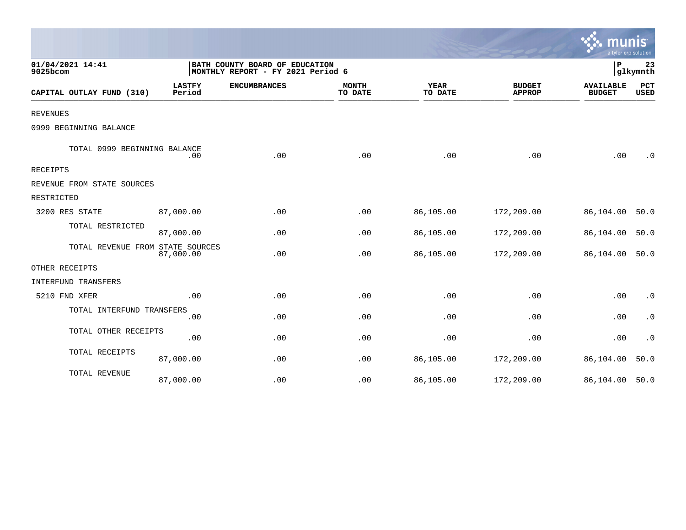|                                  |                                                                     |                     |                         |                        |                                | mu<br>a tyler erp solution        |                    |
|----------------------------------|---------------------------------------------------------------------|---------------------|-------------------------|------------------------|--------------------------------|-----------------------------------|--------------------|
| 01/04/2021 14:41<br>9025bcom     | BATH COUNTY BOARD OF EDUCATION<br>MONTHLY REPORT - FY 2021 Period 6 |                     |                         |                        |                                | ΙP                                | 23<br> glkymnth    |
| CAPITAL OUTLAY FUND (310)        | <b>LASTFY</b><br>Period                                             | <b>ENCUMBRANCES</b> | <b>MONTH</b><br>TO DATE | <b>YEAR</b><br>TO DATE | <b>BUDGET</b><br><b>APPROP</b> | <b>AVAILABLE</b><br><b>BUDGET</b> | PCT<br><b>USED</b> |
| <b>REVENUES</b>                  |                                                                     |                     |                         |                        |                                |                                   |                    |
| 0999 BEGINNING BALANCE           |                                                                     |                     |                         |                        |                                |                                   |                    |
| TOTAL 0999 BEGINNING BALANCE     | .00                                                                 | .00                 | .00                     | .00                    | .00                            | .00                               | $\cdot$ 0          |
| RECEIPTS                         |                                                                     |                     |                         |                        |                                |                                   |                    |
| REVENUE FROM STATE SOURCES       |                                                                     |                     |                         |                        |                                |                                   |                    |
| RESTRICTED                       |                                                                     |                     |                         |                        |                                |                                   |                    |
| 3200 RES STATE                   | 87,000.00                                                           | .00                 | .00                     | 86,105.00              | 172,209.00                     | 86,104.00                         | 50.0               |
| TOTAL RESTRICTED                 | 87,000.00                                                           | .00                 | .00                     | 86,105.00              | 172,209.00                     | 86,104.00                         | 50.0               |
| TOTAL REVENUE FROM STATE SOURCES | 87,000.00                                                           | .00                 | .00                     | 86,105.00              | 172,209.00                     | 86,104.00                         | 50.0               |
| OTHER RECEIPTS                   |                                                                     |                     |                         |                        |                                |                                   |                    |
| INTERFUND TRANSFERS              |                                                                     |                     |                         |                        |                                |                                   |                    |
| 5210 FND XFER                    | .00                                                                 | .00                 | .00                     | .00                    | .00                            | .00                               | $\cdot$ 0          |
| TOTAL INTERFUND TRANSFERS        | .00                                                                 | .00                 | .00                     | .00                    | .00                            | .00                               | $\cdot$ 0          |
| TOTAL OTHER RECEIPTS             | .00                                                                 | .00                 | .00                     | .00                    | .00                            | .00                               | $\cdot$ 0          |
| TOTAL RECEIPTS                   | 87,000.00                                                           | .00                 | .00                     | 86,105.00              | 172,209.00                     | 86,104.00                         | 50.0               |
| TOTAL REVENUE                    | 87,000.00                                                           | .00                 | .00                     | 86,105.00              | 172,209.00                     | 86,104.00                         | 50.0               |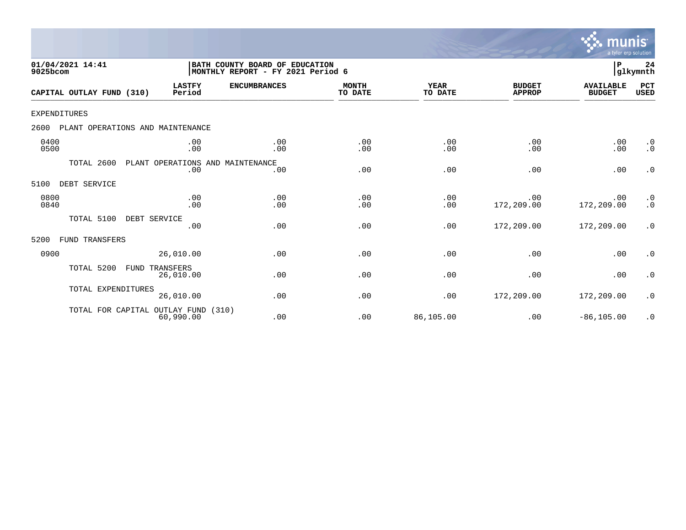

| 01/04/2021 14:41<br>9025bcom             |                                         | BATH COUNTY BOARD OF EDUCATION<br>MONTHLY REPORT - FY 2021 Period 6 |                         |                        |                                | P                                 | 24<br>glkymnth                                |
|------------------------------------------|-----------------------------------------|---------------------------------------------------------------------|-------------------------|------------------------|--------------------------------|-----------------------------------|-----------------------------------------------|
| CAPITAL OUTLAY FUND (310)                | <b>LASTFY</b><br>Period                 | <b>ENCUMBRANCES</b>                                                 | <b>MONTH</b><br>TO DATE | <b>YEAR</b><br>TO DATE | <b>BUDGET</b><br><b>APPROP</b> | <b>AVAILABLE</b><br><b>BUDGET</b> | PCT<br><b>USED</b>                            |
| EXPENDITURES                             |                                         |                                                                     |                         |                        |                                |                                   |                                               |
| 2600<br>PLANT OPERATIONS AND MAINTENANCE |                                         |                                                                     |                         |                        |                                |                                   |                                               |
| 0400<br>0500                             | .00<br>.00                              | .00<br>.00                                                          | .00<br>.00              | .00<br>.00             | .00<br>.00                     | .00<br>.00                        | $\cdot$ 0<br>$\cdot$ 0                        |
| TOTAL 2600                               | PLANT OPERATIONS AND MAINTENANCE<br>.00 | .00                                                                 | .00                     | .00                    | .00                            | .00                               | $\cdot$ 0                                     |
| DEBT SERVICE<br>5100                     |                                         |                                                                     |                         |                        |                                |                                   |                                               |
| 0800<br>0840                             | .00<br>.00                              | .00<br>.00                                                          | .00<br>.00              | .00<br>.00             | .00<br>172,209.00              | .00<br>172,209.00                 | $\begin{smallmatrix} 0 \ 0 \end{smallmatrix}$ |
| TOTAL 5100                               | DEBT SERVICE<br>.00                     | .00                                                                 | .00                     | .00                    | 172,209.00                     | 172,209.00                        | $\cdot$ 0                                     |
| 5200<br>FUND TRANSFERS                   |                                         |                                                                     |                         |                        |                                |                                   |                                               |
| 0900                                     | 26,010.00                               | .00                                                                 | .00                     | .00                    | .00                            | .00                               | $\cdot$ 0                                     |
| TOTAL 5200<br>FUND                       | TRANSFERS<br>26,010.00                  | .00                                                                 | .00                     | .00                    | .00                            | .00                               | $\cdot$ 0                                     |
| TOTAL EXPENDITURES                       | 26,010.00                               | .00                                                                 | .00                     | .00                    | 172,209.00                     | 172,209.00                        | $\cdot$ 0                                     |
| TOTAL FOR CAPITAL OUTLAY FUND (310)      | 60,990.00                               | .00                                                                 | .00                     | 86,105.00              | .00                            | $-86, 105.00$                     | $\cdot$ 0                                     |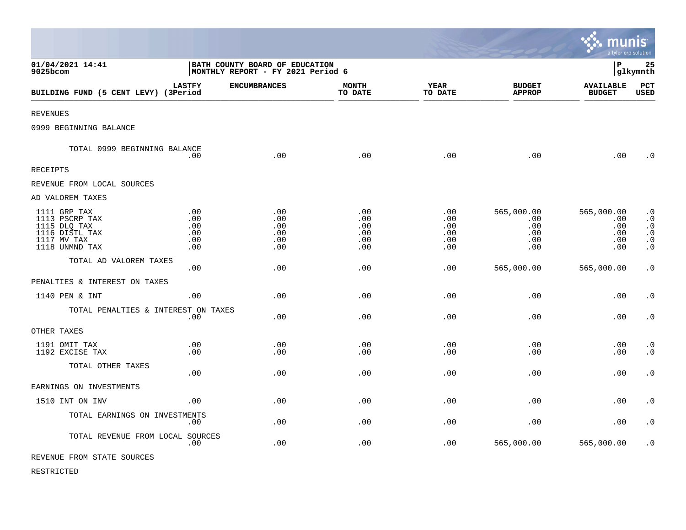|                                                                                                   |                                                                     |                                        |                                        |                                             |                                               | munis<br>a tyler erp solution                 |                                                                            |
|---------------------------------------------------------------------------------------------------|---------------------------------------------------------------------|----------------------------------------|----------------------------------------|---------------------------------------------|-----------------------------------------------|-----------------------------------------------|----------------------------------------------------------------------------|
| 01/04/2021 14:41<br>9025bcom                                                                      | BATH COUNTY BOARD OF EDUCATION<br>MONTHLY REPORT - FY 2021 Period 6 |                                        |                                        |                                             |                                               | l P                                           | 25<br> glkymnth                                                            |
| BUILDING FUND (5 CENT LEVY) (3Period                                                              | <b>LASTFY</b>                                                       | <b>ENCUMBRANCES</b>                    | <b>MONTH</b><br>TO DATE                | YEAR<br>TO DATE                             | <b>BUDGET</b><br><b>APPROP</b>                | <b>AVAILABLE</b><br><b>BUDGET</b>             | PCT<br>USED                                                                |
| <b>REVENUES</b>                                                                                   |                                                                     |                                        |                                        |                                             |                                               |                                               |                                                                            |
| 0999 BEGINNING BALANCE                                                                            |                                                                     |                                        |                                        |                                             |                                               |                                               |                                                                            |
| TOTAL 0999 BEGINNING BALANCE                                                                      | .00                                                                 | .00                                    | .00                                    | .00                                         | .00                                           | .00                                           | $\cdot$ 0                                                                  |
| <b>RECEIPTS</b>                                                                                   |                                                                     |                                        |                                        |                                             |                                               |                                               |                                                                            |
| REVENUE FROM LOCAL SOURCES                                                                        |                                                                     |                                        |                                        |                                             |                                               |                                               |                                                                            |
| AD VALOREM TAXES                                                                                  |                                                                     |                                        |                                        |                                             |                                               |                                               |                                                                            |
| 1111 GRP TAX<br>1113 PSCRP TAX<br>1115 DLQ TAX<br>1116 DISTL TAX<br>1117 MV TAX<br>1118 UNMND TAX | .00<br>.00<br>.00<br>.00<br>.00<br>.00                              | .00<br>.00<br>.00<br>.00<br>.00<br>.00 | .00<br>.00<br>.00<br>.00<br>.00<br>.00 | $.00 \,$<br>.00<br>.00<br>.00<br>.00<br>.00 | 565,000.00<br>.00<br>.00<br>.00<br>.00<br>.00 | 565,000.00<br>.00<br>.00<br>.00<br>.00<br>.00 | $\cdot$ 0<br>$\cdot$ 0<br>$\cdot$ 0<br>$\cdot$ 0<br>$\cdot$ 0<br>$\cdot$ 0 |
| TOTAL AD VALOREM TAXES                                                                            | .00                                                                 | .00                                    | .00                                    | .00                                         | 565,000.00                                    | 565,000.00                                    | $\cdot$ 0                                                                  |
| PENALTIES & INTEREST ON TAXES                                                                     |                                                                     |                                        |                                        |                                             |                                               |                                               |                                                                            |
| 1140 PEN & INT                                                                                    | .00                                                                 | .00                                    | .00                                    | .00                                         | .00                                           | .00                                           | $\cdot$ 0                                                                  |
| TOTAL PENALTIES & INTEREST ON TAXES                                                               | .00                                                                 | .00                                    | .00                                    | .00                                         | .00                                           | .00                                           | $\boldsymbol{\cdot}$ 0                                                     |
| OTHER TAXES                                                                                       |                                                                     |                                        |                                        |                                             |                                               |                                               |                                                                            |
| 1191 OMIT TAX<br>1192 EXCISE TAX                                                                  | .00<br>.00                                                          | .00<br>.00                             | .00<br>.00                             | .00<br>.00                                  | .00<br>.00                                    | .00<br>.00                                    | $\cdot$ 0<br>$\cdot$ 0                                                     |
| TOTAL OTHER TAXES                                                                                 | .00                                                                 | .00                                    | .00                                    | .00                                         | .00                                           | .00                                           | $\boldsymbol{\cdot}$ 0                                                     |
| EARNINGS ON INVESTMENTS                                                                           |                                                                     |                                        |                                        |                                             |                                               |                                               |                                                                            |
| 1510 INT ON INV                                                                                   | .00                                                                 | .00                                    | .00                                    | .00                                         | .00                                           | .00                                           | $\cdot$ 0                                                                  |
| TOTAL EARNINGS ON INVESTMENTS                                                                     | .00                                                                 | .00.                                   | .00                                    | .00                                         | .00                                           | .00                                           | $\cdot$ 0                                                                  |
| TOTAL REVENUE FROM LOCAL SOURCES                                                                  | .00                                                                 | .00                                    | .00                                    | .00                                         | 565,000.00                                    | 565,000.00                                    | $\cdot$ 0                                                                  |
| REVENUE FROM STATE SOURCES                                                                        |                                                                     |                                        |                                        |                                             |                                               |                                               |                                                                            |

 $\bullet$ 

RESTRICTED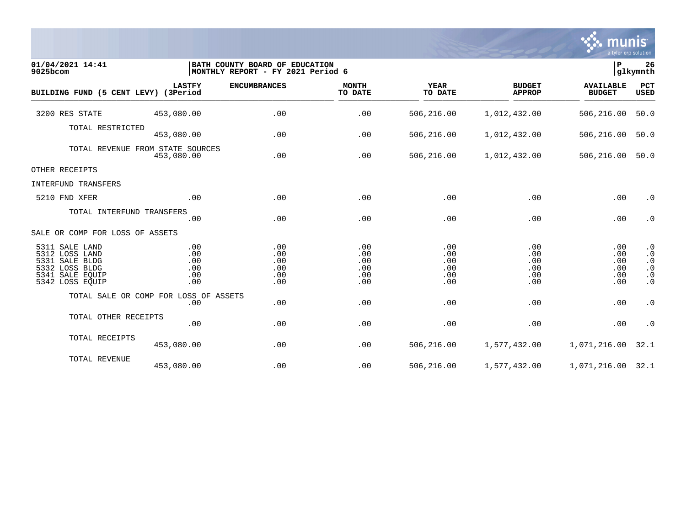

| 01/04/2021 14:41<br>9025bcom                                                                                  |                                                | BATH COUNTY BOARD OF EDUCATION<br> MONTHLY REPORT - FY 2021 Period 6 |                                        |                                        |                                        | lР<br>26<br>glkymnth                   |                                                                            |  |
|---------------------------------------------------------------------------------------------------------------|------------------------------------------------|----------------------------------------------------------------------|----------------------------------------|----------------------------------------|----------------------------------------|----------------------------------------|----------------------------------------------------------------------------|--|
| BUILDING FUND (5 CENT LEVY) (3Period                                                                          | <b>LASTFY</b>                                  | <b>ENCUMBRANCES</b>                                                  | <b>MONTH</b><br>TO DATE                | <b>YEAR</b><br>TO DATE                 | <b>BUDGET</b><br><b>APPROP</b>         | <b>AVAILABLE</b><br><b>BUDGET</b>      | PCT<br><b>USED</b>                                                         |  |
| 3200 RES STATE                                                                                                | 453,080.00                                     | .00                                                                  | .00                                    | 506,216.00                             | 1,012,432.00                           | 506,216.00                             | 50.0                                                                       |  |
| TOTAL RESTRICTED                                                                                              | 453,080.00                                     | .00                                                                  | .00                                    | 506,216.00                             | 1,012,432.00                           | 506,216.00                             | 50.0                                                                       |  |
|                                                                                                               | TOTAL REVENUE FROM STATE SOURCES<br>453,080.00 | .00                                                                  | .00                                    | 506,216.00                             | 1,012,432.00                           | 506,216.00                             | 50.0                                                                       |  |
| OTHER RECEIPTS                                                                                                |                                                |                                                                      |                                        |                                        |                                        |                                        |                                                                            |  |
| INTERFUND TRANSFERS                                                                                           |                                                |                                                                      |                                        |                                        |                                        |                                        |                                                                            |  |
| 5210 FND XFER                                                                                                 | .00                                            | .00                                                                  | .00                                    | .00                                    | .00                                    | .00                                    | $\cdot$ 0                                                                  |  |
| TOTAL INTERFUND TRANSFERS                                                                                     | .00                                            | .00                                                                  | .00                                    | .00                                    | .00                                    | .00                                    | $\cdot$ 0                                                                  |  |
| SALE OR COMP FOR LOSS OF ASSETS                                                                               |                                                |                                                                      |                                        |                                        |                                        |                                        |                                                                            |  |
| 5311 SALE LAND<br>5312 LOSS LAND<br>5331 SALE BLDG<br>5332 LOSS BLDG<br>5341<br>SALE EOUIP<br>5342 LOSS EQUIP | .00<br>.00<br>.00<br>.00<br>.00<br>.00         | .00<br>.00<br>.00<br>.00<br>.00<br>.00                               | .00<br>.00<br>.00<br>.00<br>.00<br>.00 | .00<br>.00<br>.00<br>.00<br>.00<br>.00 | .00<br>.00<br>.00<br>.00<br>.00<br>.00 | .00<br>.00<br>.00<br>.00<br>.00<br>.00 | $\cdot$ 0<br>$\cdot$ 0<br>$\cdot$ 0<br>$\cdot$ 0<br>$\cdot$ 0<br>$\cdot$ 0 |  |
|                                                                                                               | TOTAL SALE OR COMP FOR LOSS OF ASSETS<br>.00   | .00                                                                  | .00                                    | .00                                    | .00                                    | .00                                    | $\boldsymbol{\cdot}$ 0                                                     |  |
| TOTAL OTHER RECEIPTS                                                                                          | .00                                            | .00                                                                  | .00                                    | .00                                    | .00                                    | .00                                    | $\cdot$ 0                                                                  |  |
| TOTAL RECEIPTS                                                                                                | 453,080.00                                     | .00                                                                  | .00                                    | 506,216.00                             | 1,577,432.00                           | 1,071,216.00                           | 32.1                                                                       |  |
| TOTAL REVENUE                                                                                                 | 453,080.00                                     | .00                                                                  | .00                                    | 506,216.00                             | 1,577,432.00                           | 1,071,216.00 32.1                      |                                                                            |  |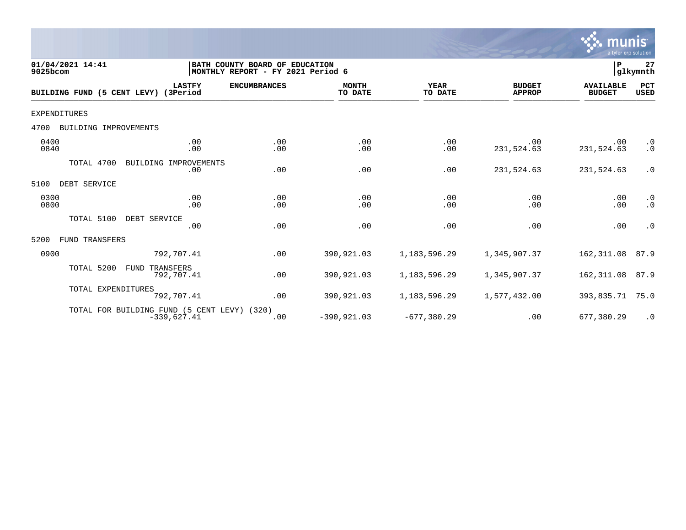

| 01/04/2021 14:41<br>9025bcom  |                                                              | BATH COUNTY BOARD OF EDUCATION<br> MONTHLY REPORT - FY 2021 Period 6 |                         |                        |                                | $\mathbf P$                       | 27<br>glkymnth         |
|-------------------------------|--------------------------------------------------------------|----------------------------------------------------------------------|-------------------------|------------------------|--------------------------------|-----------------------------------|------------------------|
| BUILDING FUND (5 CENT LEVY)   | <b>LASTFY</b><br>(3Period                                    | <b>ENCUMBRANCES</b>                                                  | <b>MONTH</b><br>TO DATE | <b>YEAR</b><br>TO DATE | <b>BUDGET</b><br><b>APPROP</b> | <b>AVAILABLE</b><br><b>BUDGET</b> | PCT<br><b>USED</b>     |
| <b>EXPENDITURES</b>           |                                                              |                                                                      |                         |                        |                                |                                   |                        |
| BUILDING IMPROVEMENTS<br>4700 |                                                              |                                                                      |                         |                        |                                |                                   |                        |
| 0400<br>0840                  | .00<br>.00                                                   | .00<br>.00                                                           | .00<br>.00              | .00<br>.00             | .00<br>231,524.63              | .00<br>231,524.63                 | $\cdot$ 0<br>$\cdot$ 0 |
| TOTAL 4700                    | BUILDING IMPROVEMENTS<br>.00                                 | .00                                                                  | .00                     | .00                    | 231,524.63                     | 231,524.63                        | $\cdot$ 0              |
| 5100<br>DEBT SERVICE          |                                                              |                                                                      |                         |                        |                                |                                   |                        |
| 0300<br>0800                  | .00<br>.00                                                   | .00<br>.00                                                           | .00<br>.00              | .00<br>.00             | .00<br>.00                     | .00<br>.00                        | $\cdot$ 0<br>$\cdot$ 0 |
| TOTAL 5100                    | DEBT SERVICE<br>.00                                          | .00                                                                  | .00                     | .00                    | .00                            | .00                               | $\cdot$ 0              |
| <b>FUND TRANSFERS</b><br>5200 |                                                              |                                                                      |                         |                        |                                |                                   |                        |
| 0900                          | 792,707.41                                                   | .00                                                                  | 390,921.03              | 1,183,596.29           | 1,345,907.37                   | 162,311.08                        | 87.9                   |
| TOTAL 5200                    | FUND<br>TRANSFERS<br>792,707.41                              | .00                                                                  | 390,921.03              | 1, 183, 596. 29        | 1,345,907.37                   | 162,311.08                        | 87.9                   |
| TOTAL EXPENDITURES            | 792,707.41                                                   | .00                                                                  | 390,921.03              | 1, 183, 596.29         | 1,577,432.00                   | 393,835.71                        | 75.0                   |
|                               | TOTAL FOR BUILDING FUND (5 CENT LEVY) (320)<br>$-339,627.41$ | .00                                                                  | $-390, 921.03$          | $-677, 380.29$         | .00                            | 677,380.29                        | $\cdot$ 0              |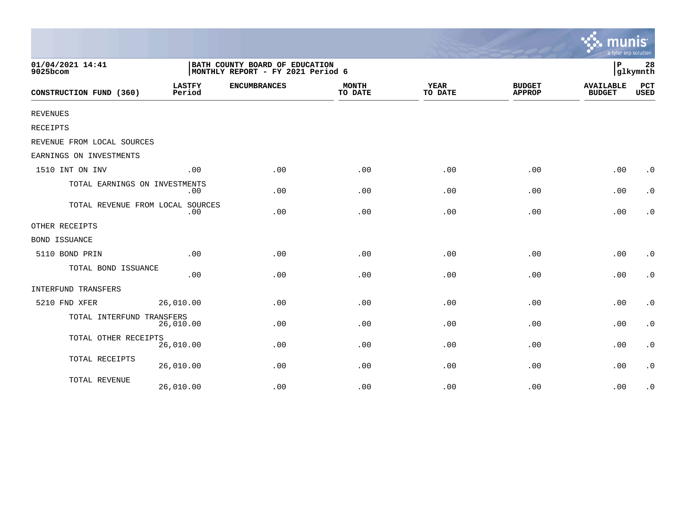|                                  |                         |                                                                     |                         |                        |                                | a tyler erp solution              |                        |
|----------------------------------|-------------------------|---------------------------------------------------------------------|-------------------------|------------------------|--------------------------------|-----------------------------------|------------------------|
| 01/04/2021 14:41<br>9025bcom     |                         | BATH COUNTY BOARD OF EDUCATION<br>MONTHLY REPORT - FY 2021 Period 6 |                         |                        |                                | P                                 | 28<br>glkymnth         |
| CONSTRUCTION FUND (360)          | <b>LASTFY</b><br>Period | <b>ENCUMBRANCES</b>                                                 | <b>MONTH</b><br>TO DATE | <b>YEAR</b><br>TO DATE | <b>BUDGET</b><br><b>APPROP</b> | <b>AVAILABLE</b><br><b>BUDGET</b> | PCT<br><b>USED</b>     |
| <b>REVENUES</b>                  |                         |                                                                     |                         |                        |                                |                                   |                        |
| RECEIPTS                         |                         |                                                                     |                         |                        |                                |                                   |                        |
| REVENUE FROM LOCAL SOURCES       |                         |                                                                     |                         |                        |                                |                                   |                        |
| EARNINGS ON INVESTMENTS          |                         |                                                                     |                         |                        |                                |                                   |                        |
| 1510 INT ON INV                  | .00                     | .00                                                                 | .00                     | .00                    | .00                            | .00                               | $\cdot$ 0              |
| TOTAL EARNINGS ON INVESTMENTS    | .00                     | .00                                                                 | .00                     | .00                    | .00                            | .00                               | $\cdot$ 0              |
| TOTAL REVENUE FROM LOCAL SOURCES | .00                     | .00                                                                 | .00                     | .00                    | .00                            | .00                               | $\cdot$ 0              |
| OTHER RECEIPTS                   |                         |                                                                     |                         |                        |                                |                                   |                        |
| <b>BOND ISSUANCE</b>             |                         |                                                                     |                         |                        |                                |                                   |                        |
| 5110 BOND PRIN                   | .00                     | .00                                                                 | .00                     | .00                    | .00                            | .00                               | $\cdot$ 0              |
| TOTAL BOND ISSUANCE              | .00                     | .00                                                                 | .00                     | .00                    | .00                            | .00                               | $\cdot$ 0              |
| INTERFUND TRANSFERS              |                         |                                                                     |                         |                        |                                |                                   |                        |
| 5210 FND XFER                    | 26,010.00               | .00                                                                 | .00                     | .00                    | .00                            | .00                               | $\boldsymbol{\cdot}$ 0 |
| TOTAL INTERFUND TRANSFERS        | 26,010.00               | .00                                                                 | .00                     | .00                    | .00                            | .00                               | $\boldsymbol{\cdot}$ 0 |
| TOTAL OTHER RECEIPTS             | 26,010.00               | .00                                                                 | .00                     | .00                    | .00                            | .00                               | $\boldsymbol{\cdot}$ 0 |
| TOTAL RECEIPTS                   | 26,010.00               | .00                                                                 | .00                     | .00                    | .00                            | .00                               | $\cdot$ 0              |
| TOTAL REVENUE                    | 26,010.00               | .00                                                                 | .00                     | .00                    | .00                            | .00                               | $\cdot$ 0              |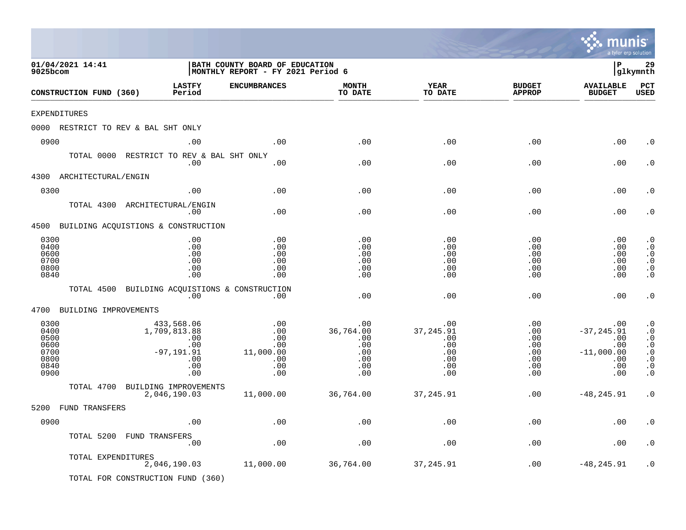|                                                              |                       |                                                                                |                                                                     |                                                            |                                                            |                                                                | a tyler erp solution                                                    |                                                                                                      |
|--------------------------------------------------------------|-----------------------|--------------------------------------------------------------------------------|---------------------------------------------------------------------|------------------------------------------------------------|------------------------------------------------------------|----------------------------------------------------------------|-------------------------------------------------------------------------|------------------------------------------------------------------------------------------------------|
| 01/04/2021 14:41<br>9025bcom                                 |                       |                                                                                | BATH COUNTY BOARD OF EDUCATION<br>MONTHLY REPORT - FY 2021 Period 6 |                                                            |                                                            |                                                                | l P                                                                     | 29<br>glkymnth                                                                                       |
| CONSTRUCTION FUND (360)                                      |                       | <b>LASTFY</b><br>Period                                                        | <b>ENCUMBRANCES</b>                                                 | <b>MONTH</b><br>TO DATE                                    | <b>YEAR</b><br>TO DATE                                     | <b>BUDGET</b><br><b>APPROP</b>                                 | <b>AVAILABLE</b><br><b>BUDGET</b>                                       | PCT<br><b>USED</b>                                                                                   |
| EXPENDITURES                                                 |                       |                                                                                |                                                                     |                                                            |                                                            |                                                                |                                                                         |                                                                                                      |
|                                                              |                       | 0000 RESTRICT TO REV & BAL SHT ONLY                                            |                                                                     |                                                            |                                                            |                                                                |                                                                         |                                                                                                      |
| 0900                                                         |                       | .00                                                                            | .00                                                                 | .00                                                        | .00                                                        | .00                                                            | .00                                                                     | . 0                                                                                                  |
|                                                              |                       | TOTAL 0000 RESTRICT TO REV & BAL SHT ONLY<br>.00                               | .00                                                                 | .00                                                        | .00                                                        | .00                                                            | .00                                                                     | . 0                                                                                                  |
| 4300                                                         | ARCHITECTURAL/ENGIN   |                                                                                |                                                                     |                                                            |                                                            |                                                                |                                                                         |                                                                                                      |
| 0300                                                         |                       | .00                                                                            | .00                                                                 | .00                                                        | .00                                                        | .00                                                            | .00                                                                     | . 0                                                                                                  |
|                                                              | TOTAL 4300            | ARCHITECTURAL/ENGIN<br>.00                                                     | .00                                                                 | .00                                                        | .00                                                        | .00                                                            | .00                                                                     | . 0                                                                                                  |
|                                                              |                       | 4500 BUILDING ACQUISTIONS & CONSTRUCTION                                       |                                                                     |                                                            |                                                            |                                                                |                                                                         |                                                                                                      |
| 0300<br>0400<br>0600<br>0700<br>0800<br>0840                 |                       | .00<br>.00<br>.00<br>.00<br>.00<br>.00                                         | .00<br>.00<br>.00<br>.00<br>.00<br>.00                              | .00<br>.00<br>.00<br>.00<br>.00<br>.00                     | .00<br>.00<br>.00<br>.00<br>.00<br>.00                     | .00<br>.00<br>.00<br>.00<br>.00<br>.00                         | .00<br>.00<br>.00<br>.00<br>.00<br>.00                                  | $\cdot$ 0<br>$\cdot$ 0<br>$\cdot$ 0<br>$\cdot$ 0<br>$\cdot$ 0<br>$\cdot$ 0                           |
|                                                              | TOTAL 4500            | BUILDING ACQUISTIONS & CONSTRUCTION<br>.00                                     | .00                                                                 | .00                                                        | .00                                                        | .00                                                            | .00                                                                     | $\cdot$ 0                                                                                            |
| 4700                                                         | BUILDING IMPROVEMENTS |                                                                                |                                                                     |                                                            |                                                            |                                                                |                                                                         |                                                                                                      |
| 0300<br>0400<br>0500<br>0600<br>0700<br>0800<br>0840<br>0900 |                       | 433,568.06<br>1,709,813.88<br>.00<br>.00<br>$-97, 191.91$<br>.00<br>.00<br>.00 | .00<br>.00<br>.00<br>.00<br>11,000.00<br>.00<br>.00<br>.00          | .00<br>36,764.00<br>.00<br>.00<br>.00<br>.00<br>.00<br>.00 | .00<br>37,245.91<br>.00<br>.00<br>.00<br>.00<br>.00<br>.00 | .00<br>.00<br>.00<br>$.00 \,$<br>.00<br>.00<br>$.00 \,$<br>.00 | .00<br>$-37, 245.91$<br>.00<br>.00<br>$-11,000.00$<br>.00<br>.00<br>.00 | $\cdot$ 0<br>$\cdot$ 0<br>$\cdot$ 0<br>$\cdot$ 0<br>$\cdot$ 0<br>$\cdot$ 0<br>$\cdot$ 0<br>$\cdot$ 0 |
|                                                              | TOTAL 4700            | BUILDING IMPROVEMENTS                                                          |                                                                     |                                                            |                                                            |                                                                |                                                                         |                                                                                                      |
|                                                              |                       | 2,046,190.03                                                                   | 11,000.00                                                           | 36,764.00                                                  | 37,245.91                                                  | .00                                                            | $-48, 245.91$                                                           | . 0                                                                                                  |
| 5200                                                         | FUND TRANSFERS        |                                                                                |                                                                     |                                                            |                                                            |                                                                |                                                                         |                                                                                                      |
| 0900                                                         |                       | .00                                                                            | $.00$                                                               | .00                                                        | $.00$                                                      | .00                                                            | .00                                                                     | . $\boldsymbol{0}$                                                                                   |
|                                                              |                       | TOTAL 5200 FUND TRANSFERS<br>.00                                               | $.00$                                                               | .00                                                        | .00                                                        | .00                                                            | .00                                                                     | $\cdot$ 0                                                                                            |
|                                                              | TOTAL EXPENDITURES    | 2,046,190.03<br>TOTAL FOR CONSTRUCTION FUND (360)                              | 11,000.00                                                           | 36,764.00                                                  | 37, 245.91                                                 | .00                                                            | $-48, 245.91$                                                           | $\cdot$ 0                                                                                            |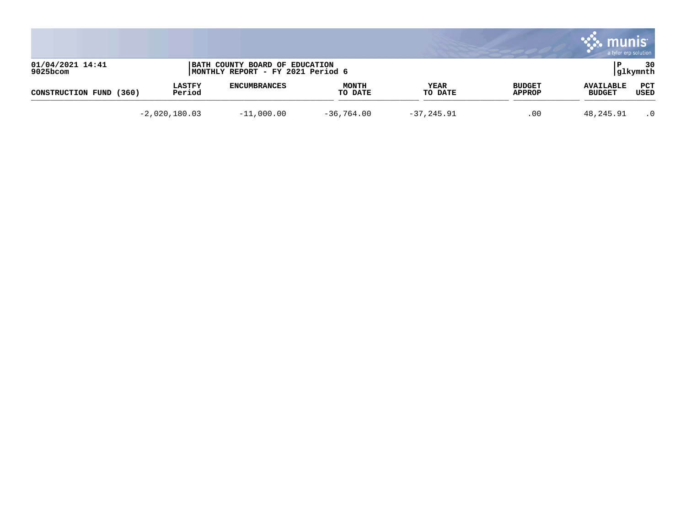|                                 |                         |                                                                     |                         |                        |                                | . munis<br>a tyler erp solution   |                 |
|---------------------------------|-------------------------|---------------------------------------------------------------------|-------------------------|------------------------|--------------------------------|-----------------------------------|-----------------|
| 01/04/2021 14:41<br>$9025$ bcom |                         | BATH COUNTY BOARD OF EDUCATION<br>MONTHLY REPORT - FY 2021 Period 6 |                         |                        |                                |                                   | 30<br> glkymnth |
| CONSTRUCTION FUND<br>(360)      | <b>LASTFY</b><br>Period | <b>ENCUMBRANCES</b>                                                 | <b>MONTH</b><br>TO DATE | <b>YEAR</b><br>TO DATE | <b>BUDGET</b><br><b>APPROP</b> | <b>AVAILABLE</b><br><b>BUDGET</b> | PCT<br>USED     |
|                                 | $-2,020,180.03$         | $-11,000.00$                                                        | $-36,764.00$            | $-37, 245.91$          | .00                            | 48,245.91                         | $\cdot$ 0       |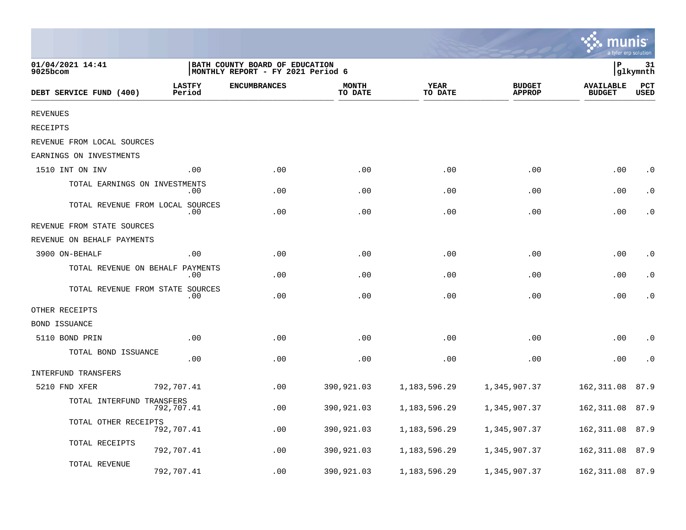|                                  |                         |                                                                      |                         |                        |                                |                                   | a tyler erp solution |
|----------------------------------|-------------------------|----------------------------------------------------------------------|-------------------------|------------------------|--------------------------------|-----------------------------------|----------------------|
| 01/04/2021 14:41<br>9025bcom     |                         | BATH COUNTY BOARD OF EDUCATION<br> MONTHLY REPORT - FY 2021 Period 6 |                         |                        |                                | P                                 | 31<br>glkymnth       |
| DEBT SERVICE FUND (400)          | <b>LASTFY</b><br>Period | <b>ENCUMBRANCES</b>                                                  | <b>MONTH</b><br>TO DATE | <b>YEAR</b><br>TO DATE | <b>BUDGET</b><br><b>APPROP</b> | <b>AVAILABLE</b><br><b>BUDGET</b> | PCT<br><b>USED</b>   |
| <b>REVENUES</b>                  |                         |                                                                      |                         |                        |                                |                                   |                      |
| <b>RECEIPTS</b>                  |                         |                                                                      |                         |                        |                                |                                   |                      |
| REVENUE FROM LOCAL SOURCES       |                         |                                                                      |                         |                        |                                |                                   |                      |
| EARNINGS ON INVESTMENTS          |                         |                                                                      |                         |                        |                                |                                   |                      |
| 1510 INT ON INV                  | .00                     | .00                                                                  | .00                     | .00                    | .00                            | .00                               | $\cdot$ 0            |
| TOTAL EARNINGS ON INVESTMENTS    | $.00 \,$                | .00                                                                  | .00                     | .00                    | .00                            | .00                               | $\cdot$ 0            |
| TOTAL REVENUE FROM LOCAL SOURCES | .00                     | .00                                                                  | .00                     | .00                    | .00                            | .00                               | $\cdot$ 0            |
| REVENUE FROM STATE SOURCES       |                         |                                                                      |                         |                        |                                |                                   |                      |
| REVENUE ON BEHALF PAYMENTS       |                         |                                                                      |                         |                        |                                |                                   |                      |
| 3900 ON-BEHALF                   | .00                     | .00                                                                  | .00                     | .00                    | .00                            | .00                               | $\cdot$ 0            |
| TOTAL REVENUE ON BEHALF PAYMENTS | .00                     | .00                                                                  | .00                     | .00                    | .00                            | .00                               | $\cdot$ 0            |
| TOTAL REVENUE FROM STATE SOURCES | .00                     | .00                                                                  | .00                     | .00                    | .00                            | .00                               | $\cdot$ 0            |
| OTHER RECEIPTS                   |                         |                                                                      |                         |                        |                                |                                   |                      |
| <b>BOND ISSUANCE</b>             |                         |                                                                      |                         |                        |                                |                                   |                      |
| 5110 BOND PRIN                   | .00                     | .00                                                                  | .00                     | .00                    | .00                            | .00                               | $\cdot$ 0            |
| TOTAL BOND ISSUANCE              | .00                     | .00                                                                  | .00                     | .00                    | .00                            | .00                               | $\cdot$ 0            |
| INTERFUND TRANSFERS              |                         |                                                                      |                         |                        |                                |                                   |                      |
| 5210 FND XFER                    | 792,707.41              | .00                                                                  | 390,921.03              | 1, 183, 596. 29        | 1,345,907.37                   | 162, 311.08                       | 87.9                 |
| TOTAL INTERFUND TRANSFERS        | 792,707.41              | .00                                                                  | 390,921.03              | 1,183,596.29           | 1,345,907.37                   | 162, 311.08                       | 87.9                 |
| TOTAL OTHER RECEIPTS             | 792,707.41              | .00                                                                  | 390,921.03              | 1,183,596.29           | 1,345,907.37                   | 162, 311.08                       | 87.9                 |
| TOTAL RECEIPTS                   | 792,707.41              | .00                                                                  | 390,921.03              | 1,183,596.29           | 1,345,907.37                   | 162, 311.08                       | 87.9                 |
| TOTAL REVENUE                    | 792,707.41              | .00                                                                  | 390,921.03              | 1,183,596.29           | 1,345,907.37                   | 162, 311.08                       | 87.9                 |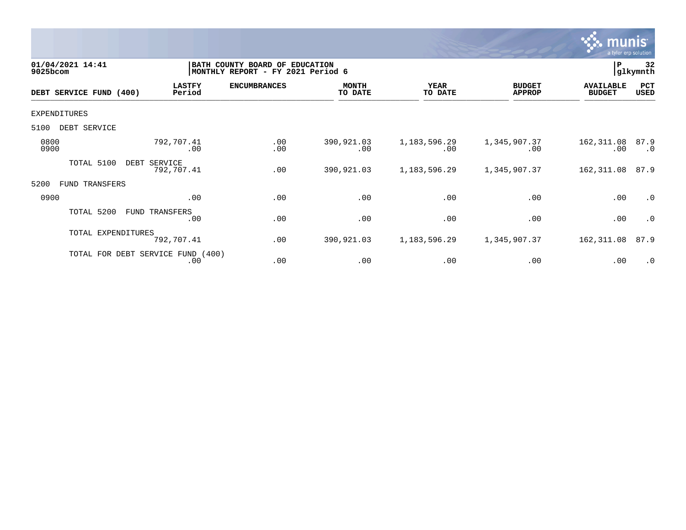

| 01/04/2021 14:41<br>9025bcom |                                             | BATH COUNTY BOARD OF<br><b>EDUCATION</b><br>MONTHLY REPORT - FY 2021 Period 6 |                         |                        |                                |                                   |                   |
|------------------------------|---------------------------------------------|-------------------------------------------------------------------------------|-------------------------|------------------------|--------------------------------|-----------------------------------|-------------------|
| DEBT SERVICE FUND (400)      | <b>LASTFY</b><br>Period                     | <b>ENCUMBRANCES</b>                                                           | <b>MONTH</b><br>TO DATE | <b>YEAR</b><br>TO DATE | <b>BUDGET</b><br><b>APPROP</b> | <b>AVAILABLE</b><br><b>BUDGET</b> | PCT<br>USED       |
| <b>EXPENDITURES</b>          |                                             |                                                                               |                         |                        |                                |                                   |                   |
| DEBT SERVICE<br>5100         |                                             |                                                                               |                         |                        |                                |                                   |                   |
| 0800<br>0900                 | 792,707.41<br>.00                           | .00<br>.00                                                                    | 390,921.03<br>.00       | 1, 183, 596. 29<br>.00 | 1,345,907.37<br>.00            | 162,311.08<br>.00                 | 87.9<br>$\cdot$ 0 |
| TOTAL 5100                   | SERVICE<br>DEBT<br>792,707.41               | .00                                                                           | 390,921.03              | 1, 183, 596. 29        | 1,345,907.37                   | 162,311.08                        | 87.9              |
| 5200<br>FUND TRANSFERS       |                                             |                                                                               |                         |                        |                                |                                   |                   |
| 0900                         | .00                                         | .00                                                                           | .00                     | .00                    | .00                            | .00                               | $\cdot$ 0         |
| TOTAL 5200                   | FUND TRANSFERS<br>.00                       | .00                                                                           | .00                     | .00                    | .00                            | .00                               | $\cdot$ 0         |
| TOTAL EXPENDITURES           | 792,707.41                                  | .00                                                                           | 390,921.03              | 1, 183, 596. 29        | 1,345,907.37                   | 162,311.08                        | 87.9              |
|                              | (400)<br>TOTAL FOR DEBT SERVICE FUND<br>.00 | .00                                                                           | .00                     | .00                    | .00                            | .00                               | $\cdot$ 0         |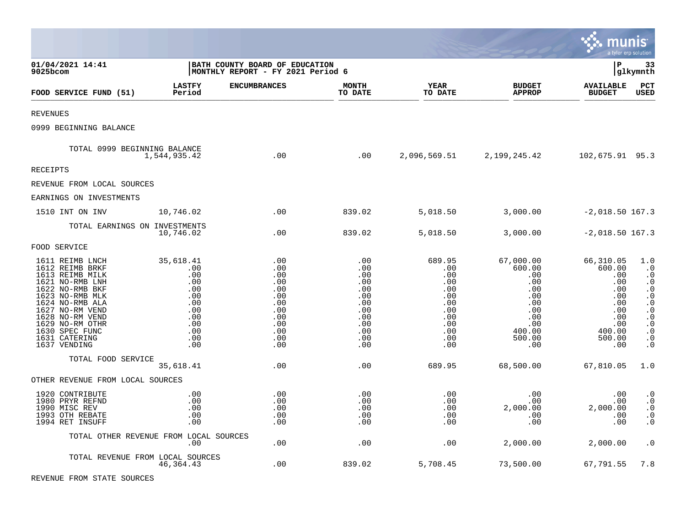|                                                                                                                                                                                                                                               |                                                                                               |                                                                                         |                                                                                         |                                                                                            |                                                                                                                  | munis                                                                                                  | a tyler erp solution                                                                                                                                                                |
|-----------------------------------------------------------------------------------------------------------------------------------------------------------------------------------------------------------------------------------------------|-----------------------------------------------------------------------------------------------|-----------------------------------------------------------------------------------------|-----------------------------------------------------------------------------------------|--------------------------------------------------------------------------------------------|------------------------------------------------------------------------------------------------------------------|--------------------------------------------------------------------------------------------------------|-------------------------------------------------------------------------------------------------------------------------------------------------------------------------------------|
| 01/04/2021 14:41<br>$9025$ bcom                                                                                                                                                                                                               |                                                                                               | BATH COUNTY BOARD OF EDUCATION<br>MONTHLY REPORT - FY 2021 Period 6                     |                                                                                         |                                                                                            |                                                                                                                  | lР                                                                                                     | 33<br> glkymnth                                                                                                                                                                     |
| FOOD SERVICE FUND (51)                                                                                                                                                                                                                        | <b>LASTFY</b><br>Period                                                                       | <b>ENCUMBRANCES</b>                                                                     | <b>MONTH</b><br>TO DATE                                                                 | YEAR<br>TO DATE                                                                            | <b>BUDGET</b><br><b>APPROP</b>                                                                                   | <b>AVAILABLE</b><br><b>BUDGET</b>                                                                      | PCT<br><b>USED</b>                                                                                                                                                                  |
| <b>REVENUES</b>                                                                                                                                                                                                                               |                                                                                               |                                                                                         |                                                                                         |                                                                                            |                                                                                                                  |                                                                                                        |                                                                                                                                                                                     |
| 0999 BEGINNING BALANCE                                                                                                                                                                                                                        |                                                                                               |                                                                                         |                                                                                         |                                                                                            |                                                                                                                  |                                                                                                        |                                                                                                                                                                                     |
| TOTAL 0999 BEGINNING BALANCE                                                                                                                                                                                                                  | 1,544,935.42                                                                                  | $\overline{00}$                                                                         | .00                                                                                     |                                                                                            | 2,096,569.51 2,199,245.42                                                                                        | 102,675.91 95.3                                                                                        |                                                                                                                                                                                     |
| <b>RECEIPTS</b>                                                                                                                                                                                                                               |                                                                                               |                                                                                         |                                                                                         |                                                                                            |                                                                                                                  |                                                                                                        |                                                                                                                                                                                     |
| REVENUE FROM LOCAL SOURCES                                                                                                                                                                                                                    |                                                                                               |                                                                                         |                                                                                         |                                                                                            |                                                                                                                  |                                                                                                        |                                                                                                                                                                                     |
| EARNINGS ON INVESTMENTS                                                                                                                                                                                                                       |                                                                                               |                                                                                         |                                                                                         |                                                                                            |                                                                                                                  |                                                                                                        |                                                                                                                                                                                     |
| 1510 INT ON INV                                                                                                                                                                                                                               | 10,746.02                                                                                     | .00                                                                                     | 839.02                                                                                  | 5,018.50                                                                                   | 3,000.00                                                                                                         | $-2,018.50$ 167.3                                                                                      |                                                                                                                                                                                     |
| TOTAL EARNINGS ON INVESTMENTS                                                                                                                                                                                                                 | 10,746.02                                                                                     | .00                                                                                     | 839.02                                                                                  | 5,018.50                                                                                   | 3,000.00                                                                                                         | $-2,018.50$ 167.3                                                                                      |                                                                                                                                                                                     |
| FOOD SERVICE                                                                                                                                                                                                                                  |                                                                                               |                                                                                         |                                                                                         |                                                                                            |                                                                                                                  |                                                                                                        |                                                                                                                                                                                     |
| 1611 REIMB LNCH<br>1612 REIMB BRKF<br>1613 REIMB MILK<br>1621 NO-RMB LNH<br>1622 NO-RMB BKF<br>1623 NO-RMB MLK<br>1624 NO-RMB ALA<br>1627 NO-RM VEND<br>1628 NO-RM VEND<br>1629 NO-RM OTHR<br>1630 SPEC FUNC<br>1631 CATERING<br>1637 VENDING | 35,618.41<br>.00<br>.00<br>.00<br>.00<br>.00<br>.00<br>.00<br>.00<br>.00<br>.00<br>.00<br>.00 | .00<br>.00<br>.00<br>.00<br>.00<br>.00<br>.00<br>.00<br>.00<br>.00<br>.00<br>.00<br>.00 | .00<br>.00<br>.00<br>.00<br>.00<br>.00<br>.00<br>.00<br>.00<br>.00<br>.00<br>.00<br>.00 | 689.95<br>.00<br>.00<br>.00<br>.00<br>.00<br>.00<br>.00<br>.00<br>.00<br>.00<br>.00<br>.00 | 67,000.00<br>600.00<br>.00<br>.00<br>$.00 \,$<br>$.00 \,$<br>.00<br>.00<br>.00<br>.00<br>400.00<br>500.00<br>.00 | 66,310.05<br>600.00<br>.00<br>.00<br>.00<br>.00<br>.00<br>.00<br>.00<br>.00<br>400.00<br>500.00<br>.00 | 1.0<br>$\cdot$ 0<br>. 0<br>$\cdot$ 0<br>$\cdot$ 0<br>$\boldsymbol{\cdot}$ 0<br>$\cdot$ 0<br>$\cdot$ 0<br>$\boldsymbol{\cdot}$ 0<br>$\cdot$ 0<br>$\cdot$ 0<br>$\cdot$ 0<br>$\cdot$ 0 |
| TOTAL FOOD SERVICE                                                                                                                                                                                                                            | 35,618.41                                                                                     | .00                                                                                     | .00                                                                                     | 689.95                                                                                     | 68,500.00                                                                                                        | 67,810.05                                                                                              | 1.0                                                                                                                                                                                 |
| OTHER REVENUE FROM LOCAL SOURCES                                                                                                                                                                                                              |                                                                                               |                                                                                         |                                                                                         |                                                                                            |                                                                                                                  |                                                                                                        |                                                                                                                                                                                     |
| 1920 CONTRIBUTE<br>1980 PRYR REFND<br>1990 MISC REV<br>1993 OTH REBATE<br>1994 RET INSUFF                                                                                                                                                     | .00<br>.00<br>.00<br>.00<br>.00                                                               | .00<br>.00<br>.00<br>.00<br>.00                                                         | .00<br>.00<br>.00<br>.00<br>.00                                                         | .00<br>.00<br>.00<br>.00<br>.00                                                            | .00<br>$.00 \ \,$<br>2,000.00<br>.00<br>.00                                                                      | .00<br>.00<br>2,000.00<br>.00<br>.00                                                                   | $\cdot$ 0<br>$\cdot$ 0<br>$\cdot$ 0<br>$\cdot$ 0<br>$\cdot$ 0                                                                                                                       |
|                                                                                                                                                                                                                                               | TOTAL OTHER REVENUE FROM LOCAL SOURCES<br>.00                                                 | .00                                                                                     | .00                                                                                     | .00                                                                                        | 2,000.00                                                                                                         | 2,000.00                                                                                               | $\cdot$ 0                                                                                                                                                                           |
| TOTAL REVENUE FROM LOCAL SOURCES                                                                                                                                                                                                              | 46,364.43                                                                                     | .00                                                                                     | 839.02                                                                                  | 5,708.45                                                                                   | 73,500.00                                                                                                        | 67,791.55                                                                                              | 7.8                                                                                                                                                                                 |

 $\bullet$ 

REVENUE FROM STATE SOURCES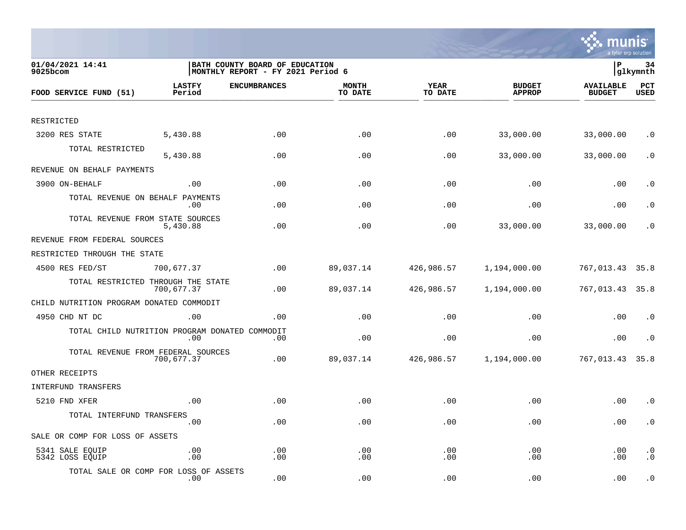

| 01/04/2021 14:41<br>9025bcom                   |                         | BATH COUNTY BOARD OF EDUCATION<br> MONTHLY REPORT - FY 2021 Period 6 |                         |                        |                                |                                   |                        |
|------------------------------------------------|-------------------------|----------------------------------------------------------------------|-------------------------|------------------------|--------------------------------|-----------------------------------|------------------------|
| FOOD SERVICE FUND (51)                         | <b>LASTFY</b><br>Period | <b>ENCUMBRANCES</b>                                                  | <b>MONTH</b><br>TO DATE | <b>YEAR</b><br>TO DATE | <b>BUDGET</b><br><b>APPROP</b> | <b>AVAILABLE</b><br><b>BUDGET</b> | PCT<br><b>USED</b>     |
|                                                |                         |                                                                      |                         |                        |                                |                                   |                        |
| RESTRICTED                                     |                         |                                                                      |                         |                        |                                |                                   |                        |
| 3200 RES STATE                                 | 5,430.88                | .00                                                                  | .00                     | .00                    | 33,000.00                      | 33,000.00                         | $\cdot$ 0              |
| TOTAL RESTRICTED                               | 5,430.88                | .00                                                                  | .00                     | .00                    | 33,000.00                      | 33,000.00                         | $\cdot$ 0              |
| REVENUE ON BEHALF PAYMENTS                     |                         |                                                                      |                         |                        |                                |                                   |                        |
| 3900 ON-BEHALF                                 | .00                     | .00                                                                  | .00                     | .00                    | .00                            | .00                               | . $\boldsymbol{0}$     |
| TOTAL REVENUE ON BEHALF PAYMENTS               | .00                     | .00                                                                  | .00                     | .00                    | .00                            | .00                               | $\cdot$ 0              |
| TOTAL REVENUE FROM STATE SOURCES               | 5,430.88                | .00                                                                  | .00                     | .00                    | 33,000.00                      | 33,000.00                         | $\cdot$ 0              |
| REVENUE FROM FEDERAL SOURCES                   |                         |                                                                      |                         |                        |                                |                                   |                        |
| RESTRICTED THROUGH THE STATE                   |                         |                                                                      |                         |                        |                                |                                   |                        |
| 4500 RES FED/ST                                | 700,677.37              | .00                                                                  | 89,037.14               | 426,986.57             | 1,194,000.00                   | 767,013.43                        | 35.8                   |
| TOTAL RESTRICTED THROUGH THE STATE             | 700,677.37              | .00                                                                  | 89,037.14               | 426,986.57             | 1,194,000.00                   | 767,013.43 35.8                   |                        |
| CHILD NUTRITION PROGRAM DONATED COMMODIT       |                         |                                                                      |                         |                        |                                |                                   |                        |
| 4950 CHD NT DC                                 | .00                     | .00                                                                  | .00                     | .00                    | .00                            | .00                               | $\cdot$ 0              |
| TOTAL CHILD NUTRITION PROGRAM DONATED COMMODIT | .00                     | .00                                                                  | .00                     | .00                    | .00                            | .00                               | $\cdot$ 0              |
| TOTAL REVENUE FROM FEDERAL SOURCES             | 700,677.37              | .00                                                                  | 89,037.14               | 426,986.57             | 1,194,000.00                   | 767,013.43                        | 35.8                   |
| OTHER RECEIPTS                                 |                         |                                                                      |                         |                        |                                |                                   |                        |
| INTERFUND TRANSFERS                            |                         |                                                                      |                         |                        |                                |                                   |                        |
| 5210 FND XFER                                  | .00                     | .00                                                                  | .00                     | .00                    | .00                            | .00                               | $\cdot$ 0              |
| TOTAL INTERFUND TRANSFERS                      | .00                     | .00                                                                  | .00                     | .00                    | .00                            | .00                               | $\cdot$ 0              |
| SALE OR COMP FOR LOSS OF ASSETS                |                         |                                                                      |                         |                        |                                |                                   |                        |
| 5341 SALE EQUIP<br>5342 LOSS EQUIP             | .00<br>.00              | .00<br>.00                                                           | .00<br>.00              | .00<br>.00             | .00<br>.00                     | .00<br>.00                        | $\cdot$ 0<br>$\cdot$ 0 |
| TOTAL SALE OR COMP FOR LOSS OF ASSETS          | .00                     | .00                                                                  | .00                     | .00                    | .00                            | .00                               | $\cdot$ 0              |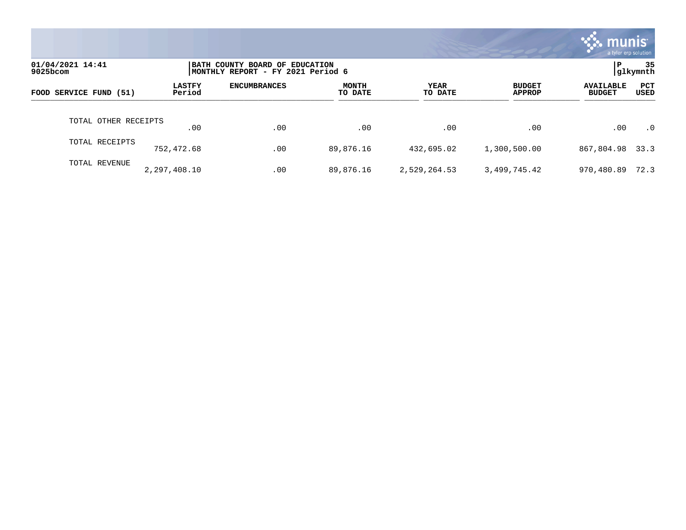|                              |                         |                                                                      |                         |                 |                                | munis l<br>a tyler erp solution   |                |
|------------------------------|-------------------------|----------------------------------------------------------------------|-------------------------|-----------------|--------------------------------|-----------------------------------|----------------|
| 01/04/2021 14:41<br>9025bcom |                         | BATH COUNTY BOARD OF EDUCATION<br> MONTHLY REPORT - FY 2021 Period 6 |                         |                 |                                | l P                               | 35<br>glkymnth |
| FOOD SERVICE FUND (51)       | <b>LASTFY</b><br>Period | <b>ENCUMBRANCES</b>                                                  | <b>MONTH</b><br>TO DATE | YEAR<br>TO DATE | <b>BUDGET</b><br><b>APPROP</b> | <b>AVAILABLE</b><br><b>BUDGET</b> | PCT<br>USED    |
| TOTAL OTHER RECEIPTS         | .00                     | .00                                                                  | .00                     | .00             | .00                            | .00                               | $\cdot$ 0      |
| TOTAL RECEIPTS               | 752,472.68              | .00                                                                  | 89,876.16               | 432,695.02      | 1,300,500.00                   | 867,804.98 33.3                   |                |
| TOTAL REVENUE                | 2,297,408.10            | .00                                                                  | 89,876.16               | 2,529,264.53    | 3,499,745.42                   | 970,480.89                        | 72.3           |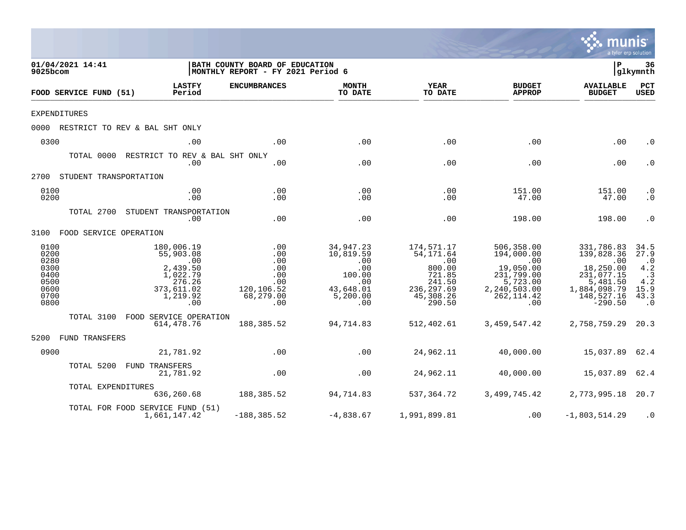|                                                                      |                    |                                                                                                               |                                                                                                   |                                                                                       |                                                                                                   |                                                                                                                          | mu<br>a tyler erp solution                                                                                              |                                                                                   |
|----------------------------------------------------------------------|--------------------|---------------------------------------------------------------------------------------------------------------|---------------------------------------------------------------------------------------------------|---------------------------------------------------------------------------------------|---------------------------------------------------------------------------------------------------|--------------------------------------------------------------------------------------------------------------------------|-------------------------------------------------------------------------------------------------------------------------|-----------------------------------------------------------------------------------|
| 01/04/2021 14:41<br>9025bcom                                         |                    |                                                                                                               | BATH COUNTY BOARD OF EDUCATION<br>MONTHLY REPORT - FY 2021 Period 6                               |                                                                                       |                                                                                                   |                                                                                                                          | l P                                                                                                                     | 36<br> glkymnth                                                                   |
| FOOD SERVICE FUND (51)                                               |                    | <b>LASTFY</b><br>Period                                                                                       | <b>ENCUMBRANCES</b>                                                                               | <b>MONTH</b><br>TO DATE                                                               | YEAR<br>TO DATE                                                                                   | <b>BUDGET</b><br><b>APPROP</b>                                                                                           | <b>AVAILABLE</b><br><b>BUDGET</b>                                                                                       | PCT<br><b>USED</b>                                                                |
| <b>EXPENDITURES</b>                                                  |                    |                                                                                                               |                                                                                                   |                                                                                       |                                                                                                   |                                                                                                                          |                                                                                                                         |                                                                                   |
|                                                                      |                    | 0000 RESTRICT TO REV & BAL SHT ONLY                                                                           |                                                                                                   |                                                                                       |                                                                                                   |                                                                                                                          |                                                                                                                         |                                                                                   |
| 0300                                                                 |                    | .00                                                                                                           | .00                                                                                               | .00                                                                                   | .00                                                                                               | .00                                                                                                                      | .00                                                                                                                     | $\cdot$ 0                                                                         |
|                                                                      |                    | TOTAL 0000 RESTRICT TO REV & BAL SHT ONLY<br>.00                                                              | .00                                                                                               | .00                                                                                   | .00                                                                                               | .00                                                                                                                      | .00                                                                                                                     | $\cdot$ 0                                                                         |
| 2700 STUDENT TRANSPORTATION                                          |                    |                                                                                                               |                                                                                                   |                                                                                       |                                                                                                   |                                                                                                                          |                                                                                                                         |                                                                                   |
| 0100<br>0200                                                         |                    | .00<br>.00                                                                                                    | .00<br>.00                                                                                        | .00<br>.00                                                                            | .00<br>.00                                                                                        | 151.00<br>47.00                                                                                                          | 151.00<br>47.00                                                                                                         | $\cdot$ 0<br>$\cdot$ 0                                                            |
|                                                                      |                    | TOTAL 2700 STUDENT TRANSPORTATION<br>.00                                                                      | .00                                                                                               | .00                                                                                   | .00                                                                                               | 198.00                                                                                                                   | 198.00                                                                                                                  | $\cdot$ 0                                                                         |
| 3100 FOOD SERVICE OPERATION                                          |                    |                                                                                                               |                                                                                                   |                                                                                       |                                                                                                   |                                                                                                                          |                                                                                                                         |                                                                                   |
| 0100<br>0200<br>0280<br>0300<br>0400<br>0500<br>0600<br>0700<br>0800 |                    | 180,006.19<br>55,903.08<br>$\overline{00}$<br>2,439.50<br>1,022.79<br>276.26<br>373,611.02<br>1,219.92<br>.00 | $\overline{\phantom{0}}$ .00<br>.00<br>.00<br>.00<br>.00<br>.00<br>120,106.52<br>68,279.00<br>.00 | 34,947.23<br>10,819.59<br>.00<br>.00<br>100.00<br>.00<br>43,648.01<br>5,200.00<br>.00 | 174,571.17<br>54,171.64<br>.00<br>800.00<br>721.85<br>241.50<br>236,297.69<br>45,308.26<br>290.50 | 506,358.00<br>194,000.00<br>$\overline{00}$<br>19,050.00<br>231,799.00<br>5,723.00<br>2,240,503.00<br>262, 114.42<br>.00 | 331,786.83<br>139,828.36<br>$\sim 00$<br>18,250.00<br>231,077.15<br>5,481.50<br>1,884,098.79<br>148,527.16<br>$-290.50$ | 34.5<br>27.9<br>$\cdot$ 0<br>4.2<br>$\cdot$ 3<br>4.2<br>15.9<br>43.3<br>$\cdot$ 0 |
|                                                                      |                    | TOTAL 3100 FOOD SERVICE OPERATION<br>614,478.76                                                               | 188,385.52                                                                                        | 94,714.83                                                                             | 512,402.61                                                                                        | 3,459,547.42                                                                                                             | 2,758,759.29 20.3                                                                                                       |                                                                                   |
| 5200 FUND TRANSFERS                                                  |                    |                                                                                                               |                                                                                                   |                                                                                       |                                                                                                   |                                                                                                                          |                                                                                                                         |                                                                                   |
| 0900                                                                 |                    | 21,781.92                                                                                                     | .00                                                                                               | .00                                                                                   | 24,962.11                                                                                         | 40,000.00                                                                                                                | 15,037.89 62.4                                                                                                          |                                                                                   |
|                                                                      |                    | TOTAL 5200 FUND TRANSFERS<br>21,781.92                                                                        | .00                                                                                               | .00                                                                                   | 24,962.11                                                                                         | 40,000.00                                                                                                                | 15,037.89 62.4                                                                                                          |                                                                                   |
|                                                                      | TOTAL EXPENDITURES | 636,260.68                                                                                                    | 188,385.52                                                                                        | 94,714.83                                                                             | 537,364.72                                                                                        | 3,499,745.42                                                                                                             | 2,773,995.18 20.7                                                                                                       |                                                                                   |
|                                                                      |                    | TOTAL FOR FOOD SERVICE FUND (51)<br>1,661,147.42                                                              | $-188, 385.52$                                                                                    | $-4,838.67$                                                                           | 1,991,899.81                                                                                      | .00                                                                                                                      | $-1,803,514.29$                                                                                                         | $\cdot$ 0                                                                         |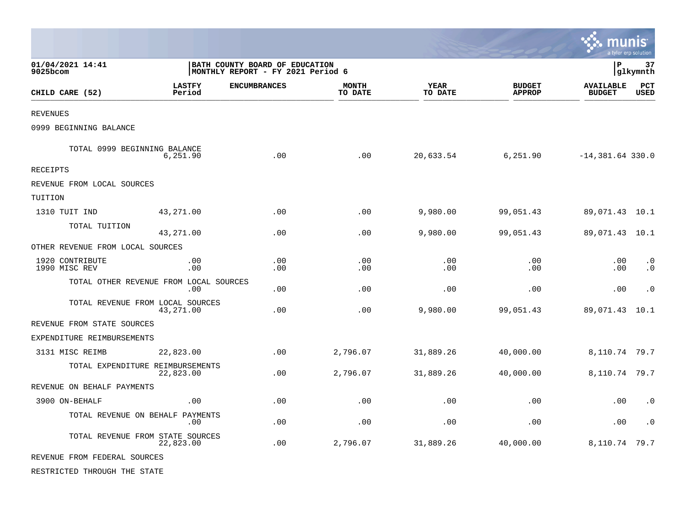|                                  |                                               |                                                                     |                         |                        |                                | munis                             | a tyler erp solution   |
|----------------------------------|-----------------------------------------------|---------------------------------------------------------------------|-------------------------|------------------------|--------------------------------|-----------------------------------|------------------------|
| 01/04/2021 14:41<br>$9025$ bcom  |                                               | BATH COUNTY BOARD OF EDUCATION<br>MONTHLY REPORT - FY 2021 Period 6 |                         |                        |                                | l P                               | 37<br> glkymnth        |
| CHILD CARE (52)                  | <b>LASTFY</b><br>Period                       | <b>ENCUMBRANCES</b>                                                 | <b>MONTH</b><br>TO DATE | <b>YEAR</b><br>TO DATE | <b>BUDGET</b><br><b>APPROP</b> | <b>AVAILABLE</b><br><b>BUDGET</b> | PCT<br>USED            |
| <b>REVENUES</b>                  |                                               |                                                                     |                         |                        |                                |                                   |                        |
| 0999 BEGINNING BALANCE           |                                               |                                                                     |                         |                        |                                |                                   |                        |
| TOTAL 0999 BEGINNING BALANCE     | 6,251.90                                      | .00                                                                 | .00                     | 20,633.54              | 6,251.90                       | $-14,381.64$ 330.0                |                        |
| RECEIPTS                         |                                               |                                                                     |                         |                        |                                |                                   |                        |
| REVENUE FROM LOCAL SOURCES       |                                               |                                                                     |                         |                        |                                |                                   |                        |
| TUITION                          |                                               |                                                                     |                         |                        |                                |                                   |                        |
| 1310 TUIT IND                    | 43,271.00                                     | .00                                                                 | .00                     | 9,980.00               | 99,051.43                      | 89,071.43 10.1                    |                        |
| TOTAL TUITION                    | 43,271.00                                     | .00                                                                 | .00                     | 9,980.00               | 99,051.43                      | 89,071.43 10.1                    |                        |
| OTHER REVENUE FROM LOCAL SOURCES |                                               |                                                                     |                         |                        |                                |                                   |                        |
| 1920 CONTRIBUTE<br>1990 MISC REV | .00<br>.00                                    | .00<br>.00                                                          | .00<br>.00              | .00<br>.00             | .00<br>.00                     | .00<br>.00                        | $\cdot$ 0<br>$\cdot$ 0 |
|                                  | TOTAL OTHER REVENUE FROM LOCAL SOURCES<br>.00 | .00                                                                 | .00                     | .00                    | .00                            | .00                               | $\cdot$ 0              |
|                                  | TOTAL REVENUE FROM LOCAL SOURCES<br>43,271.00 | .00                                                                 | .00                     | 9,980.00               | 99,051.43                      | 89,071.43                         | 10.1                   |
| REVENUE FROM STATE SOURCES       |                                               |                                                                     |                         |                        |                                |                                   |                        |
| EXPENDITURE REIMBURSEMENTS       |                                               |                                                                     |                         |                        |                                |                                   |                        |
| 3131 MISC REIMB                  | 22,823.00                                     | .00.                                                                | 2,796.07                | 31,889.26              | 40,000.00                      | 8,110.74                          | 79.7                   |
|                                  | TOTAL EXPENDITURE REIMBURSEMENTS<br>22,823.00 | .00                                                                 | 2,796.07                | 31,889.26              | 40,000.00                      | 8,110.74 79.7                     |                        |
| REVENUE ON BEHALF PAYMENTS       |                                               |                                                                     |                         |                        |                                |                                   |                        |
| 3900 ON-BEHALF                   | .00                                           | .00                                                                 | .00                     | .00                    | .00                            | .00                               | $\cdot$ 0              |
|                                  | TOTAL REVENUE ON BEHALF PAYMENTS<br>.00       | .00                                                                 | .00                     | .00                    | .00                            | .00                               | $\cdot$ 0              |
|                                  | TOTAL REVENUE FROM STATE SOURCES<br>22,823.00 | .00                                                                 | 2,796.07                | 31,889.26              | 40,000.00                      | 8,110.74                          | 79.7                   |
| REVENUE FROM FEDERAL SOURCES     |                                               |                                                                     |                         |                        |                                |                                   |                        |
| RESTRICTED THROUGH THE STATE     |                                               |                                                                     |                         |                        |                                |                                   |                        |

**Contract**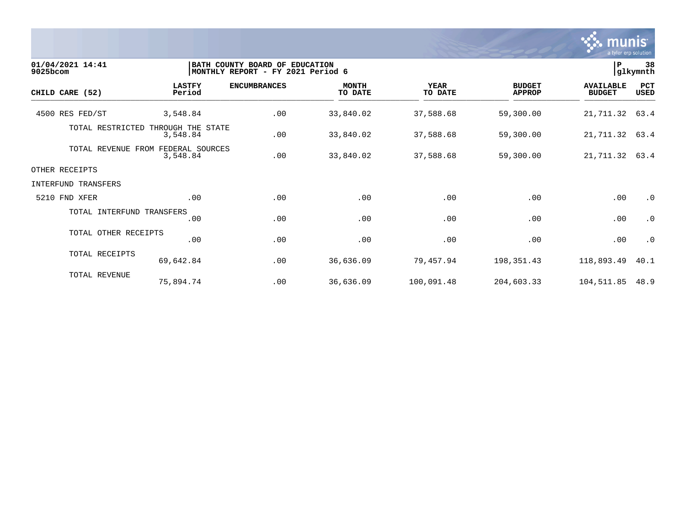

| 01/04/2021 14:41<br>9025bcom | BATH COUNTY BOARD OF EDUCATION<br>MONTHLY REPORT - FY 2021 Period 6 |                     |                         |                        |                                | 38<br> P<br>glkymnth              |                    |  |
|------------------------------|---------------------------------------------------------------------|---------------------|-------------------------|------------------------|--------------------------------|-----------------------------------|--------------------|--|
| CHILD CARE (52)              | <b>LASTFY</b><br>Period                                             | <b>ENCUMBRANCES</b> | <b>MONTH</b><br>TO DATE | <b>YEAR</b><br>TO DATE | <b>BUDGET</b><br><b>APPROP</b> | <b>AVAILABLE</b><br><b>BUDGET</b> | PCT<br><b>USED</b> |  |
| 4500 RES FED/ST              | 3,548.84                                                            | .00                 | 33,840.02               | 37,588.68              | 59,300.00                      | 21,711.32                         | 63.4               |  |
| TOTAL RESTRICTED             | THROUGH THE STATE<br>3,548.84                                       | .00                 | 33,840.02               | 37,588.68              | 59,300.00                      | 21, 711.32 63.4                   |                    |  |
|                              | TOTAL REVENUE FROM FEDERAL SOURCES<br>3,548.84                      | .00                 | 33,840.02               | 37,588.68              | 59,300.00                      | 21, 711.32 63.4                   |                    |  |
| OTHER RECEIPTS               |                                                                     |                     |                         |                        |                                |                                   |                    |  |
| INTERFUND TRANSFERS          |                                                                     |                     |                         |                        |                                |                                   |                    |  |
| 5210 FND XFER                | .00                                                                 | .00                 | .00                     | .00                    | .00                            | .00                               | $\cdot$ 0          |  |
| TOTAL INTERFUND TRANSFERS    | .00                                                                 | .00                 | .00                     | .00                    | .00                            | .00                               | $\cdot$ 0          |  |
| TOTAL OTHER RECEIPTS         | .00                                                                 | .00                 | .00                     | .00                    | .00                            | .00                               | $\cdot$ 0          |  |
| TOTAL RECEIPTS               | 69,642.84                                                           | .00                 | 36,636.09               | 79,457.94              | 198,351.43                     | 118,893.49                        | 40.1               |  |
| TOTAL REVENUE                | 75,894.74                                                           | .00                 | 36,636.09               | 100,091.48             | 204,603.33                     | 104,511.85                        | 48.9               |  |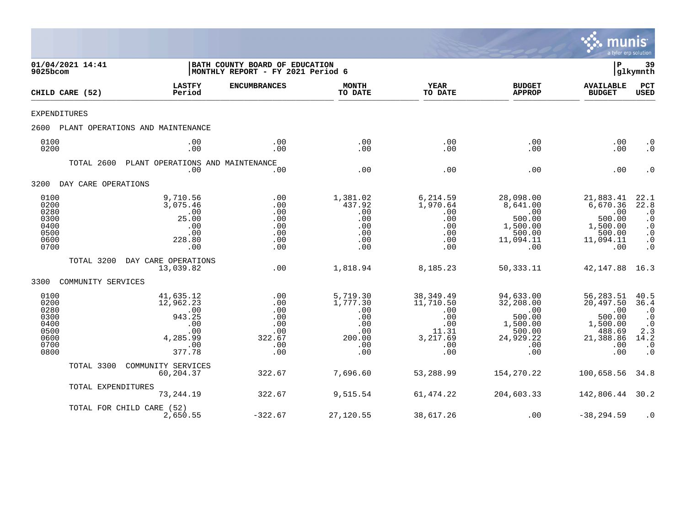

| 01/04/2021 14:41<br>9025bcom                                         |                     |                                                                                    | BATH COUNTY BOARD OF EDUCATION<br>MONTHLY REPORT - FY 2021 Period 6 |                                                                          |                                                                                 |                                                                                          | ΙP                                                                                       | 39<br> glkymnth                                                                                                                   |
|----------------------------------------------------------------------|---------------------|------------------------------------------------------------------------------------|---------------------------------------------------------------------|--------------------------------------------------------------------------|---------------------------------------------------------------------------------|------------------------------------------------------------------------------------------|------------------------------------------------------------------------------------------|-----------------------------------------------------------------------------------------------------------------------------------|
|                                                                      | CHILD CARE (52)     | <b>LASTFY</b><br>Period                                                            | <b>ENCUMBRANCES</b>                                                 | <b>MONTH</b><br>TO DATE                                                  | <b>YEAR</b><br>TO DATE                                                          | <b>BUDGET</b><br><b>APPROP</b>                                                           | <b>AVAILABLE</b><br><b>BUDGET</b>                                                        | $_{\rm PCT}$<br>USED                                                                                                              |
| <b>EXPENDITURES</b>                                                  |                     |                                                                                    |                                                                     |                                                                          |                                                                                 |                                                                                          |                                                                                          |                                                                                                                                   |
| 2600                                                                 |                     | PLANT OPERATIONS AND MAINTENANCE                                                   |                                                                     |                                                                          |                                                                                 |                                                                                          |                                                                                          |                                                                                                                                   |
| 0100<br>0200                                                         |                     | .00<br>.00                                                                         | .00<br>.00                                                          | .00<br>.00                                                               | .00<br>.00                                                                      | .00<br>.00                                                                               | .00<br>.00                                                                               | $\cdot$ 0<br>$\cdot$ 0                                                                                                            |
|                                                                      | TOTAL 2600          | PLANT OPERATIONS AND MAINTENANCE<br>.00                                            | .00                                                                 | .00                                                                      | .00                                                                             | .00                                                                                      | .00                                                                                      | $\cdot$ 0                                                                                                                         |
| 3200                                                                 | DAY CARE OPERATIONS |                                                                                    |                                                                     |                                                                          |                                                                                 |                                                                                          |                                                                                          |                                                                                                                                   |
| 0100<br>0200<br>0280<br>0300<br>0400<br>0500<br>0600<br>0700         |                     | 9,710.56<br>3,075.46<br>.00<br>25.00<br>.00<br>.00<br>228.80<br>.00                | .00<br>.00<br>.00<br>.00<br>.00<br>.00<br>.00<br>.00                | 1,381.02<br>437.92<br>.00<br>.00<br>.00<br>.00<br>.00<br>.00             | 6,214.59<br>1,970.64<br>.00<br>.00<br>.00<br>.00<br>.00<br>.00                  | 28,098.00<br>8,641.00<br>.00<br>500.00<br>1,500.00<br>500.00<br>11,094.11<br>.00         | 21,883.41<br>6,670.36<br>.00<br>500.00<br>1,500.00<br>500.00<br>11,094.11<br>.00         | 22.1<br>$\overline{2}\overline{2}\cdot\overline{8}$<br>$\cdot$ 0<br>$\cdot$ 0<br>$\cdot$ 0<br>$\cdot$ 0<br>$\cdot$ 0<br>$\cdot$ 0 |
|                                                                      | TOTAL 3200          | DAY CARE OPERATIONS<br>13,039.82                                                   | .00                                                                 | 1,818.94                                                                 | 8,185.23                                                                        | 50, 333. 11                                                                              | 42,147.88                                                                                | 16.3                                                                                                                              |
| 3300                                                                 | COMMUNITY SERVICES  |                                                                                    |                                                                     |                                                                          |                                                                                 |                                                                                          |                                                                                          |                                                                                                                                   |
| 0100<br>0200<br>0280<br>0300<br>0400<br>0500<br>0600<br>0700<br>0800 |                     | 41,635.12<br>12,962.23<br>.00<br>943.25<br>.00<br>.00<br>4,285.99<br>.00<br>377.78 | .00<br>.00<br>.00<br>.00<br>.00<br>.00<br>322.67<br>.00<br>.00      | 5,719.30<br>1,777.30<br>.00<br>.00<br>.00<br>.00<br>200.00<br>.00<br>.00 | 38, 349.49<br>11,710.50<br>.00<br>.00<br>.00<br>11.31<br>3,217.69<br>.00<br>.00 | 94,633.00<br>32,208.00<br>.00<br>500.00<br>1,500.00<br>500.00<br>24,929.22<br>.00<br>.00 | 56,283.51<br>20,497.50<br>.00<br>500.00<br>1,500.00<br>488.69<br>21,388.86<br>.00<br>.00 | 40.5<br>36.4<br>$\cdot$ 0<br>$\cdot$ 0<br>$\cdot$ 0<br>2.3<br>14.2<br>$\boldsymbol{\cdot}$ 0<br>$\cdot$ 0                         |
|                                                                      | TOTAL 3300          | COMMUNITY SERVICES<br>60,204.37                                                    | 322.67                                                              | 7,696.60                                                                 | 53,288.99                                                                       | 154,270.22                                                                               | 100,658.56                                                                               | 34.8                                                                                                                              |
|                                                                      | TOTAL EXPENDITURES  | 73,244.19                                                                          | 322.67                                                              | 9,515.54                                                                 | 61, 474.22                                                                      | 204,603.33                                                                               | 142,806.44                                                                               | 30.2                                                                                                                              |
|                                                                      |                     | TOTAL FOR CHILD CARE (52)<br>2,650.55                                              | $-322.67$                                                           | 27,120.55                                                                | 38,617.26                                                                       | .00                                                                                      | $-38, 294.59$                                                                            | $\cdot$ 0                                                                                                                         |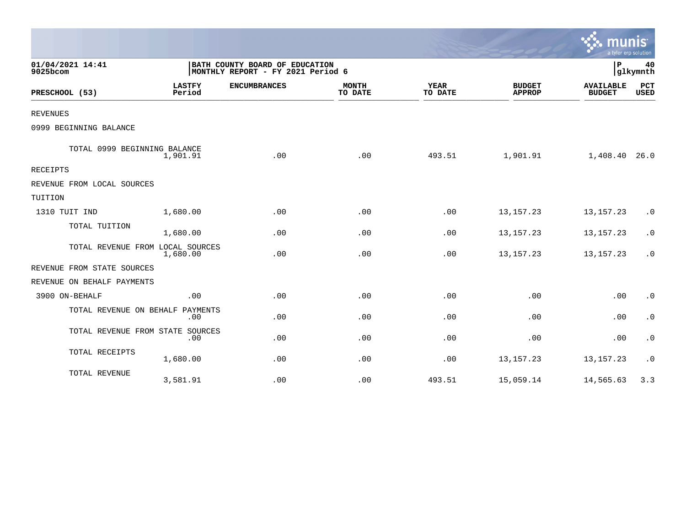|                                  |                         |                                                                     |                         |                        |                                | a tyler erp solution              |                    |
|----------------------------------|-------------------------|---------------------------------------------------------------------|-------------------------|------------------------|--------------------------------|-----------------------------------|--------------------|
| 01/04/2021 14:41<br>9025bcom     |                         | BATH COUNTY BOARD OF EDUCATION<br>MONTHLY REPORT - FY 2021 Period 6 |                         |                        |                                | P                                 | 40<br>glkymnth     |
| PRESCHOOL (53)                   | <b>LASTFY</b><br>Period | <b>ENCUMBRANCES</b>                                                 | <b>MONTH</b><br>TO DATE | <b>YEAR</b><br>TO DATE | <b>BUDGET</b><br><b>APPROP</b> | <b>AVAILABLE</b><br><b>BUDGET</b> | PCT<br><b>USED</b> |
| <b>REVENUES</b>                  |                         |                                                                     |                         |                        |                                |                                   |                    |
| 0999 BEGINNING BALANCE           |                         |                                                                     |                         |                        |                                |                                   |                    |
| TOTAL 0999 BEGINNING BALANCE     | 1,901.91                | .00                                                                 | .00                     | 493.51                 | 1,901.91                       | 1,408.40 26.0                     |                    |
| <b>RECEIPTS</b>                  |                         |                                                                     |                         |                        |                                |                                   |                    |
| REVENUE FROM LOCAL SOURCES       |                         |                                                                     |                         |                        |                                |                                   |                    |
| TUITION                          |                         |                                                                     |                         |                        |                                |                                   |                    |
| 1310 TUIT IND                    | 1,680.00                | .00                                                                 | .00                     | .00                    | 13, 157. 23                    | 13, 157. 23                       | $\cdot$ 0          |
| TOTAL TUITION                    | 1,680.00                | .00                                                                 | .00                     | .00                    | 13, 157. 23                    | 13, 157. 23                       | $\cdot$ 0          |
| TOTAL REVENUE FROM LOCAL SOURCES | 1,680.00                | .00                                                                 | .00                     | .00                    | 13, 157. 23                    | 13, 157. 23                       | $\cdot$ 0          |
| REVENUE FROM STATE SOURCES       |                         |                                                                     |                         |                        |                                |                                   |                    |
| REVENUE ON BEHALF PAYMENTS       |                         |                                                                     |                         |                        |                                |                                   |                    |
| 3900 ON-BEHALF                   | .00                     | .00                                                                 | .00                     | .00                    | .00                            | .00                               | $\cdot$ 0          |
| TOTAL REVENUE ON BEHALF PAYMENTS | .00                     | .00                                                                 | .00                     | .00                    | .00                            | .00                               | $\cdot$ 0          |
| TOTAL REVENUE FROM STATE SOURCES | .00                     | .00                                                                 | .00                     | .00                    | .00                            | .00                               | $\cdot$ 0          |
| TOTAL RECEIPTS                   | 1,680.00                | .00                                                                 | .00                     | .00                    | 13, 157. 23                    | 13, 157. 23                       | $\cdot$ 0          |
| TOTAL REVENUE                    | 3,581.91                | .00                                                                 | .00                     | 493.51                 | 15,059.14                      | 14,565.63                         | 3.3                |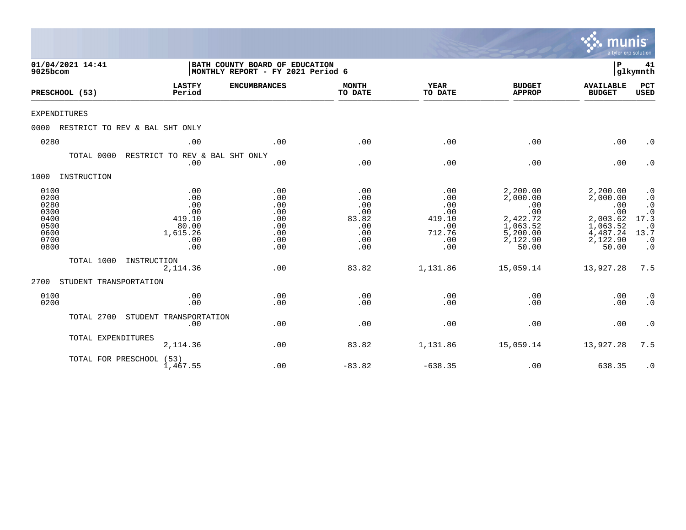|                                                                      |                                |                                                                       |                                                                     |                                                               |                                                                   |                                                                                             | munis<br>a tyler erp solution                                                               |                                                                                                         |
|----------------------------------------------------------------------|--------------------------------|-----------------------------------------------------------------------|---------------------------------------------------------------------|---------------------------------------------------------------|-------------------------------------------------------------------|---------------------------------------------------------------------------------------------|---------------------------------------------------------------------------------------------|---------------------------------------------------------------------------------------------------------|
| 9025bcom                                                             | 01/04/2021 14:41               |                                                                       | BATH COUNTY BOARD OF EDUCATION<br>MONTHLY REPORT - FY 2021 Period 6 |                                                               |                                                                   |                                                                                             |                                                                                             |                                                                                                         |
|                                                                      | PRESCHOOL (53)                 | <b>LASTFY</b><br>Period                                               | <b>ENCUMBRANCES</b>                                                 | <b>MONTH</b><br>TO DATE                                       | <b>YEAR</b><br>TO DATE                                            | <b>BUDGET</b><br><b>APPROP</b>                                                              | <b>AVAILABLE</b><br><b>BUDGET</b>                                                           | PCT<br><b>USED</b>                                                                                      |
| <b>EXPENDITURES</b>                                                  |                                |                                                                       |                                                                     |                                                               |                                                                   |                                                                                             |                                                                                             |                                                                                                         |
| 0000                                                                 | RESTRICT TO REV & BAL SHT ONLY |                                                                       |                                                                     |                                                               |                                                                   |                                                                                             |                                                                                             |                                                                                                         |
| 0280                                                                 |                                | .00                                                                   | .00                                                                 | .00                                                           | .00                                                               | .00                                                                                         | .00                                                                                         | $\cdot$ 0                                                                                               |
|                                                                      | TOTAL 0000                     | RESTRICT TO REV & BAL SHT ONLY<br>.00                                 | .00                                                                 | .00                                                           | .00                                                               | .00                                                                                         | .00                                                                                         | $\cdot$ 0                                                                                               |
| 1000                                                                 | INSTRUCTION                    |                                                                       |                                                                     |                                                               |                                                                   |                                                                                             |                                                                                             |                                                                                                         |
| 0100<br>0200<br>0280<br>0300<br>0400<br>0500<br>0600<br>0700<br>0800 |                                | .00<br>.00<br>.00<br>.00<br>419.10<br>80.00<br>1,615.26<br>.00<br>.00 | .00<br>.00<br>.00<br>.00<br>.00<br>.00<br>.00<br>.00<br>.00         | .00<br>.00<br>.00<br>.00<br>83.82<br>.00<br>.00<br>.00<br>.00 | .00<br>.00<br>.00<br>.00<br>419.10<br>.00<br>712.76<br>.00<br>.00 | 2,200.00<br>2,000.00<br>.00<br>.00<br>2,422.72<br>1,063.52<br>5,200.00<br>2,122.90<br>50.00 | 2,200.00<br>2,000.00<br>.00<br>.00<br>2,003.62<br>1,063.52<br>4,487.24<br>2,122.90<br>50.00 | $\cdot$ 0<br>$\cdot$ 0<br>$\cdot$ 0<br>$17.\overline{3}$<br>$\cdot$ 0<br>13.7<br>$\cdot$ 0<br>$\cdot$ 0 |
|                                                                      | TOTAL 1000                     | INSTRUCTION<br>2, 114.36                                              | .00                                                                 | 83.82                                                         | 1,131.86                                                          | 15,059.14                                                                                   | 13,927.28                                                                                   | 7.5                                                                                                     |
| 2700                                                                 | STUDENT TRANSPORTATION         |                                                                       |                                                                     |                                                               |                                                                   |                                                                                             |                                                                                             |                                                                                                         |
| 0100<br>0200                                                         |                                | .00<br>.00                                                            | .00<br>.00                                                          | .00<br>.00                                                    | .00<br>.00                                                        | .00<br>.00                                                                                  | .00<br>.00                                                                                  | $\cdot$ 0<br>$\cdot$ 0                                                                                  |
|                                                                      | TOTAL 2700                     | STUDENT TRANSPORTATION<br>.00                                         | .00                                                                 | .00                                                           | .00                                                               | .00                                                                                         | .00                                                                                         | $\cdot$ 0                                                                                               |
|                                                                      | TOTAL EXPENDITURES             | 2,114.36                                                              | .00                                                                 | 83.82                                                         | 1,131.86                                                          | 15,059.14                                                                                   | 13,927.28                                                                                   | 7.5                                                                                                     |
|                                                                      | TOTAL FOR PRESCHOOL (53)       | 1,467.55                                                              | .00                                                                 | $-83.82$                                                      | $-638.35$                                                         | .00                                                                                         | 638.35                                                                                      | $\cdot$ 0                                                                                               |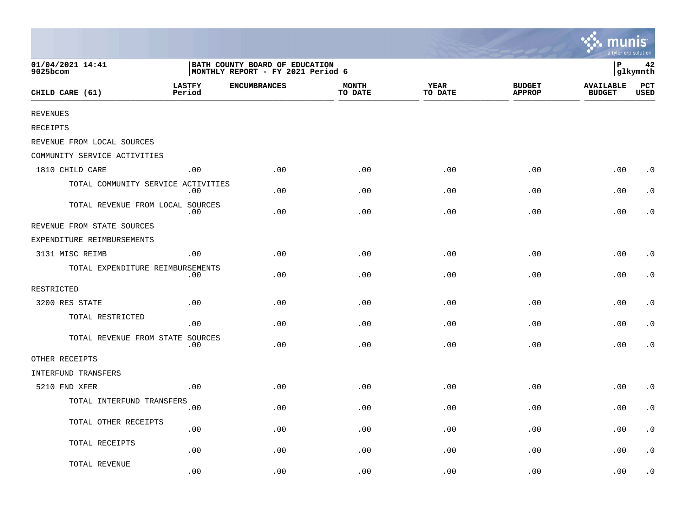|                                    |                         |                                                                     |                         |                        |                                | <b>W. MUNIS</b><br>a tyler erp solution |                    |
|------------------------------------|-------------------------|---------------------------------------------------------------------|-------------------------|------------------------|--------------------------------|-----------------------------------------|--------------------|
| 01/04/2021 14:41<br>9025bcom       |                         | BATH COUNTY BOARD OF EDUCATION<br>MONTHLY REPORT - FY 2021 Period 6 |                         |                        |                                | l P                                     | 42<br>glkymnth     |
| CHILD CARE (61)                    | <b>LASTFY</b><br>Period | <b>ENCUMBRANCES</b>                                                 | <b>MONTH</b><br>TO DATE | <b>YEAR</b><br>TO DATE | <b>BUDGET</b><br><b>APPROP</b> | <b>AVAILABLE</b><br><b>BUDGET</b>       | PCT<br><b>USED</b> |
| <b>REVENUES</b>                    |                         |                                                                     |                         |                        |                                |                                         |                    |
| <b>RECEIPTS</b>                    |                         |                                                                     |                         |                        |                                |                                         |                    |
| REVENUE FROM LOCAL SOURCES         |                         |                                                                     |                         |                        |                                |                                         |                    |
| COMMUNITY SERVICE ACTIVITIES       |                         |                                                                     |                         |                        |                                |                                         |                    |
| 1810 CHILD CARE                    | .00                     | .00                                                                 | .00                     | .00                    | .00                            | .00                                     | $\cdot$ 0          |
| TOTAL COMMUNITY SERVICE ACTIVITIES | .00                     | .00                                                                 | .00                     | .00                    | .00                            | .00                                     | $\cdot$ 0          |
| TOTAL REVENUE FROM LOCAL SOURCES   | .00                     | .00                                                                 | .00                     | .00                    | .00                            | .00                                     | $\cdot$ 0          |
| REVENUE FROM STATE SOURCES         |                         |                                                                     |                         |                        |                                |                                         |                    |
| EXPENDITURE REIMBURSEMENTS         |                         |                                                                     |                         |                        |                                |                                         |                    |
| 3131 MISC REIMB                    | .00                     | .00                                                                 | .00                     | .00                    | .00                            | .00                                     | $\cdot$ 0          |
| TOTAL EXPENDITURE REIMBURSEMENTS   | .00                     | .00                                                                 | .00                     | .00                    | .00                            | .00                                     | $\cdot$ 0          |
| RESTRICTED                         |                         |                                                                     |                         |                        |                                |                                         |                    |
| 3200 RES STATE                     | .00                     | .00                                                                 | .00                     | .00                    | .00                            | .00                                     | $\cdot$ 0          |
| TOTAL RESTRICTED                   | .00                     | .00                                                                 | .00                     | .00                    | .00                            | .00                                     | $\cdot$ 0          |
| TOTAL REVENUE FROM STATE SOURCES   | .00                     | .00                                                                 | .00                     | .00                    | .00                            | .00                                     | $\cdot$ 0          |
| OTHER RECEIPTS                     |                         |                                                                     |                         |                        |                                |                                         |                    |
| INTERFUND TRANSFERS                |                         |                                                                     |                         |                        |                                |                                         |                    |
| 5210 FND XFER                      | .00                     | .00                                                                 | .00                     | .00                    | .00                            | .00                                     | $\cdot$ 0          |
| TOTAL INTERFUND TRANSFERS          | .00                     | .00                                                                 | .00                     | .00                    | .00                            | .00                                     | $\cdot$ 0          |
| TOTAL OTHER RECEIPTS               | .00                     | .00                                                                 | .00                     | .00                    | .00                            | .00                                     | $\cdot$ 0          |
| TOTAL RECEIPTS                     | .00                     | .00                                                                 | .00                     | .00                    | .00                            | .00                                     | $\cdot$ 0          |
| TOTAL REVENUE                      | .00                     | .00                                                                 | .00                     | .00                    | .00                            | .00                                     | $\cdot$ 0          |

 $\sim$   $\sim$   $\sim$   $\sim$   $\sim$   $\sim$   $\sim$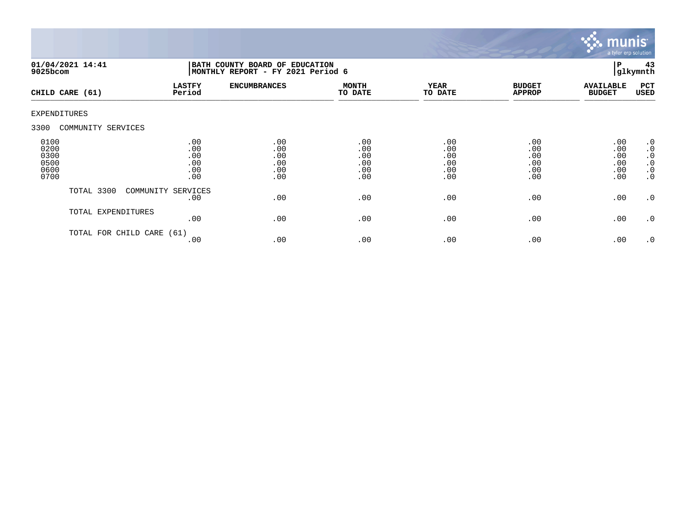

| 9025bcom                                     | 01/04/2021 14:41     | BATH COUNTY BOARD OF EDUCATION<br>MONTHLY REPORT - FY 2021 Period 6 |                                        |                                        |                                        |                                        |                                        | 43<br>glkymnth                                                                          |
|----------------------------------------------|----------------------|---------------------------------------------------------------------|----------------------------------------|----------------------------------------|----------------------------------------|----------------------------------------|----------------------------------------|-----------------------------------------------------------------------------------------|
|                                              | CHILD CARE (61)      | <b>LASTFY</b><br>Period                                             | <b>ENCUMBRANCES</b>                    | <b>MONTH</b><br>TO DATE                | <b>YEAR</b><br>TO DATE                 | <b>BUDGET</b><br><b>APPROP</b>         | <b>AVAILABLE</b><br><b>BUDGET</b>      | PCT<br>USED                                                                             |
| <b>EXPENDITURES</b>                          |                      |                                                                     |                                        |                                        |                                        |                                        |                                        |                                                                                         |
| 3300                                         | COMMUNITY SERVICES   |                                                                     |                                        |                                        |                                        |                                        |                                        |                                                                                         |
| 0100<br>0200<br>0300<br>0500<br>0600<br>0700 |                      | .00<br>.00<br>.00<br>.00<br>.00<br>.00                              | .00<br>.00<br>.00<br>.00<br>.00<br>.00 | .00<br>.00<br>.00<br>.00<br>.00<br>.00 | .00<br>.00<br>.00<br>.00<br>.00<br>.00 | .00<br>.00<br>.00<br>.00<br>.00<br>.00 | .00<br>.00<br>.00<br>.00<br>.00<br>.00 | $\cdot$ 0<br>$\boldsymbol{\cdot}$ 0<br>$\cdot$ 0<br>$\cdot$ 0<br>$\cdot$ 0<br>$\cdot$ 0 |
|                                              | TOTAL 3300           | COMMUNITY SERVICES<br>.00                                           | .00                                    | .00                                    | .00                                    | .00                                    | .00                                    | $\cdot$ 0                                                                               |
|                                              | TOTAL EXPENDITURES   | .00                                                                 | .00                                    | .00                                    | .00                                    | .00                                    | .00                                    | $\cdot$ 0                                                                               |
|                                              | TOTAL FOR CHILD CARE | (61)<br>.00                                                         | .00                                    | .00                                    | .00                                    | .00                                    | .00                                    | $\cdot$ 0                                                                               |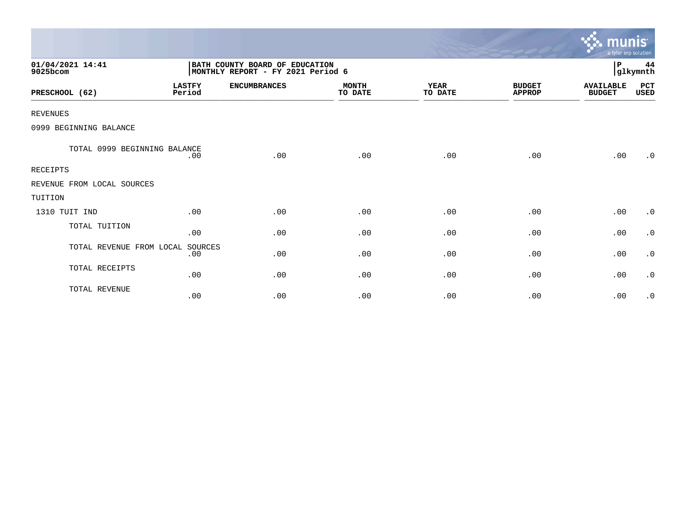|                              |                         |                                                                     |                         |                        |                                | munis <sup>.</sup><br>a tyler erp solution |                |
|------------------------------|-------------------------|---------------------------------------------------------------------|-------------------------|------------------------|--------------------------------|--------------------------------------------|----------------|
| 01/04/2021 14:41<br>9025bcom |                         | BATH COUNTY BOARD OF EDUCATION<br>MONTHLY REPORT - FY 2021 Period 6 |                         |                        |                                | P                                          | 44<br>glkymnth |
| PRESCHOOL (62)               | <b>LASTFY</b><br>Period | <b>ENCUMBRANCES</b>                                                 | <b>MONTH</b><br>TO DATE | <b>YEAR</b><br>TO DATE | <b>BUDGET</b><br><b>APPROP</b> | <b>AVAILABLE</b><br><b>BUDGET</b>          | PCT<br>USED    |
| <b>REVENUES</b>              |                         |                                                                     |                         |                        |                                |                                            |                |
| 0999 BEGINNING BALANCE       |                         |                                                                     |                         |                        |                                |                                            |                |
| TOTAL 0999 BEGINNING BALANCE | .00                     | .00                                                                 | .00                     | .00                    | .00                            | .00                                        | .0             |
| <b>RECEIPTS</b>              |                         |                                                                     |                         |                        |                                |                                            |                |
| REVENUE FROM LOCAL SOURCES   |                         |                                                                     |                         |                        |                                |                                            |                |
| TUITION                      |                         |                                                                     |                         |                        |                                |                                            |                |
| 1310 TUIT IND                | .00                     | .00                                                                 | .00                     | .00                    | .00                            | .00                                        | $\cdot$ 0      |
| TOTAL TUITION                | .00                     | .00                                                                 | .00                     | .00                    | .00                            | .00                                        | $\cdot$ 0      |
| TOTAL REVENUE FROM LOCAL     | SOURCES<br>.00          | .00                                                                 | .00                     | .00                    | .00                            | .00                                        | $\cdot$ 0      |
| TOTAL RECEIPTS               | .00                     | .00                                                                 | .00                     | .00                    | .00                            | .00                                        | $\cdot$ 0      |
| TOTAL REVENUE                | .00                     | .00                                                                 | .00                     | .00                    | .00                            | .00                                        | $\cdot$ 0      |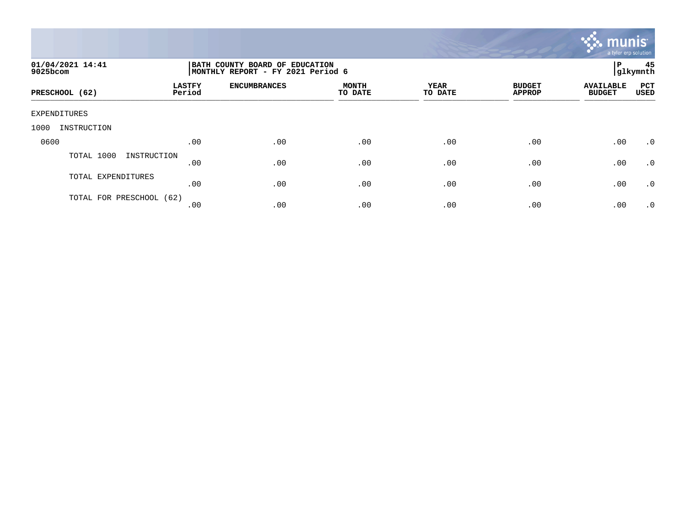

| 01/04/2021 14:41<br>9025bcom |                         | BATH COUNTY BOARD OF EDUCATION<br>MONTHLY REPORT - FY 2021 Period 6 |                         |                 |                                |                                   |             |  |
|------------------------------|-------------------------|---------------------------------------------------------------------|-------------------------|-----------------|--------------------------------|-----------------------------------|-------------|--|
| PRESCHOOL (62)               | <b>LASTFY</b><br>Period | <b>ENCUMBRANCES</b>                                                 | <b>MONTH</b><br>TO DATE | YEAR<br>TO DATE | <b>BUDGET</b><br><b>APPROP</b> | <b>AVAILABLE</b><br><b>BUDGET</b> | PCT<br>USED |  |
| EXPENDITURES                 |                         |                                                                     |                         |                 |                                |                                   |             |  |
| 1000<br>INSTRUCTION          |                         |                                                                     |                         |                 |                                |                                   |             |  |
| 0600                         | .00                     | .00                                                                 | .00                     | .00             | .00                            | .00                               | $\cdot$ 0   |  |
| TOTAL 1000<br>INSTRUCTION    | .00                     | .00                                                                 | .00                     | .00             | .00                            | .00                               | .0          |  |
| TOTAL EXPENDITURES           | .00                     | .00                                                                 | .00                     | .00             | .00                            | .00                               | .0          |  |
| TOTAL FOR PRESCHOOL (62)     | .00                     | .00                                                                 | .00                     | .00             | .00                            | .00                               | $\cdot$ 0   |  |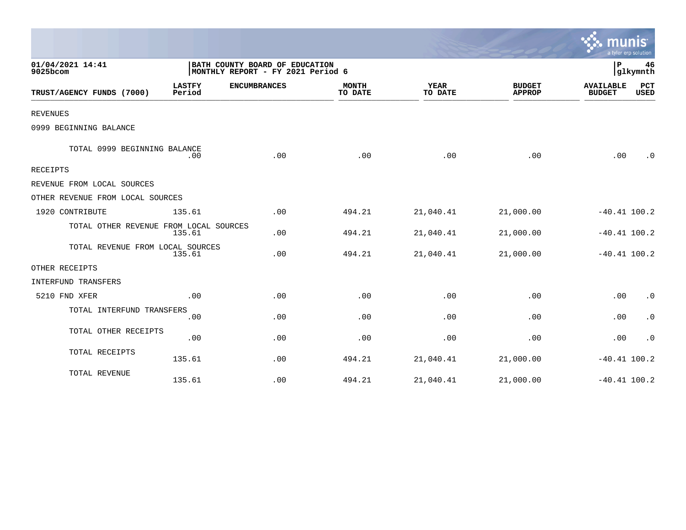|                                                      |                                                                     |                         |                        |                                |                                   | a tyler erp solution |
|------------------------------------------------------|---------------------------------------------------------------------|-------------------------|------------------------|--------------------------------|-----------------------------------|----------------------|
| 01/04/2021 14:41<br>9025bcom                         | BATH COUNTY BOARD OF EDUCATION<br>MONTHLY REPORT - FY 2021 Period 6 |                         |                        |                                | ΙP                                | 46<br>glkymnth       |
| <b>LASTFY</b><br>TRUST/AGENCY FUNDS (7000)<br>Period | <b>ENCUMBRANCES</b>                                                 | <b>MONTH</b><br>TO DATE | <b>YEAR</b><br>TO DATE | <b>BUDGET</b><br><b>APPROP</b> | <b>AVAILABLE</b><br><b>BUDGET</b> | PCT<br>USED          |
| <b>REVENUES</b>                                      |                                                                     |                         |                        |                                |                                   |                      |
| 0999 BEGINNING BALANCE                               |                                                                     |                         |                        |                                |                                   |                      |
| TOTAL 0999 BEGINNING BALANCE                         | .00<br>.00                                                          | .00                     | .00                    | .00                            | .00                               | $\cdot$ 0            |
| <b>RECEIPTS</b>                                      |                                                                     |                         |                        |                                |                                   |                      |
| REVENUE FROM LOCAL SOURCES                           |                                                                     |                         |                        |                                |                                   |                      |
| OTHER REVENUE FROM LOCAL SOURCES                     |                                                                     |                         |                        |                                |                                   |                      |
| 1920 CONTRIBUTE<br>135.61                            | .00                                                                 | 494.21                  | 21,040.41              | 21,000.00                      | $-40.41$ 100.2                    |                      |
| TOTAL OTHER REVENUE FROM LOCAL SOURCES<br>135.61     | .00                                                                 | 494.21                  | 21,040.41              | 21,000.00                      | $-40.41$ 100.2                    |                      |
| TOTAL REVENUE FROM LOCAL SOURCES<br>135.61           | .00                                                                 | 494.21                  | 21,040.41              | 21,000.00                      |                                   | $-40.41$ 100.2       |
| OTHER RECEIPTS                                       |                                                                     |                         |                        |                                |                                   |                      |
| INTERFUND TRANSFERS                                  |                                                                     |                         |                        |                                |                                   |                      |
| 5210 FND XFER                                        | .00<br>.00                                                          | .00                     | .00                    | .00                            | .00                               | $\cdot$ 0            |
| TOTAL INTERFUND TRANSFERS                            | .00<br>.00                                                          | .00                     | .00                    | .00                            | .00                               | $\cdot$ 0            |
| TOTAL OTHER RECEIPTS                                 | .00<br>.00                                                          | .00                     | .00                    | .00                            | .00                               | $\cdot$ 0            |
| TOTAL RECEIPTS<br>135.61                             | .00                                                                 | 494.21                  | 21,040.41              | 21,000.00                      | $-40.41$ 100.2                    |                      |
| TOTAL REVENUE<br>135.61                              | .00                                                                 | 494.21                  | 21,040.41              | 21,000.00                      |                                   | $-40.41$ 100.2       |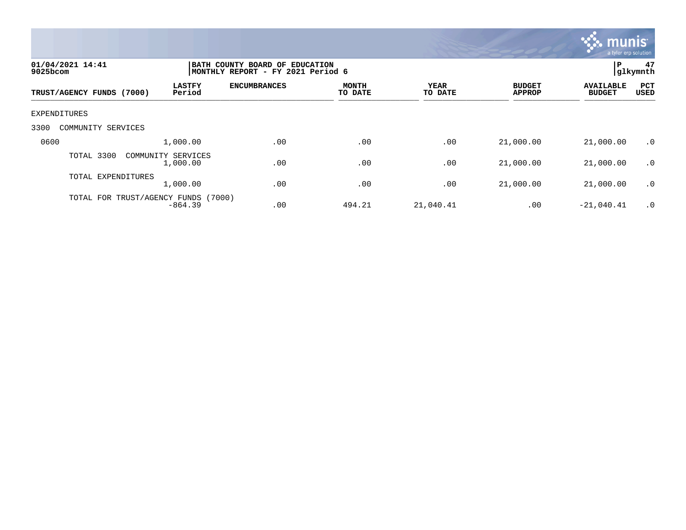

| 01/04/2021 14:41<br>$9025$ bcom                      | BATH COUNTY BOARD OF EDUCATION<br>MONTHLY REPORT - FY 2021 Period 6 |                         |                 |                                |                                   |                    |  |
|------------------------------------------------------|---------------------------------------------------------------------|-------------------------|-----------------|--------------------------------|-----------------------------------|--------------------|--|
| <b>LASTFY</b><br>Period<br>TRUST/AGENCY FUNDS (7000) | <b>ENCUMBRANCES</b>                                                 | <b>MONTH</b><br>TO DATE | YEAR<br>TO DATE | <b>BUDGET</b><br><b>APPROP</b> | <b>AVAILABLE</b><br><b>BUDGET</b> | PCT<br><b>USED</b> |  |
| EXPENDITURES                                         |                                                                     |                         |                 |                                |                                   |                    |  |
| 3300<br>COMMUNITY SERVICES                           |                                                                     |                         |                 |                                |                                   |                    |  |
| 0600<br>1,000.00                                     | .00                                                                 | .00                     | .00             | 21,000.00                      | 21,000.00                         | $\cdot$ 0          |  |
| TOTAL 3300<br>COMMUNITY SERVICES<br>1,000.00         | .00                                                                 | .00                     | .00             | 21,000.00                      | 21,000.00                         | $\cdot$ 0          |  |
| TOTAL EXPENDITURES<br>1,000.00                       | .00                                                                 | .00                     | .00             | 21,000.00                      | 21,000.00                         | $\cdot$ 0          |  |
| TOTAL FOR TRUST/AGENCY FUNDS<br>$-864.39$            | (7000)<br>.00                                                       | 494.21                  | 21,040.41       | .00                            | $-21,040.41$                      | $\cdot$ 0          |  |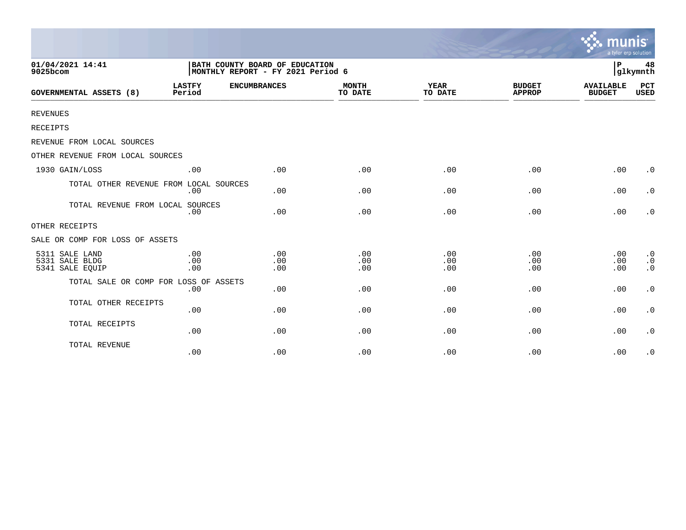|                                                     |                                                                     |                     |                         |                        |                                | munis<br>a tyler erp solution     |                                                  |
|-----------------------------------------------------|---------------------------------------------------------------------|---------------------|-------------------------|------------------------|--------------------------------|-----------------------------------|--------------------------------------------------|
| 01/04/2021 14:41<br>9025bcom                        | BATH COUNTY BOARD OF EDUCATION<br>MONTHLY REPORT - FY 2021 Period 6 |                     |                         |                        |                                | l P                               | 48<br>glkymnth                                   |
| <b>GOVERNMENTAL ASSETS (8)</b>                      | <b>LASTFY</b><br>Period                                             | <b>ENCUMBRANCES</b> | <b>MONTH</b><br>TO DATE | <b>YEAR</b><br>TO DATE | <b>BUDGET</b><br><b>APPROP</b> | <b>AVAILABLE</b><br><b>BUDGET</b> | <b>PCT</b><br><b>USED</b>                        |
| <b>REVENUES</b>                                     |                                                                     |                     |                         |                        |                                |                                   |                                                  |
| RECEIPTS                                            |                                                                     |                     |                         |                        |                                |                                   |                                                  |
| REVENUE FROM LOCAL SOURCES                          |                                                                     |                     |                         |                        |                                |                                   |                                                  |
| OTHER REVENUE FROM LOCAL SOURCES                    |                                                                     |                     |                         |                        |                                |                                   |                                                  |
| 1930 GAIN/LOSS                                      | .00                                                                 | .00                 | .00                     | .00                    | .00                            | .00                               | $\cdot$ 0                                        |
| TOTAL OTHER REVENUE FROM LOCAL SOURCES              | .00                                                                 | .00                 | .00                     | .00                    | .00                            | .00                               | $\cdot$ 0                                        |
| TOTAL REVENUE FROM LOCAL SOURCES                    | .00                                                                 | .00                 | .00                     | .00                    | .00                            | .00                               | $\cdot$ 0                                        |
| OTHER RECEIPTS                                      |                                                                     |                     |                         |                        |                                |                                   |                                                  |
| SALE OR COMP FOR LOSS OF ASSETS                     |                                                                     |                     |                         |                        |                                |                                   |                                                  |
| 5311 SALE LAND<br>5331 SALE BLDG<br>5341 SALE EQUIP | .00<br>.00<br>.00                                                   | .00<br>.00<br>.00   | .00<br>.00<br>.00       | .00<br>.00<br>.00      | .00<br>.00<br>.00              | .00<br>.00<br>.00                 | $\cdot$ 0<br>$\boldsymbol{\cdot}$ 0<br>$\cdot$ 0 |
| TOTAL SALE OR COMP FOR LOSS OF ASSETS               | .00                                                                 | .00                 | .00                     | .00                    | .00                            | .00                               | $\cdot$ 0                                        |
| TOTAL OTHER RECEIPTS                                | .00                                                                 | .00                 | .00                     | .00                    | .00                            | .00                               | $\cdot$ 0                                        |
| TOTAL RECEIPTS                                      | .00                                                                 | .00                 | .00                     | .00                    | .00                            | .00                               | $\cdot$ 0                                        |
| TOTAL REVENUE                                       | .00                                                                 | .00                 | .00                     | .00                    | .00                            | .00                               | $\cdot$ 0                                        |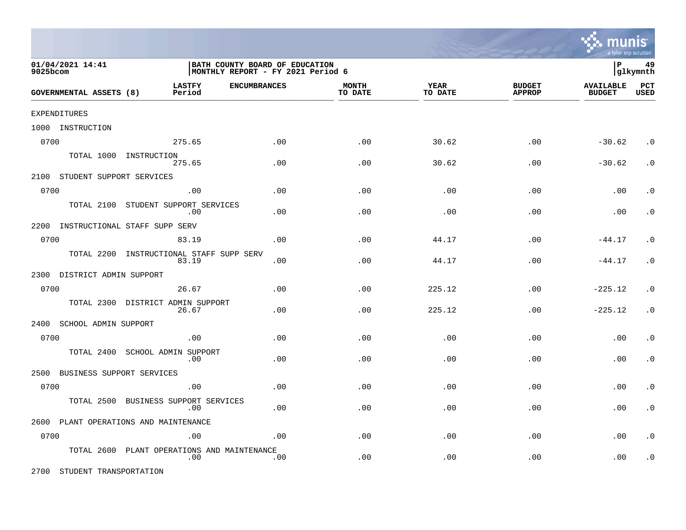

| 01/04/2021 14:41<br>9025bcom       |                                                | BATH COUNTY BOARD OF EDUCATION<br>MONTHLY REPORT - FY 2021 Period 6 |                         |                 |                                |                                   |                    |
|------------------------------------|------------------------------------------------|---------------------------------------------------------------------|-------------------------|-----------------|--------------------------------|-----------------------------------|--------------------|
| GOVERNMENTAL ASSETS (8)            | <b>LASTFY</b><br><b>ENCUMBRANCES</b><br>Period |                                                                     | <b>MONTH</b><br>TO DATE | YEAR<br>TO DATE | <b>BUDGET</b><br><b>APPROP</b> | <b>AVAILABLE</b><br><b>BUDGET</b> | PCT<br><b>USED</b> |
| EXPENDITURES                       |                                                |                                                                     |                         |                 |                                |                                   |                    |
| 1000 INSTRUCTION                   |                                                |                                                                     |                         |                 |                                |                                   |                    |
| 0700                               | 275.65                                         | .00                                                                 | .00                     | 30.62           | .00                            | $-30.62$                          | $\cdot$ 0          |
|                                    | TOTAL 1000 INSTRUCTION<br>275.65               | .00                                                                 | .00                     | 30.62           | .00                            | $-30.62$                          | $\cdot$ 0          |
| 2100 STUDENT SUPPORT SERVICES      |                                                |                                                                     |                         |                 |                                |                                   |                    |
| 0700                               | .00                                            | .00                                                                 | .00                     | .00             | .00                            | .00                               | . $\boldsymbol{0}$ |
| TOTAL 2100                         | STUDENT SUPPORT SERVICES<br>.00                | .00                                                                 | .00                     | .00             | .00                            | .00                               | $\cdot$ 0          |
| 2200 INSTRUCTIONAL STAFF SUPP SERV |                                                |                                                                     |                         |                 |                                |                                   |                    |
| 0700                               | 83.19                                          | .00                                                                 | .00                     | 44.17           | .00                            | $-44.17$                          | $\cdot$ 0          |
| TOTAL 2200                         | INSTRUCTIONAL STAFF SUPP SERV<br>83.19         | .00                                                                 | .00                     | 44.17           | .00                            | $-44.17$                          | $\cdot$ 0          |
| 2300 DISTRICT ADMIN SUPPORT        |                                                |                                                                     |                         |                 |                                |                                   |                    |
| 0700                               | 26.67                                          | .00                                                                 | .00                     | 225.12          | .00                            | $-225.12$                         | $\cdot$ 0          |
| TOTAL 2300                         | DISTRICT ADMIN SUPPORT<br>26.67                | .00                                                                 | .00                     | 225.12          | .00                            | $-225.12$                         | $\cdot$ 0          |
| 2400<br>SCHOOL ADMIN SUPPORT       |                                                |                                                                     |                         |                 |                                |                                   |                    |
| 0700                               | .00                                            | .00                                                                 | .00                     | .00             | .00                            | .00                               | $\cdot$ 0          |
| TOTAL 2400                         | SCHOOL ADMIN SUPPORT<br>.00                    | .00                                                                 | .00                     | .00             | .00                            | .00                               | $\cdot$ 0          |
| BUSINESS SUPPORT SERVICES<br>2500  |                                                |                                                                     |                         |                 |                                |                                   |                    |
| 0700                               | .00                                            | .00                                                                 | .00                     | .00             | .00                            | .00                               | $\cdot$ 0          |
| TOTAL 2500                         | BUSINESS SUPPORT SERVICES<br>.00               | .00                                                                 | .00                     | .00             | .00                            | .00                               | $\cdot$ 0          |
|                                    | 2600 PLANT OPERATIONS AND MAINTENANCE          |                                                                     |                         |                 |                                |                                   |                    |
| 0700                               | .00                                            | .00                                                                 | .00                     | .00             | .00                            | .00                               | $\cdot$ 0          |
| TOTAL 2600                         | PLANT OPERATIONS AND MAINTENANCE<br>.00        | .00                                                                 | .00                     | .00             | .00                            | .00                               | $\cdot$ 0          |

2700 STUDENT TRANSPORTATION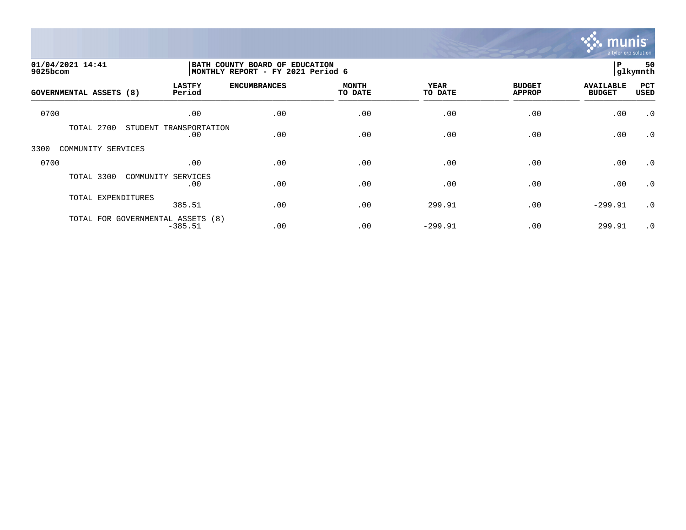

| 01/04/2021 14:41<br>9025bcom   |                                                | BATH COUNTY BOARD OF EDUCATION<br>MONTHLY REPORT - FY 2021 Period 6 |                         |                        |                                |                                   |             |
|--------------------------------|------------------------------------------------|---------------------------------------------------------------------|-------------------------|------------------------|--------------------------------|-----------------------------------|-------------|
| <b>GOVERNMENTAL ASSETS (8)</b> | <b>LASTFY</b><br>Period                        | <b>ENCUMBRANCES</b>                                                 | <b>MONTH</b><br>TO DATE | <b>YEAR</b><br>TO DATE | <b>BUDGET</b><br><b>APPROP</b> | <b>AVAILABLE</b><br><b>BUDGET</b> | PCT<br>USED |
| 0700                           | .00                                            | .00                                                                 | .00                     | .00                    | .00                            | .00                               | $\cdot$ 0   |
| TOTAL 2700                     | STUDENT<br>TRANSPORTATION<br>.00               | .00                                                                 | .00                     | .00                    | .00                            | .00                               | $\cdot$ 0   |
| 3300<br>COMMUNITY SERVICES     |                                                |                                                                     |                         |                        |                                |                                   |             |
| 0700                           | .00                                            | .00                                                                 | .00                     | .00                    | .00                            | .00                               | $\cdot$ 0   |
| TOTAL 3300                     | COMMUNITY SERVICES<br>.00                      | .00                                                                 | .00                     | .00                    | .00                            | .00                               | $\cdot$ 0   |
| TOTAL EXPENDITURES             | 385.51                                         | .00                                                                 | .00                     | 299.91                 | .00                            | $-299.91$                         | $\cdot$ 0   |
|                                | TOTAL FOR GOVERNMENTAL ASSETS (8)<br>$-385.51$ | .00                                                                 | .00                     | $-299.91$              | .00                            | 299.91                            | $\cdot$ 0   |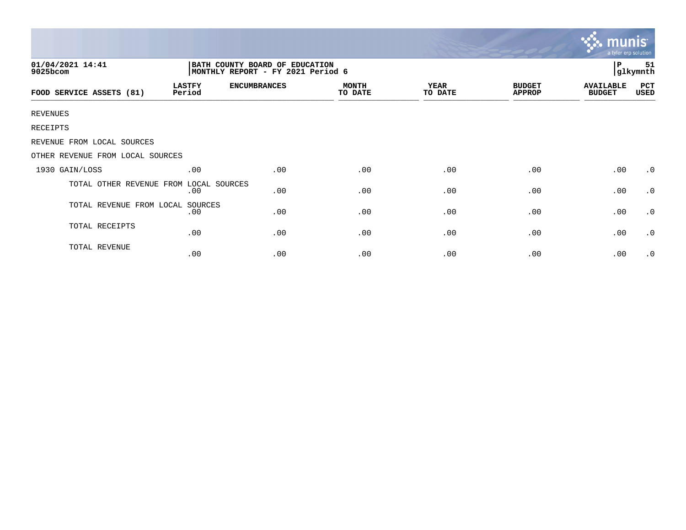|                                  |                                                                     |                     |                         |                        |                                | munis<br>a tyler erp solution     |                |
|----------------------------------|---------------------------------------------------------------------|---------------------|-------------------------|------------------------|--------------------------------|-----------------------------------|----------------|
| 01/04/2021 14:41<br>9025bcom     | BATH COUNTY BOARD OF EDUCATION<br>MONTHLY REPORT - FY 2021 Period 6 |                     |                         |                        |                                | P                                 | 51<br>glkymnth |
| FOOD SERVICE ASSETS (81)         | <b>LASTFY</b><br>Period                                             | <b>ENCUMBRANCES</b> | <b>MONTH</b><br>TO DATE | <b>YEAR</b><br>TO DATE | <b>BUDGET</b><br><b>APPROP</b> | <b>AVAILABLE</b><br><b>BUDGET</b> | PCT<br>USED    |
| <b>REVENUES</b>                  |                                                                     |                     |                         |                        |                                |                                   |                |
| RECEIPTS                         |                                                                     |                     |                         |                        |                                |                                   |                |
| REVENUE FROM LOCAL SOURCES       |                                                                     |                     |                         |                        |                                |                                   |                |
| OTHER REVENUE FROM LOCAL SOURCES |                                                                     |                     |                         |                        |                                |                                   |                |
| 1930 GAIN/LOSS                   | .00                                                                 | .00                 | .00                     | .00                    | .00                            | .00                               | $\cdot$ 0      |
| TOTAL OTHER REVENUE FROM         | LOCAL SOURCES<br>.00                                                | .00                 | .00                     | .00                    | .00                            | .00                               | $\cdot$ 0      |
| TOTAL REVENUE FROM LOCAL SOURCES | .00                                                                 | .00                 | .00                     | .00                    | .00                            | .00                               | $\cdot$ 0      |
| TOTAL RECEIPTS                   | .00                                                                 | .00                 | .00                     | .00                    | .00                            | .00                               | $\cdot$ 0      |
| TOTAL REVENUE                    | .00                                                                 | .00                 | .00                     | .00                    | .00                            | .00                               | $\cdot$ 0      |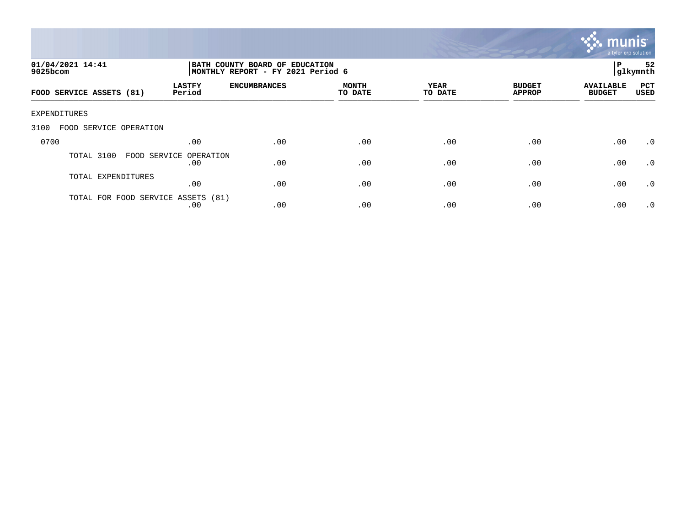

| 01/04/2021 14:41<br>$9025$ bcom    | BATH COUNTY BOARD OF EDUCATION<br>MONTHLY REPORT - FY 2021 Period 6 |                     |                         |                        |                                | 52<br>P<br> glkymnth              |                    |
|------------------------------------|---------------------------------------------------------------------|---------------------|-------------------------|------------------------|--------------------------------|-----------------------------------|--------------------|
| FOOD SERVICE ASSETS (81)           | <b>LASTFY</b><br>Period                                             | <b>ENCUMBRANCES</b> | <b>MONTH</b><br>TO DATE | <b>YEAR</b><br>TO DATE | <b>BUDGET</b><br><b>APPROP</b> | <b>AVAILABLE</b><br><b>BUDGET</b> | PCT<br><b>USED</b> |
| EXPENDITURES                       |                                                                     |                     |                         |                        |                                |                                   |                    |
| 3100<br>FOOD SERVICE OPERATION     |                                                                     |                     |                         |                        |                                |                                   |                    |
| 0700                               | .00                                                                 | .00                 | .00                     | .00                    | .00                            | .00                               | $.0 \cdot$         |
| TOTAL 3100                         | FOOD SERVICE OPERATION<br>.00                                       | .00                 | .00                     | .00                    | .00                            | .00                               | $\cdot$ 0          |
| TOTAL EXPENDITURES                 | .00                                                                 | .00                 | .00                     | .00                    | .00                            | .00                               | $\cdot$ 0          |
| TOTAL FOR FOOD SERVICE ASSETS (81) | .00                                                                 | .00                 | .00                     | .00                    | .00                            | .00                               | $\cdot$ 0          |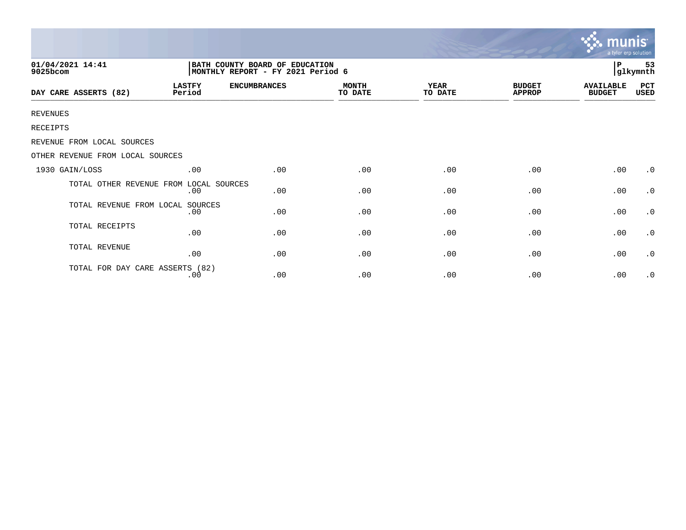|                                        |                                                                      |                     |                         |                 |                                | <b>munis</b><br>a tyler erp solution |                     |  |
|----------------------------------------|----------------------------------------------------------------------|---------------------|-------------------------|-----------------|--------------------------------|--------------------------------------|---------------------|--|
| 01/04/2021 14:41<br>9025bcom           | BATH COUNTY BOARD OF EDUCATION<br> MONTHLY REPORT - FY 2021 Period 6 |                     |                         |                 |                                |                                      | 53<br>P<br>glkymnth |  |
| DAY CARE ASSERTS (82)                  | <b>LASTFY</b><br>Period                                              | <b>ENCUMBRANCES</b> | <b>MONTH</b><br>TO DATE | YEAR<br>TO DATE | <b>BUDGET</b><br><b>APPROP</b> | <b>AVAILABLE</b><br><b>BUDGET</b>    | PCT<br>USED         |  |
| <b>REVENUES</b>                        |                                                                      |                     |                         |                 |                                |                                      |                     |  |
| RECEIPTS                               |                                                                      |                     |                         |                 |                                |                                      |                     |  |
| REVENUE FROM LOCAL SOURCES             |                                                                      |                     |                         |                 |                                |                                      |                     |  |
| OTHER REVENUE FROM LOCAL SOURCES       |                                                                      |                     |                         |                 |                                |                                      |                     |  |
| 1930 GAIN/LOSS                         | .00                                                                  | .00                 | .00                     | .00             | .00                            | .00                                  | $\cdot$ 0           |  |
| TOTAL OTHER REVENUE FROM LOCAL SOURCES | .00                                                                  | .00                 | .00                     | .00             | .00                            | .00                                  | $\cdot$ 0           |  |
| TOTAL REVENUE FROM LOCAL               | SOURCES<br>.00                                                       | .00                 | .00                     | .00             | .00                            | .00                                  | $\cdot$ 0           |  |
| TOTAL RECEIPTS                         | .00                                                                  | .00                 | .00                     | .00             | .00                            | .00                                  | $\cdot$ 0           |  |
| TOTAL REVENUE                          | .00                                                                  | .00                 | .00                     | .00             | .00                            | .00                                  | $\cdot$ 0           |  |
| TOTAL FOR DAY CARE ASSERTS (82)        | .00                                                                  | .00                 | .00                     | .00             | .00                            | .00                                  | $\cdot$ 0           |  |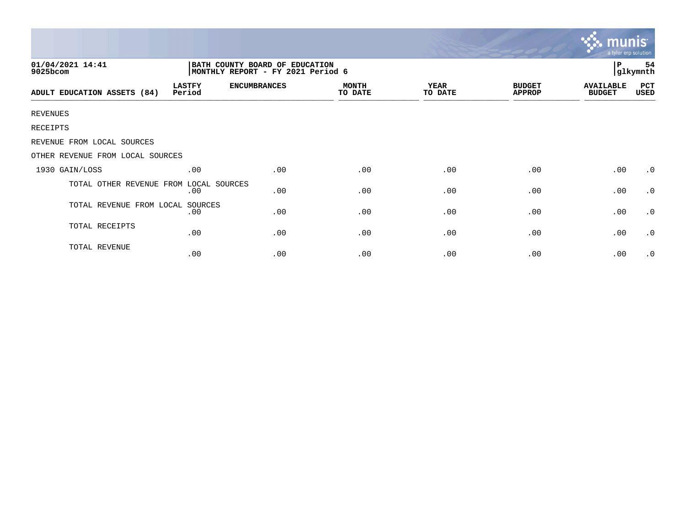|                                  |                                                                     |                     |                         |                        |                                | mu<br>a tyler erp solution        |                |
|----------------------------------|---------------------------------------------------------------------|---------------------|-------------------------|------------------------|--------------------------------|-----------------------------------|----------------|
| 01/04/2021 14:41<br>9025bcom     | BATH COUNTY BOARD OF EDUCATION<br>MONTHLY REPORT - FY 2021 Period 6 |                     |                         |                        |                                | l P                               | 54<br>glkymnth |
| ADULT EDUCATION ASSETS (84)      | <b>LASTFY</b><br>Period                                             | <b>ENCUMBRANCES</b> | <b>MONTH</b><br>TO DATE | <b>YEAR</b><br>TO DATE | <b>BUDGET</b><br><b>APPROP</b> | <b>AVAILABLE</b><br><b>BUDGET</b> | PCT<br>USED    |
| <b>REVENUES</b>                  |                                                                     |                     |                         |                        |                                |                                   |                |
| RECEIPTS                         |                                                                     |                     |                         |                        |                                |                                   |                |
| REVENUE FROM LOCAL SOURCES       |                                                                     |                     |                         |                        |                                |                                   |                |
| OTHER REVENUE FROM LOCAL SOURCES |                                                                     |                     |                         |                        |                                |                                   |                |
| 1930 GAIN/LOSS                   | .00                                                                 | .00                 | .00                     | .00                    | .00                            | .00                               | $\cdot$ 0      |
| TOTAL OTHER REVENUE FROM         | LOCAL SOURCES<br>.00                                                | .00                 | .00                     | .00                    | .00                            | .00                               | $\cdot$ 0      |
| TOTAL REVENUE FROM LOCAL SOURCES | .00                                                                 | .00                 | .00                     | .00                    | .00                            | .00                               | $\cdot$ 0      |
| TOTAL RECEIPTS                   | .00                                                                 | .00                 | .00                     | .00                    | .00                            | .00                               | $\cdot$ 0      |
| TOTAL REVENUE                    | .00                                                                 | .00                 | .00                     | .00                    | .00                            | .00                               | $\cdot$ 0      |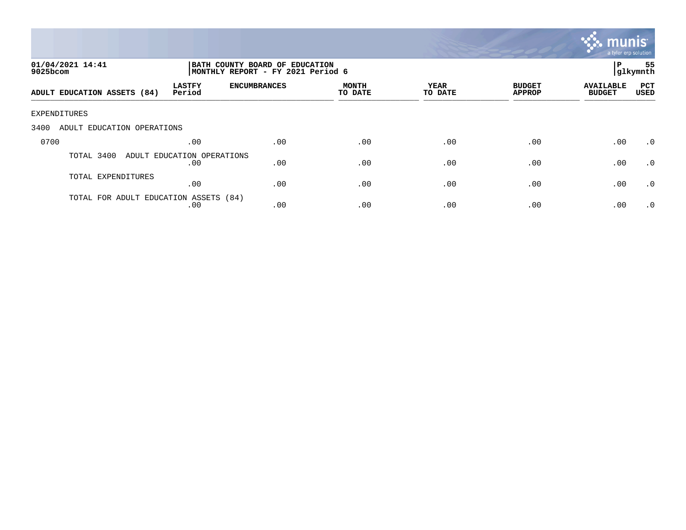

| 01/04/2021 14:41<br>$9025$ bcom       |                                   |                     | BATH COUNTY BOARD OF EDUCATION<br>MONTHLY REPORT - FY 2021 Period 6 |                 |                                |                                   |                    |
|---------------------------------------|-----------------------------------|---------------------|---------------------------------------------------------------------|-----------------|--------------------------------|-----------------------------------|--------------------|
| ADULT EDUCATION ASSETS (84)           | <b>LASTFY</b><br>Period           | <b>ENCUMBRANCES</b> | MONTH<br>TO DATE                                                    | YEAR<br>TO DATE | <b>BUDGET</b><br><b>APPROP</b> | <b>AVAILABLE</b><br><b>BUDGET</b> | PCT<br><b>USED</b> |
| EXPENDITURES                          |                                   |                     |                                                                     |                 |                                |                                   |                    |
| 3400<br>ADULT EDUCATION OPERATIONS    |                                   |                     |                                                                     |                 |                                |                                   |                    |
| 0700                                  | .00                               | .00                 | .00                                                                 | .00             | .00                            | .00                               | $\cdot$ 0          |
| TOTAL 3400                            | ADULT EDUCATION OPERATIONS<br>.00 | .00                 | .00                                                                 | .00             | .00                            | .00                               | $\cdot$ 0          |
| TOTAL EXPENDITURES                    | .00                               | .00                 | .00                                                                 | .00             | .00                            | .00                               | .0                 |
| TOTAL FOR ADULT EDUCATION ASSETS (84) | .00                               | .00                 | .00                                                                 | .00             | .00                            | .00                               | $\cdot$ 0          |